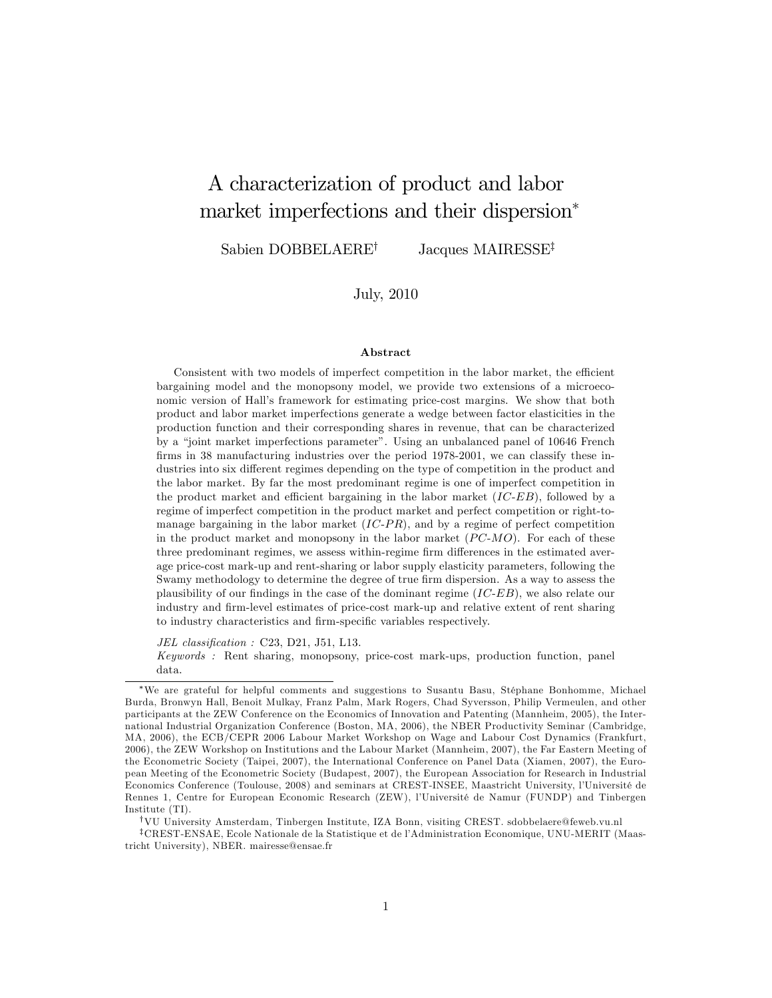# A characterization of product and labor market imperfections and their dispersion

Sabien DOBBELAERE<sup>†</sup> Jacques MAIRESSE<sup>‡</sup>

July, 2010

#### Abstract

Consistent with two models of imperfect competition in the labor market, the efficient bargaining model and the monopsony model, we provide two extensions of a microeconomic version of Hallís framework for estimating price-cost margins. We show that both product and labor market imperfections generate a wedge between factor elasticities in the production function and their corresponding shares in revenue, that can be characterized by a "joint market imperfections parameter". Using an unbalanced panel of 10646 French firms in 38 manufacturing industries over the period 1978-2001, we can classify these industries into six different regimes depending on the type of competition in the product and the labor market. By far the most predominant regime is one of imperfect competition in the product market and efficient bargaining in the labor market  $(IC-EB)$ , followed by a regime of imperfect competition in the product market and perfect competition or right-tomanage bargaining in the labor market  $(IC-PR)$ , and by a regime of perfect competition in the product market and monopsony in the labor market  $(PC-MO)$ . For each of these three predominant regimes, we assess within-regime firm differences in the estimated average price-cost mark-up and rent-sharing or labor supply elasticity parameters, following the Swamy methodology to determine the degree of true firm dispersion. As a way to assess the plausibility of our findings in the case of the dominant regime  $(IC-EB)$ , we also relate our industry and firm-level estimates of price-cost mark-up and relative extent of rent sharing to industry characteristics and firm-specific variables respectively.

JEL classification : C23, D21, J51, L13.

Keywords : Rent sharing, monopsony, price-cost mark-ups, production function, panel data.

We are grateful for helpful comments and suggestions to Susantu Basu, StÈphane Bonhomme, Michael Burda, Bronwyn Hall, Benoit Mulkay, Franz Palm, Mark Rogers, Chad Syversson, Philip Vermeulen, and other participants at the ZEW Conference on the Economics of Innovation and Patenting (Mannheim, 2005), the International Industrial Organization Conference (Boston, MA, 2006), the NBER Productivity Seminar (Cambridge, MA, 2006), the ECB/CEPR 2006 Labour Market Workshop on Wage and Labour Cost Dynamics (Frankfurt, 2006), the ZEW Workshop on Institutions and the Labour Market (Mannheim, 2007), the Far Eastern Meeting of the Econometric Society (Taipei, 2007), the International Conference on Panel Data (Xiamen, 2007), the European Meeting of the Econometric Society (Budapest, 2007), the European Association for Research in Industrial Economics Conference (Toulouse, 2008) and seminars at CREST-INSEE, Maastricht University, l'Université de Rennes 1, Centre for European Economic Research (ZEW), l'Université de Namur (FUNDP) and Tinbergen Institute (TI).

yVU University Amsterdam, Tinbergen Institute, IZA Bonn, visiting CREST. sdobbelaere@feweb.vu.nl

<sup>&</sup>lt;sup>‡</sup>CREST-ENSAE, Ecole Nationale de la Statistique et de l'Administration Economique, UNU-MERIT (Maastricht University), NBER. mairesse@ensae.fr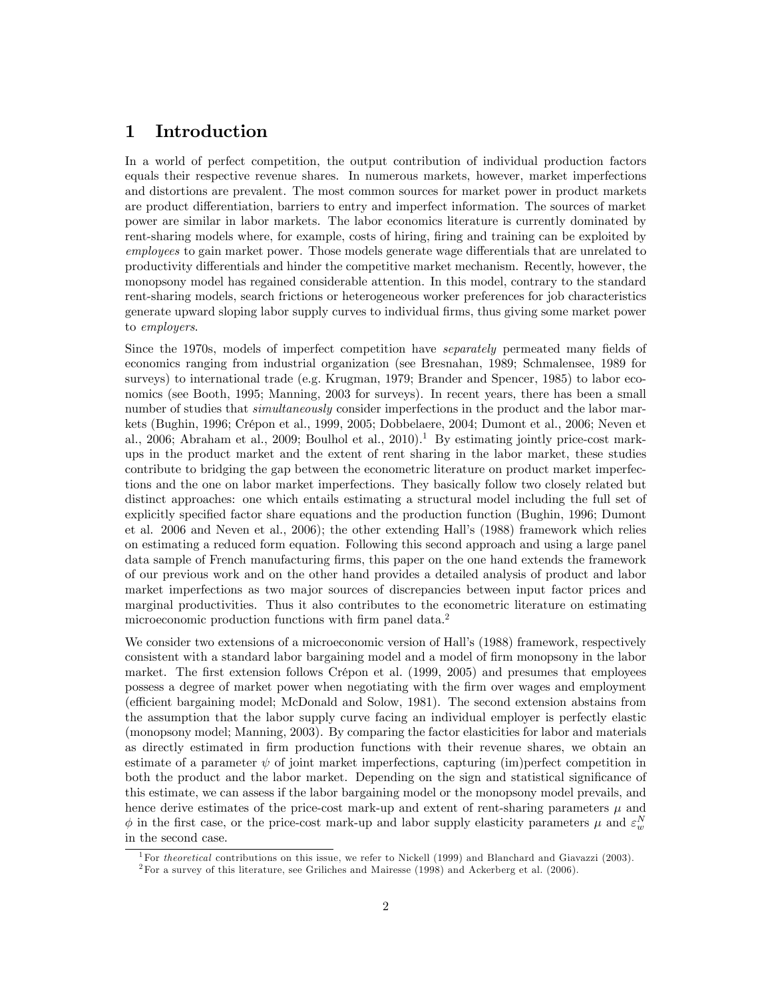# 1 Introduction

In a world of perfect competition, the output contribution of individual production factors equals their respective revenue shares. In numerous markets, however, market imperfections and distortions are prevalent. The most common sources for market power in product markets are product differentiation, barriers to entry and imperfect information. The sources of market power are similar in labor markets. The labor economics literature is currently dominated by rent-sharing models where, for example, costs of hiring, firing and training can be exploited by employees to gain market power. Those models generate wage differentials that are unrelated to productivity differentials and hinder the competitive market mechanism. Recently, however, the monopsony model has regained considerable attention. In this model, contrary to the standard rent-sharing models, search frictions or heterogeneous worker preferences for job characteristics generate upward sloping labor supply curves to individual Örms, thus giving some market power to employers.

Since the 1970s, models of imperfect competition have *separately* permeated many fields of economics ranging from industrial organization (see Bresnahan, 1989; Schmalensee, 1989 for surveys) to international trade (e.g. Krugman, 1979; Brander and Spencer, 1985) to labor economics (see Booth, 1995; Manning, 2003 for surveys). In recent years, there has been a small number of studies that *simultaneously* consider imperfections in the product and the labor markets (Bughin, 1996; Crépon et al., 1999, 2005; Dobbelaere, 2004; Dumont et al., 2006; Neven et al., 2006; Abraham et al., 2009; Boulhol et al., 2010).<sup>1</sup> By estimating jointly price-cost markups in the product market and the extent of rent sharing in the labor market, these studies contribute to bridging the gap between the econometric literature on product market imperfections and the one on labor market imperfections. They basically follow two closely related but distinct approaches: one which entails estimating a structural model including the full set of explicitly specified factor share equations and the production function (Bughin, 1996; Dumont et al. 2006 and Neven et al., 2006); the other extending Hallís (1988) framework which relies on estimating a reduced form equation. Following this second approach and using a large panel data sample of French manufacturing firms, this paper on the one hand extends the framework of our previous work and on the other hand provides a detailed analysis of product and labor market imperfections as two major sources of discrepancies between input factor prices and marginal productivities. Thus it also contributes to the econometric literature on estimating microeconomic production functions with firm panel data.<sup>2</sup>

We consider two extensions of a microeconomic version of Hall's (1988) framework, respectively consistent with a standard labor bargaining model and a model of Örm monopsony in the labor market. The first extension follows Crépon et al. (1999, 2005) and presumes that employees possess a degree of market power when negotiating with the Örm over wages and employment (efficient bargaining model; McDonald and Solow, 1981). The second extension abstains from the assumption that the labor supply curve facing an individual employer is perfectly elastic (monopsony model; Manning, 2003). By comparing the factor elasticities for labor and materials as directly estimated in firm production functions with their revenue shares, we obtain an estimate of a parameter  $\psi$  of joint market imperfections, capturing (im)perfect competition in both the product and the labor market. Depending on the sign and statistical significance of this estimate, we can assess if the labor bargaining model or the monopsony model prevails, and hence derive estimates of the price-cost mark-up and extent of rent-sharing parameters  $\mu$  and  $\phi$  in the first case, or the price-cost mark-up and labor supply elasticity parameters  $\mu$  and  $\varepsilon_w^N$ in the second case.

<sup>&</sup>lt;sup>1</sup>For theoretical contributions on this issue, we refer to Nickell (1999) and Blanchard and Giavazzi (2003).

 $2$ For a survey of this literature, see Griliches and Mairesse (1998) and Ackerberg et al. (2006).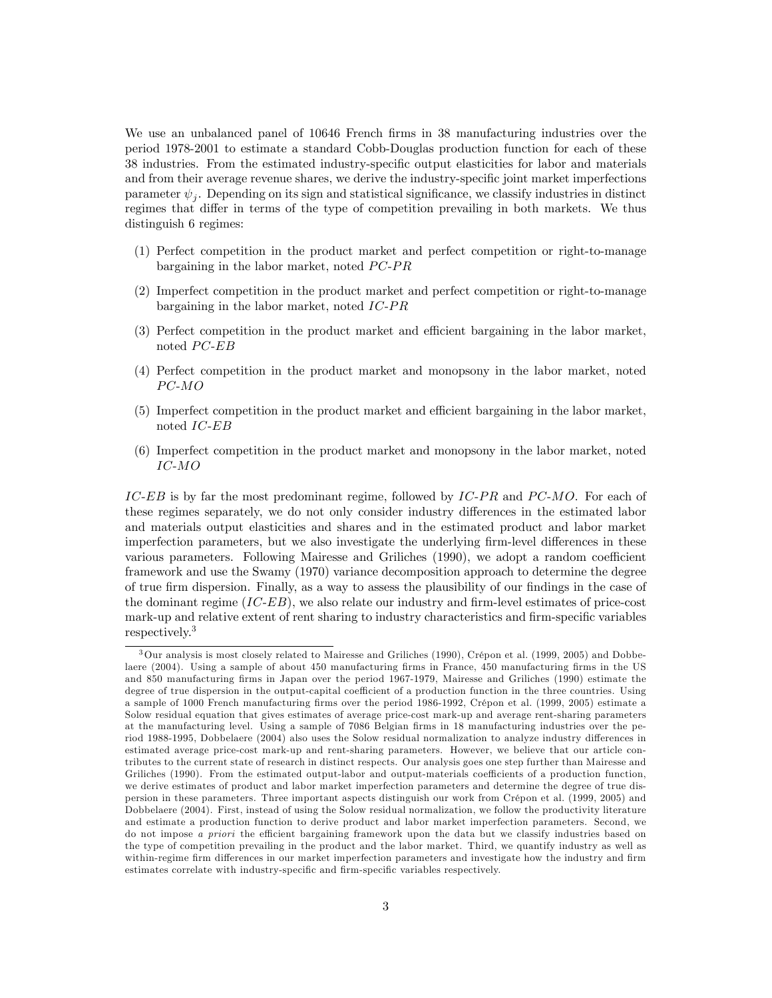We use an unbalanced panel of 10646 French firms in 38 manufacturing industries over the period 1978-2001 to estimate a standard Cobb-Douglas production function for each of these 38 industries. From the estimated industry-specific output elasticities for labor and materials and from their average revenue shares, we derive the industry-specific joint market imperfections parameter  $\psi_j$ . Depending on its sign and statistical significance, we classify industries in distinct regimes that differ in terms of the type of competition prevailing in both markets. We thus distinguish 6 regimes:

- (1) Perfect competition in the product market and perfect competition or right-to-manage bargaining in the labor market, noted  $PC-PR$
- (2) Imperfect competition in the product market and perfect competition or right-to-manage bargaining in the labor market, noted  $IC-PR$
- (3) Perfect competition in the product market and efficient bargaining in the labor market, noted  $PC$ - $EB$
- (4) Perfect competition in the product market and monopsony in the labor market, noted  $PC-MO$
- $(5)$  Imperfect competition in the product market and efficient bargaining in the labor market, noted IC-EB
- (6) Imperfect competition in the product market and monopsony in the labor market, noted IC-MO

IC-EB is by far the most predominant regime, followed by  $IC-PR$  and  $PC-MO$ . For each of these regimes separately, we do not only consider industry differences in the estimated labor and materials output elasticities and shares and in the estimated product and labor market imperfection parameters, but we also investigate the underlying firm-level differences in these various parameters. Following Mairesse and Griliches (1990), we adopt a random coefficient framework and use the Swamy (1970) variance decomposition approach to determine the degree of true firm dispersion. Finally, as a way to assess the plausibility of our findings in the case of the dominant regime  $(IC-EB)$ , we also relate our industry and firm-level estimates of price-cost mark-up and relative extent of rent sharing to industry characteristics and firm-specific variables respectively.<sup>3</sup>

 $3$ Our analysis is most closely related to Mairesse and Griliches (1990), Crépon et al. (1999, 2005) and Dobbelaere (2004). Using a sample of about 450 manufacturing firms in France, 450 manufacturing firms in the US and 850 manufacturing Örms in Japan over the period 1967-1979, Mairesse and Griliches (1990) estimate the degree of true dispersion in the output-capital coefficient of a production function in the three countries. Using a sample of 1000 French manufacturing firms over the period 1986-1992, Crépon et al. (1999, 2005) estimate a Solow residual equation that gives estimates of average price-cost mark-up and average rent-sharing parameters at the manufacturing level. Using a sample of 7086 Belgian firms in 18 manufacturing industries over the period 1988-1995, Dobbelaere (2004) also uses the Solow residual normalization to analyze industry differences in estimated average price-cost mark-up and rent-sharing parameters. However, we believe that our article contributes to the current state of research in distinct respects. Our analysis goes one step further than Mairesse and Griliches (1990). From the estimated output-labor and output-materials coefficients of a production function, we derive estimates of product and labor market imperfection parameters and determine the degree of true dispersion in these parameters. Three important aspects distinguish our work from Crépon et al. (1999, 2005) and Dobbelaere (2004). First, instead of using the Solow residual normalization, we follow the productivity literature and estimate a production function to derive product and labor market imperfection parameters. Second, we do not impose a priori the efficient bargaining framework upon the data but we classify industries based on the type of competition prevailing in the product and the labor market. Third, we quantify industry as well as within-regime firm differences in our market imperfection parameters and investigate how the industry and firm estimates correlate with industry-specific and firm-specific variables respectively.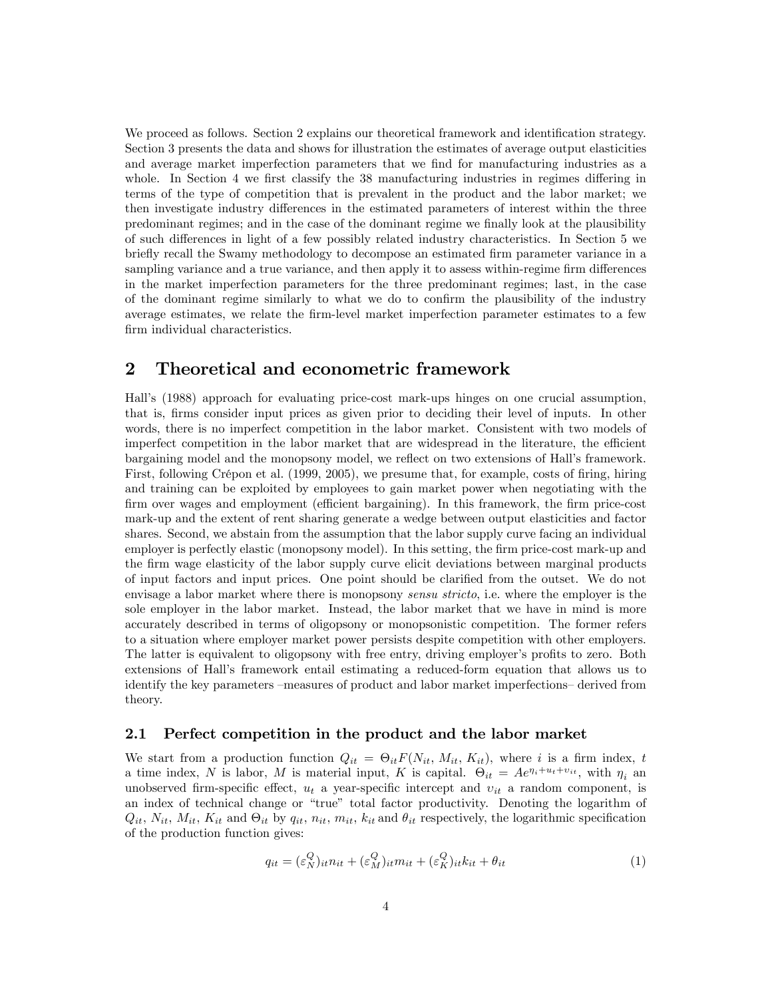We proceed as follows. Section 2 explains our theoretical framework and identification strategy. Section 3 presents the data and shows for illustration the estimates of average output elasticities and average market imperfection parameters that we find for manufacturing industries as a whole. In Section 4 we first classify the  $38$  manufacturing industries in regimes differing in terms of the type of competition that is prevalent in the product and the labor market; we then investigate industry differences in the estimated parameters of interest within the three predominant regimes; and in the case of the dominant regime we finally look at the plausibility of such differences in light of a few possibly related industry characteristics. In Section 5 we briefly recall the Swamy methodology to decompose an estimated firm parameter variance in a sampling variance and a true variance, and then apply it to assess within-regime firm differences in the market imperfection parameters for the three predominant regimes; last, in the case of the dominant regime similarly to what we do to confirm the plausibility of the industry average estimates, we relate the Örm-level market imperfection parameter estimates to a few firm individual characteristics.

# 2 Theoretical and econometric framework

Hallís (1988) approach for evaluating price-cost mark-ups hinges on one crucial assumption, that is, firms consider input prices as given prior to deciding their level of inputs. In other words, there is no imperfect competition in the labor market. Consistent with two models of imperfect competition in the labor market that are widespread in the literature, the efficient bargaining model and the monopsony model, we reflect on two extensions of Hall's framework. First, following Crépon et al. (1999, 2005), we presume that, for example, costs of firing, hiring and training can be exploited by employees to gain market power when negotiating with the firm over wages and employment (efficient bargaining). In this framework, the firm price-cost mark-up and the extent of rent sharing generate a wedge between output elasticities and factor shares. Second, we abstain from the assumption that the labor supply curve facing an individual employer is perfectly elastic (monopsony model). In this setting, the firm price-cost mark-up and the Örm wage elasticity of the labor supply curve elicit deviations between marginal products of input factors and input prices. One point should be clarified from the outset. We do not envisage a labor market where there is monopsony *sensu stricto*, i.e. where the employer is the sole employer in the labor market. Instead, the labor market that we have in mind is more accurately described in terms of oligopsony or monopsonistic competition. The former refers to a situation where employer market power persists despite competition with other employers. The latter is equivalent to oligopsony with free entry, driving employer's profits to zero. Both extensions of Hallís framework entail estimating a reduced-form equation that allows us to identify the key parameters – measures of product and labor market imperfections– derived from theory.

### 2.1 Perfect competition in the product and the labor market

We start from a production function  $Q_{it} = \Theta_{it} F(N_{it}, M_{it}, K_{it})$ , where i is a firm index, t a time index, N is labor, M is material input, K is capital.  $\Theta_{it} = Ae^{\eta_i + u_t + v_{it}}$ , with  $\eta_i$  and unobserved firm-specific effect,  $u_t$  a year-specific intercept and  $v_{it}$  a random component, is an index of technical change or "true" total factor productivity. Denoting the logarithm of  $Q_{it}$ ,  $N_{it}$ ,  $M_{it}$ ,  $K_{it}$  and  $\Theta_{it}$  by  $q_{it}$ ,  $n_{it}$ ,  $m_{it}$ ,  $k_{it}$  and  $\theta_{it}$  respectively, the logarithmic specification of the production function gives:

$$
q_{it} = (\varepsilon_N^Q)_{it} n_{it} + (\varepsilon_N^Q)_{it} m_{it} + (\varepsilon_N^Q)_{it} k_{it} + \theta_{it}
$$
\n
$$
\tag{1}
$$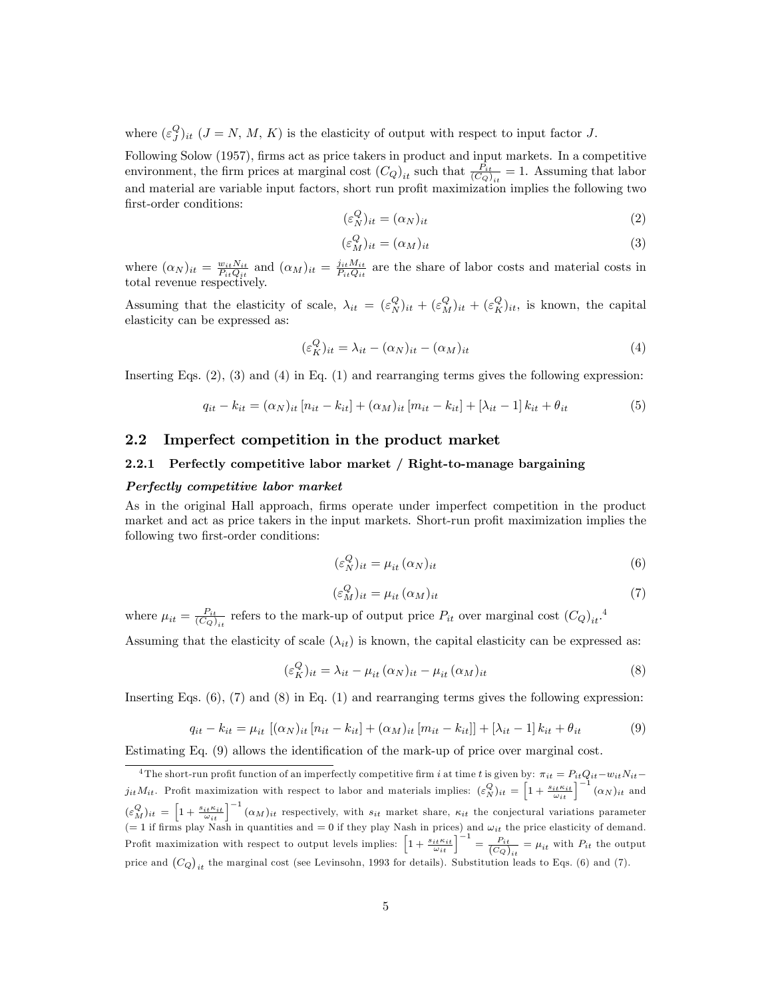where  $(\varepsilon_j^Q)_{it}$   $(J = N, M, K)$  is the elasticity of output with respect to input factor J.

Following Solow (1957), firms act as price takers in product and input markets. In a competitive environment, the firm prices at marginal cost  $(C_Q)_{it}$  such that  $\frac{P_{it}}{(C_Q)_{it}} = 1$ . Assuming that labor and material are variable input factors, short run profit maximization implies the following two first-order conditions:

$$
(\varepsilon_N^Q)_{it} = (\alpha_N)_{it} \tag{2}
$$

$$
(\varepsilon_M^Q)_{it} = (\alpha_M)_{it} \tag{3}
$$

where  $(\alpha_N)_{it} = \frac{w_{it} N_{it}}{P_{it} Q_{it}}$  and  $(\alpha_M)_{it} = \frac{j_{it} M_{it}}{P_{it} Q_{it}}$  are the share of labor costs and material costs in total revenue respectively.

Assuming that the elasticity of scale,  $\lambda_{it} = (\varepsilon_N^Q)_{it} + (\varepsilon_N^Q)_{it} + (\varepsilon_N^Q)_{it}$ , is known, the capital elasticity can be expressed as:

$$
(\varepsilon_K^Q)_{it} = \lambda_{it} - (\alpha_N)_{it} - (\alpha_M)_{it} \tag{4}
$$

Inserting Eqs. (2), (3) and (4) in Eq. (1) and rearranging terms gives the following expression:

$$
q_{it} - k_{it} = (\alpha_N)_{it} [n_{it} - k_{it}] + (\alpha_M)_{it} [m_{it} - k_{it}] + [\lambda_{it} - 1] k_{it} + \theta_{it}
$$
(5)

### 2.2 Imperfect competition in the product market

#### 2.2.1 Perfectly competitive labor market / Right-to-manage bargaining

#### Perfectly competitive labor market

As in the original Hall approach, firms operate under imperfect competition in the product market and act as price takers in the input markets. Short-run profit maximization implies the following two first-order conditions:

$$
(\varepsilon_N^Q)_{it} = \mu_{it} \, (\alpha_N)_{it} \tag{6}
$$

$$
(\varepsilon_M^Q)_{it} = \mu_{it} \, (\alpha_M)_{it} \tag{7}
$$

where  $\mu_{it} = \frac{P_{it}}{(C_Q)_{it}}$  refers to the mark-up of output price  $P_{it}$  over marginal cost  $(C_Q)_{it}$ .<sup>4</sup>

Assuming that the elasticity of scale  $(\lambda_{it})$  is known, the capital elasticity can be expressed as:

$$
(\varepsilon_K^Q)_{it} = \lambda_{it} - \mu_{it} (\alpha_N)_{it} - \mu_{it} (\alpha_M)_{it}
$$
\n
$$
(8)
$$

Inserting Eqs. (6), (7) and (8) in Eq. (1) and rearranging terms gives the following expression:

$$
q_{it} - k_{it} = \mu_{it} [(\alpha_N)_{it} [n_{it} - k_{it}] + (\alpha_M)_{it} [m_{it} - k_{it}] ] + [\lambda_{it} - 1] k_{it} + \theta_{it}
$$
(9)

Estimating Eq.  $(9)$  allows the identification of the mark-up of price over marginal cost.

<sup>&</sup>lt;sup>4</sup>The short-run profit function of an imperfectly competitive firm i at time t is given by:  $\pi_{it} = P_{it}Q_{it} - v_{it}N_{it}$  $j_{it}M_{it}$ . Profit maximization with respect to labor and materials implies:  $(\varepsilon_N^Q)_{it} = \left[1 + \frac{s_{it} \kappa_{it}}{\omega_{it}}\right]^{-1} (\alpha_N)_{it}$  and  $(\varepsilon_N^Q)_{it} = \left[1 + \frac{s_{it} \kappa_{it}}{\omega_{it}}\right]^{-1} (\alpha_M)_{it}$  respectively, with  $s_{it}$  market share,  $\kappa_{it}$  the conjectural variations parameter (= 1 if firms play Nash in quantities and = 0 if they play Nash in prices) and  $\omega_{it}$  the price elasticity of demand. Profit maximization with respect to output levels implies:  $\left[1 + \frac{s_{it} \kappa_{it}}{\omega_{it}}\right]^{-1} = \frac{P_{it}}{(C_Q)_{it}} = \mu_{it}$  with  $P_{it}$  the output price and  $(C_Q)_{it}$  the marginal cost (see Levinsohn, 1993 for details). Substitution leads to Eqs. (6) and (7).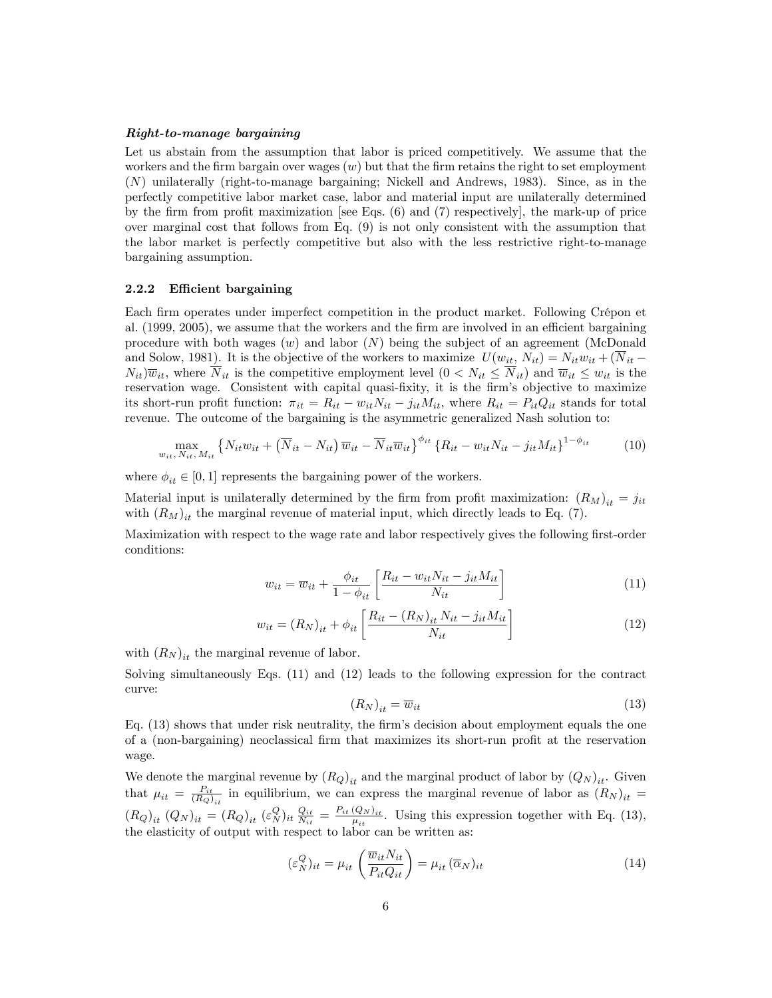#### Right-to-manage bargaining

Let us abstain from the assumption that labor is priced competitively. We assume that the workers and the firm bargain over wages  $(w)$  but that the firm retains the right to set employment (N) unilaterally (right-to-manage bargaining; Nickell and Andrews, 1983). Since, as in the perfectly competitive labor market case, labor and material input are unilaterally determined by the firm from profit maximization [see Eqs.  $(6)$  and  $(7)$  respectively], the mark-up of price over marginal cost that follows from Eq. (9) is not only consistent with the assumption that the labor market is perfectly competitive but also with the less restrictive right-to-manage bargaining assumption.

#### 2.2.2 Efficient bargaining

Each firm operates under imperfect competition in the product market. Following Crépon et al.  $(1999, 2005)$ , we assume that the workers and the firm are involved in an efficient bargaining procedure with both wages  $(w)$  and labor  $(N)$  being the subject of an agreement (McDonald and Solow, 1981). It is the objective of the workers to maximize  $U(w_{it}, N_{it}) = N_{it}w_{it} + (\overline{N}_{it} N_{it}(\overline{w}_{it})$ , where  $\overline{N}_{it}$  is the competitive employment level  $(0 < N_{it} \leq \overline{N}_{it})$  and  $\overline{w}_{it} \leq w_{it}$  is the reservation wage. Consistent with capital quasi-fixity, it is the firm's objective to maximize its short-run profit function:  $\pi_{it} = R_{it} - w_{it}N_{it} - j_{it}M_{it}$ , where  $R_{it} = P_{it}Q_{it}$  stands for total revenue. The outcome of the bargaining is the asymmetric generalized Nash solution to:

$$
\max_{w_{it}, N_{it}, M_{it}} \left\{ N_{it} w_{it} + \left( \overline{N}_{it} - N_{it} \right) \overline{w}_{it} - \overline{N}_{it} \overline{w}_{it} \right\}^{\phi_{it}} \left\{ R_{it} - w_{it} N_{it} - j_{it} M_{it} \right\}^{1 - \phi_{it}} \tag{10}
$$

where  $\phi_{it} \in [0, 1]$  represents the bargaining power of the workers.

Material input is unilaterally determined by the firm from profit maximization:  $(R_M)_{it} = j_{it}$ with  $(R_M)_{it}$  the marginal revenue of material input, which directly leads to Eq. (7).

Maximization with respect to the wage rate and labor respectively gives the following first-order conditions:

$$
w_{it} = \overline{w}_{it} + \frac{\phi_{it}}{1 - \phi_{it}} \left[ \frac{R_{it} - w_{it} N_{it} - j_{it} M_{it}}{N_{it}} \right]
$$
\n(11)

$$
w_{it} = (R_N)_{it} + \phi_{it} \left[ \frac{R_{it} - (R_N)_{it} N_{it} - j_{it} M_{it}}{N_{it}} \right]
$$
 (12)

with  $(R_N)_{it}$  the marginal revenue of labor.

Solving simultaneously Eqs. (11) and (12) leads to the following expression for the contract curve:

$$
(R_N)_{it} = \overline{w}_{it} \tag{13}
$$

Eq.  $(13)$  shows that under risk neutrality, the firm's decision about employment equals the one of a (non-bargaining) neoclassical firm that maximizes its short-run profit at the reservation wage.

We denote the marginal revenue by  $(R_Q)_{it}$  and the marginal product of labor by  $(Q_N)_{it}$ . Given that  $\mu_{it} = \frac{P_{it}}{(R_Q)_{it}}$  in equilibrium, we can express the marginal revenue of labor as  $(R_N)_{it}$  $\left(R_Q\right)_{it} \left(Q_N\right)_{it} = \left(R_Q\right)_{it} \left(\varepsilon_N^Q\right)_{it} \frac{Q_{it}}{N_{it}} = \frac{P_{it} \left(Q_N\right)_{it}}{\mu_{it}}$  $\frac{(\mathcal{Q}_{N})_{it}}{\mu_{it}}$ . Using this expression together with Eq. (13), the elasticity of output with respect to labor can be written as:

$$
(\varepsilon_N^Q)_{it} = \mu_{it} \left( \frac{\overline{w}_{it} N_{it}}{P_{it} Q_{it}} \right) = \mu_{it} \left( \overline{\alpha}_N \right)_{it} \tag{14}
$$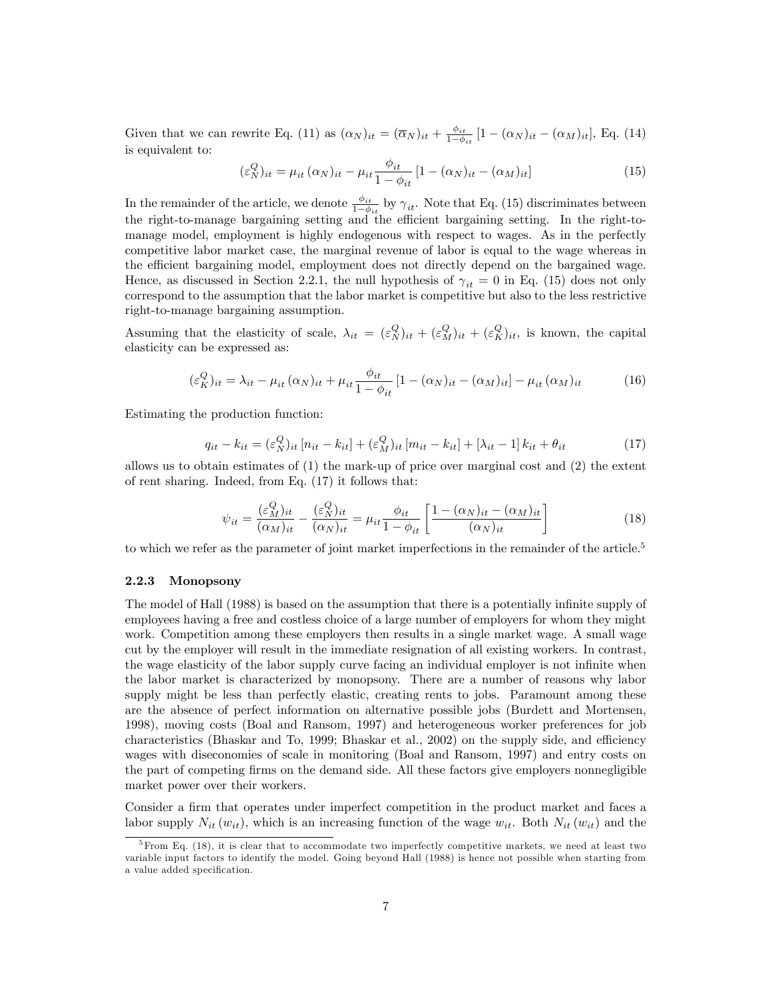Given that we can rewrite Eq. (11) as  $(\alpha_N)_{it} = (\overline{\alpha}_N)_{it} + \frac{\phi_{it}}{1-\phi}$  $\frac{\varphi_{it}}{1-\phi_{it}}$  [1 –  $(\alpha_N)_{it}$  –  $(\alpha_M)_{it}$ ], Eq. (14) is equivalent to:

$$
(\varepsilon_N^Q)_{it} = \mu_{it} (\alpha_N)_{it} - \mu_{it} \frac{\phi_{it}}{1 - \phi_{it}} [1 - (\alpha_N)_{it} - (\alpha_M)_{it}] \tag{15}
$$

In the remainder of the article, we denote  $\frac{\phi_{it}}{1-\phi_{it}}$  by  $\gamma_{it}$ . Note that Eq. (15) discriminates between the right-to-manage bargaining setting and the efficient bargaining setting. In the right-tomanage model, employment is highly endogenous with respect to wages. As in the perfectly competitive labor market case, the marginal revenue of labor is equal to the wage whereas in the efficient bargaining model, employment does not directly depend on the bargained wage. Hence, as discussed in Section 2.2.1, the null hypothesis of  $\gamma_{it} = 0$  in Eq. (15) does not only correspond to the assumption that the labor market is competitive but also to the less restrictive right-to-manage bargaining assumption.

Assuming that the elasticity of scale,  $\lambda_{it} = (\varepsilon_N^Q)_{it} + (\varepsilon_N^Q)_{it} + (\varepsilon_N^Q)_{it}$ , is known, the capital elasticity can be expressed as:

$$
(\varepsilon_K^Q)_{it} = \lambda_{it} - \mu_{it} (\alpha_N)_{it} + \mu_{it} \frac{\phi_{it}}{1 - \phi_{it}} [1 - (\alpha_N)_{it} - (\alpha_M)_{it}] - \mu_{it} (\alpha_M)_{it}
$$
(16)

Estimating the production function:

$$
q_{it} - k_{it} = (\varepsilon_N^Q)_{it} [n_{it} - k_{it}] + (\varepsilon_N^Q)_{it} [m_{it} - k_{it}] + [\lambda_{it} - 1] k_{it} + \theta_{it}
$$
(17)

allows us to obtain estimates of (1) the mark-up of price over marginal cost and (2) the extent of rent sharing. Indeed, from Eq. (17) it follows that:

$$
\psi_{it} = \frac{(\varepsilon_N^Q)_{it}}{(\alpha_M)_{it}} - \frac{(\varepsilon_N^Q)_{it}}{(\alpha_N)_{it}} = \mu_{it} \frac{\phi_{it}}{1 - \phi_{it}} \left[ \frac{1 - (\alpha_N)_{it} - (\alpha_M)_{it}}{(\alpha_N)_{it}} \right]
$$
(18)

to which we refer as the parameter of joint market imperfections in the remainder of the article.<sup>5</sup>

#### 2.2.3 Monopsony

The model of Hall (1988) is based on the assumption that there is a potentially infinite supply of employees having a free and costless choice of a large number of employers for whom they might work. Competition among these employers then results in a single market wage. A small wage cut by the employer will result in the immediate resignation of all existing workers. In contrast, the wage elasticity of the labor supply curve facing an individual employer is not infinite when the labor market is characterized by monopsony. There are a number of reasons why labor supply might be less than perfectly elastic, creating rents to jobs. Paramount among these are the absence of perfect information on alternative possible jobs (Burdett and Mortensen, 1998), moving costs (Boal and Ransom, 1997) and heterogeneous worker preferences for job characteristics (Bhaskar and To, 1999; Bhaskar et al.,  $2002$ ) on the supply side, and efficiency wages with diseconomies of scale in monitoring (Boal and Ransom, 1997) and entry costs on the part of competing Örms on the demand side. All these factors give employers nonnegligible market power over their workers.

Consider a firm that operates under imperfect competition in the product market and faces a labor supply  $N_{it}(w_{it})$ , which is an increasing function of the wage  $w_{it}$ . Both  $N_{it}(w_{it})$  and the

 ${}^{5}$ From Eq. (18), it is clear that to accommodate two imperfectly competitive markets, we need at least two variable input factors to identify the model. Going beyond Hall (1988) is hence not possible when starting from a value added specification.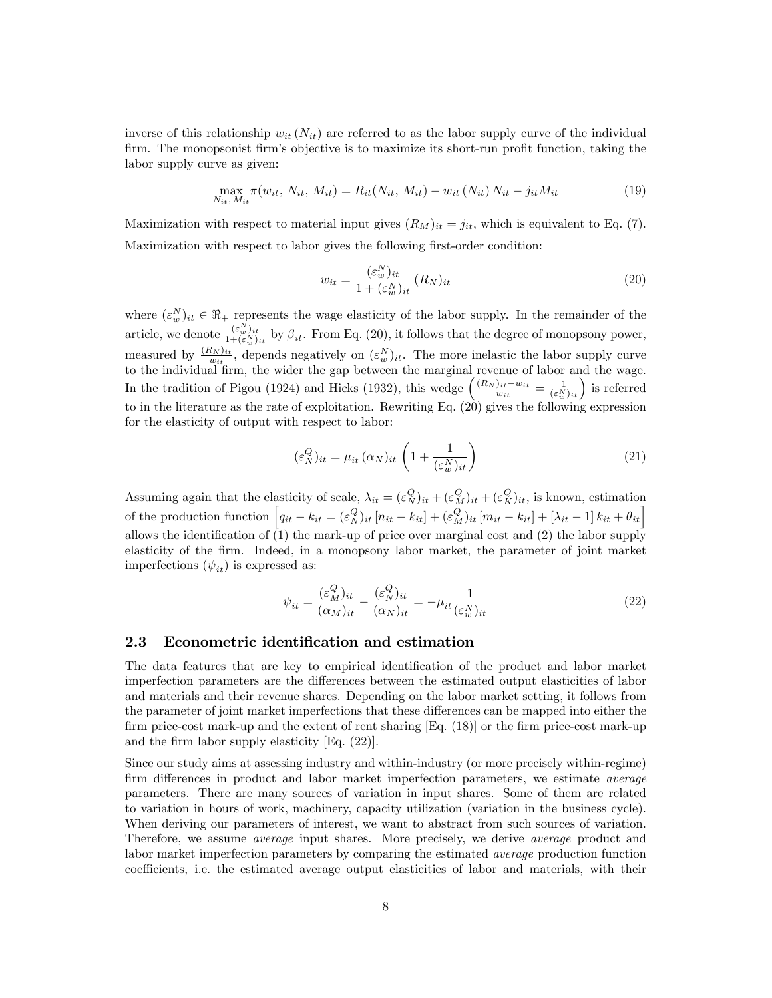inverse of this relationship  $w_{it}(N_{it})$  are referred to as the labor supply curve of the individual firm. The monopsonist firm's objective is to maximize its short-run profit function, taking the labor supply curve as given:

$$
\max_{N_{it}, M_{it}} \pi(w_{it}, N_{it}, M_{it}) = R_{it}(N_{it}, M_{it}) - w_{it}(N_{it}) N_{it} - j_{it} M_{it}
$$
(19)

Maximization with respect to material input gives  $(R_M)_{it} = j_{it}$ , which is equivalent to Eq. (7). Maximization with respect to labor gives the following first-order condition:

$$
w_{it} = \frac{(\varepsilon_w^N)_{it}}{1 + (\varepsilon_w^N)_{it}} (R_N)_{it}
$$
\n
$$
(20)
$$

where  $(\varepsilon_w^N)_{it} \in \mathbb{R}_+$  represents the wage elasticity of the labor supply. In the remainder of the article, we denote  $\frac{(\varepsilon_w^N)_{it}}{1+(\varepsilon_N)}$  $\frac{(\varepsilon_w)_{it}}{1+(\varepsilon_w^N)_{it}}$  by  $\beta_{it}$ . From Eq. (20), it follows that the degree of monopsony power, measured by  $\frac{(R_N)_{it}}{w_{it}}$ , depends negatively on  $(\varepsilon_w^N)_{it}$ . The more inelastic the labor supply curve to the individual firm, the wider the gap between the marginal revenue of labor and the wage. In the tradition of Pigou (1924) and Hicks (1932), this wedge  $\left(\frac{(R_N)_{it}-w_{it}}{w_{it}}=\frac{1}{(\varepsilon_N^N)_{it}}\right)$  is referred to in the literature as the rate of exploitation. Rewriting Eq. (20) gives the following expression for the elasticity of output with respect to labor:

$$
(\varepsilon_N^Q)_{it} = \mu_{it} \, (\alpha_N)_{it} \left( 1 + \frac{1}{(\varepsilon_w^N)_{it}} \right) \tag{21}
$$

Assuming again that the elasticity of scale,  $\lambda_{it} = (\varepsilon_N^Q)_{it} + (\varepsilon_N^Q)_{it} + (\varepsilon_N^Q)_{it}$ , is known, estimation of the production function  $\left[q_{it} - k_{it} = (\varepsilon_N^Q)_{it} [n_{it} - k_{it}] + (\varepsilon_N^Q)_{it} [m_{it} - k_{it}] + [\lambda_{it} - 1] k_{it} + \theta_{it}\right]$ allows the identification of  $(1)$  the mark-up of price over marginal cost and  $(2)$  the labor supply elasticity of the Örm. Indeed, in a monopsony labor market, the parameter of joint market imperfections  $(\psi_{it})$  is expressed as:

$$
\psi_{it} = \frac{(\varepsilon_N^Q)_{it}}{(\alpha_M)_{it}} - \frac{(\varepsilon_N^Q)_{it}}{(\alpha_N)_{it}} = -\mu_{it} \frac{1}{(\varepsilon_w^N)_{it}}\tag{22}
$$

#### 2.3 Econometric identification and estimation

The data features that are key to empirical identification of the product and labor market imperfection parameters are the differences between the estimated output elasticities of labor and materials and their revenue shares. Depending on the labor market setting, it follows from the parameter of joint market imperfections that these differences can be mapped into either the firm price-cost mark-up and the extent of rent sharing  $[Eq. (18)]$  or the firm price-cost mark-up and the firm labor supply elasticity  $[Eq. (22)].$ 

Since our study aims at assessing industry and within-industry (or more precisely within-regime) firm differences in product and labor market imperfection parameters, we estimate *average* parameters. There are many sources of variation in input shares. Some of them are related to variation in hours of work, machinery, capacity utilization (variation in the business cycle). When deriving our parameters of interest, we want to abstract from such sources of variation. Therefore, we assume average input shares. More precisely, we derive average product and labor market imperfection parameters by comparing the estimated average production function coefficients, i.e. the estimated average output elasticities of labor and materials, with their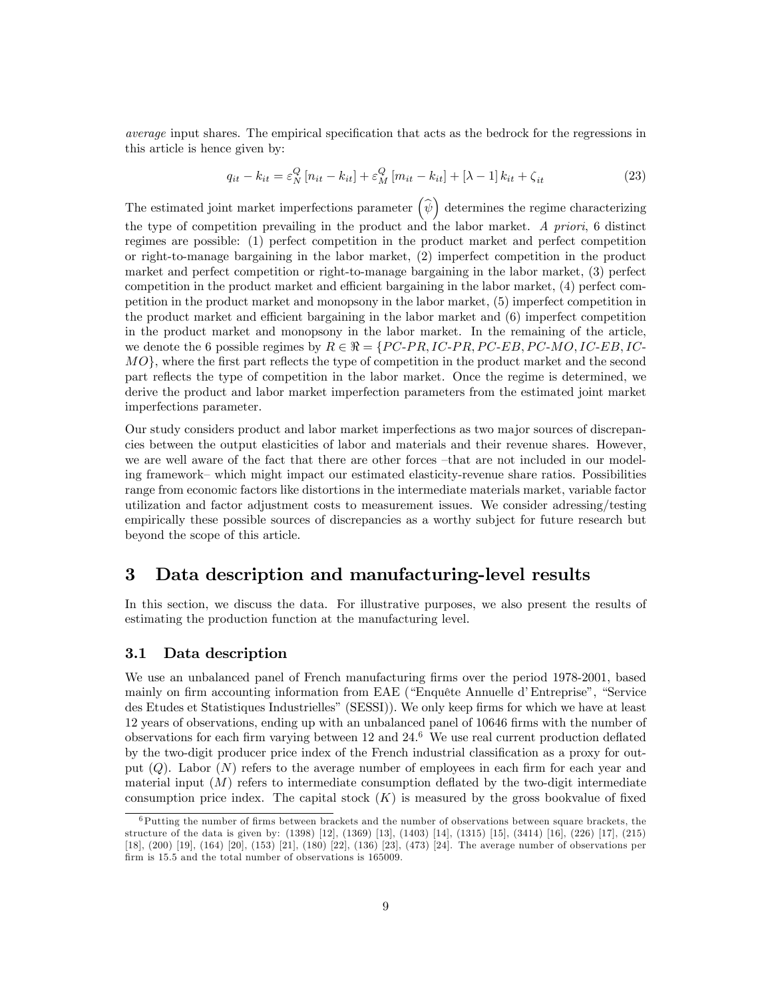average input shares. The empirical specification that acts as the bedrock for the regressions in this article is hence given by:

$$
q_{it} - k_{it} = \varepsilon_N^Q \left[ n_{it} - k_{it} \right] + \varepsilon_N^Q \left[ m_{it} - k_{it} \right] + \left[ \lambda - 1 \right] k_{it} + \zeta_{it}
$$
 (23)

The estimated joint market imperfections parameter  $(\hat{\psi})$  determines the regime characterizing the type of competition prevailing in the product and the labor market. A priori, 6 distinct regimes are possible: (1) perfect competition in the product market and perfect competition or right-to-manage bargaining in the labor market, (2) imperfect competition in the product market and perfect competition or right-to-manage bargaining in the labor market, (3) perfect competition in the product market and efficient bargaining in the labor market,  $(4)$  perfect competition in the product market and monopsony in the labor market, (5) imperfect competition in the product market and efficient bargaining in the labor market and  $(6)$  imperfect competition in the product market and monopsony in the labor market. In the remaining of the article, we denote the 6 possible regimes by  $R \in \mathcal{R} = \{PC-PR, IC-PR, PC-EB, PC-MO, IC-EB, IC-EB, DC-RO, D\}$  $MO$ , where the first part reflects the type of competition in the product market and the second part reflects the type of competition in the labor market. Once the regime is determined, we derive the product and labor market imperfection parameters from the estimated joint market imperfections parameter.

Our study considers product and labor market imperfections as two major sources of discrepancies between the output elasticities of labor and materials and their revenue shares. However, we are well aware of the fact that there are other forces  $-\text{that}$  are not included in our modeling framework–which might impact our estimated elasticity-revenue share ratios. Possibilities range from economic factors like distortions in the intermediate materials market, variable factor utilization and factor adjustment costs to measurement issues. We consider adressing/testing empirically these possible sources of discrepancies as a worthy subject for future research but beyond the scope of this article.

# 3 Data description and manufacturing-level results

In this section, we discuss the data. For illustrative purposes, we also present the results of estimating the production function at the manufacturing level.

### 3.1 Data description

We use an unbalanced panel of French manufacturing firms over the period 1978-2001, based mainly on firm accounting information from EAE ("Enquête Annuelle d'Entreprise", "Service des Etudes et Statistiques Industrielles" (SESSI)). We only keep firms for which we have at least 12 years of observations, ending up with an unbalanced panel of 10646 Örms with the number of observations for each firm varying between  $12$  and  $24.6$  We use real current production deflated by the two-digit producer price index of the French industrial classification as a proxy for output  $(Q)$ . Labor  $(N)$  refers to the average number of employees in each firm for each year and material input  $(M)$  refers to intermediate consumption deflated by the two-digit intermediate consumption price index. The capital stock  $(K)$  is measured by the gross bookvalue of fixed

 $6P$ utting the number of firms between brackets and the number of observations between square brackets, the structure of the data is given by: (1398) [12], (1369) [13], (1403) [14], (1315) [15], (3414) [16], (226) [17], (215) [18], (200) [19], (164) [20], (153) [21], (180) [22], (136) [23], (473) [24]. The average number of observations per firm is 15.5 and the total number of observations is 165009.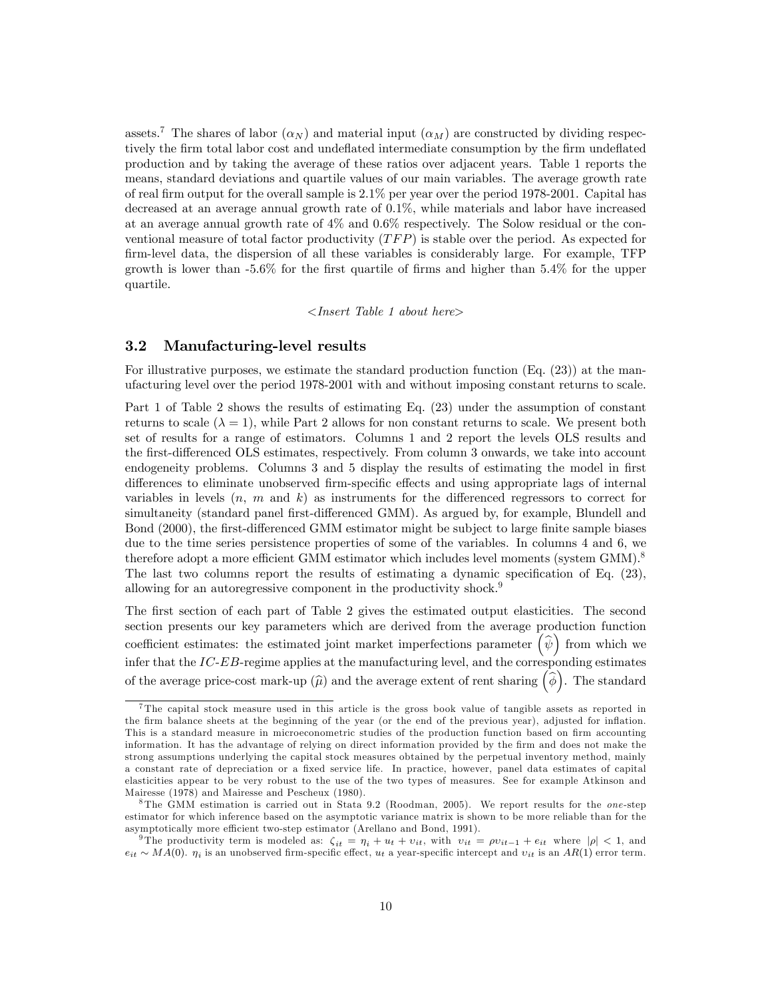assets.<sup>7</sup> The shares of labor  $(\alpha_N)$  and material input  $(\alpha_M)$  are constructed by dividing respectively the firm total labor cost and undeflated intermediate consumption by the firm undeflated production and by taking the average of these ratios over adjacent years. Table 1 reports the means, standard deviations and quartile values of our main variables. The average growth rate of real firm output for the overall sample is  $2.1\%$  per year over the period 1978-2001. Capital has decreased at an average annual growth rate of 0.1%, while materials and labor have increased at an average annual growth rate of 4% and 0.6% respectively. The Solow residual or the conventional measure of total factor productivity  $(TFP)$  is stable over the period. As expected for Örm-level data, the dispersion of all these variables is considerably large. For example, TFP growth is lower than  $-5.6\%$  for the first quartile of firms and higher than  $5.4\%$  for the upper quartile.

<Insert Table 1 about here>

#### 3.2 Manufacturing-level results

For illustrative purposes, we estimate the standard production function (Eq. (23)) at the manufacturing level over the period 1978-2001 with and without imposing constant returns to scale.

Part 1 of Table 2 shows the results of estimating Eq. (23) under the assumption of constant returns to scale  $(\lambda = 1)$ , while Part 2 allows for non constant returns to scale. We present both set of results for a range of estimators. Columns 1 and 2 report the levels OLS results and the first-differenced OLS estimates, respectively. From column 3 onwards, we take into account endogeneity problems. Columns 3 and 5 display the results of estimating the model in first differences to eliminate unobserved firm-specific effects and using appropriate lags of internal variables in levels  $(n, m \text{ and } k)$  as instruments for the differenced regressors to correct for simultaneity (standard panel first-differenced GMM). As argued by, for example, Blundell and Bond (2000), the first-differenced GMM estimator might be subject to large finite sample biases due to the time series persistence properties of some of the variables. In columns 4 and 6, we therefore adopt a more efficient GMM estimator which includes level moments (system  $GMM$ ).<sup>8</sup> The last two columns report the results of estimating a dynamic specification of Eq.  $(23)$ , allowing for an autoregressive component in the productivity shock.<sup>9</sup>

The first section of each part of Table 2 gives the estimated output elasticities. The second section presents our key parameters which are derived from the average production function coefficient estimates: the estimated joint market imperfections parameter  $(\hat{\psi})$  from which we infer that the  $IC$ - $EB$ -regime applies at the manufacturing level, and the corresponding estimates of the average price-cost mark-up  $(\widehat{\mu})$  and the average extent of rent sharing  $(\widehat{\phi})$ . The standard

<sup>&</sup>lt;sup>7</sup>The capital stock measure used in this article is the gross book value of tangible assets as reported in the firm balance sheets at the beginning of the year (or the end of the previous year), adjusted for inflation. This is a standard measure in microeconometric studies of the production function based on firm accounting information. It has the advantage of relying on direct information provided by the Örm and does not make the strong assumptions underlying the capital stock measures obtained by the perpetual inventory method, mainly a constant rate of depreciation or a fixed service life. In practice, however, panel data estimates of capital elasticities appear to be very robust to the use of the two types of measures. See for example Atkinson and Mairesse (1978) and Mairesse and Pescheux (1980).

 $8$ The GMM estimation is carried out in Stata 9.2 (Roodman, 2005). We report results for the *one*-step estimator for which inference based on the asymptotic variance matrix is shown to be more reliable than for the asymptotically more efficient two-step estimator (Arellano and Bond, 1991).

<sup>&</sup>lt;sup>9</sup>The productivity term is modeled as:  $\zeta_{it} = \eta_i + u_t + v_{it}$ , with  $v_{it} = \rho v_{it-1} + e_{it}$  where  $|\rho| < 1$ , and  $e_{it} \sim MA(0)$ .  $\eta_i$  is an unobserved firm-specific effect,  $u_t$  a year-specific intercept and  $v_{it}$  is an  $AR(1)$  error term.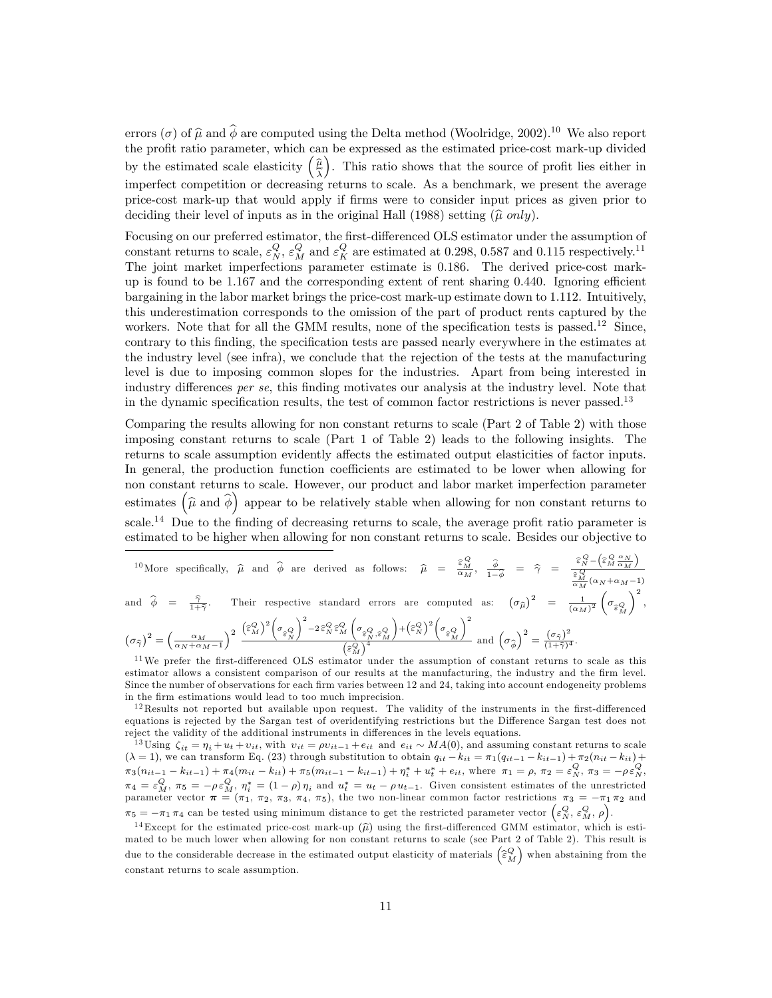errors ( $\sigma$ ) of  $\hat{\mu}$  and  $\hat{\phi}$  are computed using the Delta method (Woolridge, 2002).<sup>10</sup> We also report the profit ratio parameter, which can be expressed as the estimated price-cost mark-up divided by the estimated scale elasticity  $\left(\frac{\hat{\mu}}{\hat{\lambda}}\right)$ ). This ratio shows that the source of profit lies either in imperfect competition or decreasing returns to scale. As a benchmark, we present the average price-cost mark-up that would apply if Örms were to consider input prices as given prior to deciding their level of inputs as in the original Hall (1988) setting  $(\hat{\mu} \text{ only})$ .

Focusing on our preferred estimator, the first-differenced OLS estimator under the assumption of constant returns to scale,  $\varepsilon_N^Q$ ,  $\varepsilon_M^Q$  and  $\varepsilon_K^Q$  are estimated at 0.298, 0.587 and 0.115 respectively.<sup>11</sup> The joint market imperfections parameter estimate is 0.186. The derived price-cost markup is found to be  $1.167$  and the corresponding extent of rent sharing 0.440. Ignoring efficient bargaining in the labor market brings the price-cost mark-up estimate down to 1.112. Intuitively, this underestimation corresponds to the omission of the part of product rents captured by the workers. Note that for all the GMM results, none of the specification tests is passed.<sup>12</sup> Since, contrary to this finding, the specification tests are passed nearly everywhere in the estimates at the industry level (see infra), we conclude that the rejection of the tests at the manufacturing level is due to imposing common slopes for the industries. Apart from being interested in industry differences per se, this finding motivates our analysis at the industry level. Note that in the dynamic specification results, the test of common factor restrictions is never passed.<sup>13</sup>

Comparing the results allowing for non constant returns to scale (Part 2 of Table 2) with those imposing constant returns to scale (Part 1 of Table 2) leads to the following insights. The returns to scale assumption evidently affects the estimated output elasticities of factor inputs. In general, the production function coefficients are estimated to be lower when allowing for non constant returns to scale. However, our product and labor market imperfection parameter estimates  $(\widehat{\mu}$  and  $\widehat{\phi})$  appear to be relatively stable when allowing for non constant returns to scale.<sup>14</sup> Due to the finding of decreasing returns to scale, the average profit ratio parameter is estimated to be higher when allowing for non constant returns to scale. Besides our objective to

$$
{}^{10}\text{More specifically, }\hat{\mu} \text{ and } \hat{\phi} \text{ are derived as follows: } \hat{\mu} = \frac{\hat{\epsilon}_M^Q}{\alpha_M}, \frac{\hat{\phi}}{1-\hat{\phi}} = \hat{\gamma} = \frac{\hat{\epsilon}_N^Q - (\hat{\epsilon}_M^Q \frac{\alpha_N}{\alpha_M})}{\frac{\hat{\epsilon}_M^Q}{\alpha_M}(\alpha_N + \alpha_M - 1)}
$$
\n
$$
\text{and } \hat{\phi} = \frac{\hat{\gamma}}{1+\hat{\gamma}}. \text{ Their respective standard errors are computed as: } \left(\sigma_{\hat{\mu}}\right)^2 = \frac{1}{(\alpha_M)^2} \left(\sigma_{\hat{\epsilon}_M^Q}\right)^2,
$$
\n
$$
\left(\sigma_{\hat{\gamma}}\right)^2 = \left(\frac{\alpha_M}{\alpha_N + \alpha_M - 1}\right)^2 \frac{\left(\hat{\epsilon}_M^Q\right)^2 \left(\sigma_{\hat{\epsilon}_N^Q}\right)^2 - 2\hat{\epsilon}_N^Q \hat{\epsilon}_M^Q \left(\sigma_{\hat{\epsilon}_N^Q, \hat{\epsilon}_M^Q}\right) + \left(\hat{\epsilon}_N^Q\right)^2 \left(\sigma_{\hat{\epsilon}_M^Q}\right)^2}{\left(\hat{\epsilon}_M^Q\right)^4} \text{ and } \left(\sigma_{\hat{\phi}}\right)^2 = \frac{\left(\sigma_{\hat{\gamma}}\right)^2}{\left(1+\hat{\gamma}\right)^4}.
$$

 $\begin{pmatrix} a_N + a_M - 1 \end{pmatrix}$ <br><sup>11</sup>We prefer the first-differenced OLS estimator under the assumption of constant returns to scale as this estimator allows a consistent comparison of our results at the manufacturing, the industry and the firm level. Since the number of observations for each firm varies between 12 and 24, taking into account endogeneity problems in the firm estimations would lead to too much imprecision.

 $12$ Results not reported but available upon request. The validity of the instruments in the first-differenced equations is rejected by the Sargan test of overidentifying restrictions but the Difference Sargan test does not reject the validity of the additional instruments in differences in the levels equations.

<sup>13</sup>Using  $\zeta_{it} = \eta_i + u_t + v_{it}$ , with  $v_{it} = \rho v_{it-1} + e_{it}$  and  $e_{it} \sim MA(0)$ , and assuming constant returns to scale  $(\lambda = 1)$ , we can transform Eq. (23) through substitution to obtain  $q_{it} - k_{it} = \pi_1(q_{it-1} - k_{it-1}) + \pi_2(n_{it} - k_{it}) +$  $\pi_3(n_{it-1} - k_{it-1}) + \pi_4(m_{it} - k_{it}) + \pi_5(m_{it-1} - k_{it-1}) + \eta_i^* + u_t^* + e_{it}$ , where  $\pi_1 = \rho$ ,  $\pi_2 = \varepsilon_N^Q$ ,  $\pi_3 = -\rho \varepsilon_N^Q$ ,  $\pi_4 = \varepsilon_M^Q$ ,  $\pi_5 = -\rho \varepsilon_M^Q$ ,  $\eta_i^* = (1 - \rho)\eta_i$  and  $u_t^* = u_t - \rho u_{t-1}$ . Given consistent estimates of the unrestricted parameter vector  $\pi = (\pi_1, \pi_2, \pi_3, \pi_4, \pi_5)$ , the two non-linear common factor restrictions  $\pi_3 = -\pi_1 \pi_2$  and  $\pi_5 = -\pi_1 \pi_4$  can be tested using minimum distance to get the restricted parameter vector  $\left(\varepsilon_N^Q, \varepsilon_M^Q, \rho\right)$ .

<sup>14</sup>Except for the estimated price-cost mark-up  $(\hat{\mu})$  using the first-differenced GMM estimator, which is estimated to be much lower when allowing for non constant returns to scale (see Part 2 of Table 2). This result is due to the considerable decrease in the estimated output elasticity of materials  $\left(\widehat{\varepsilon}_{M}^{Q}\right)$  when abstaining from the constant returns to scale assumption.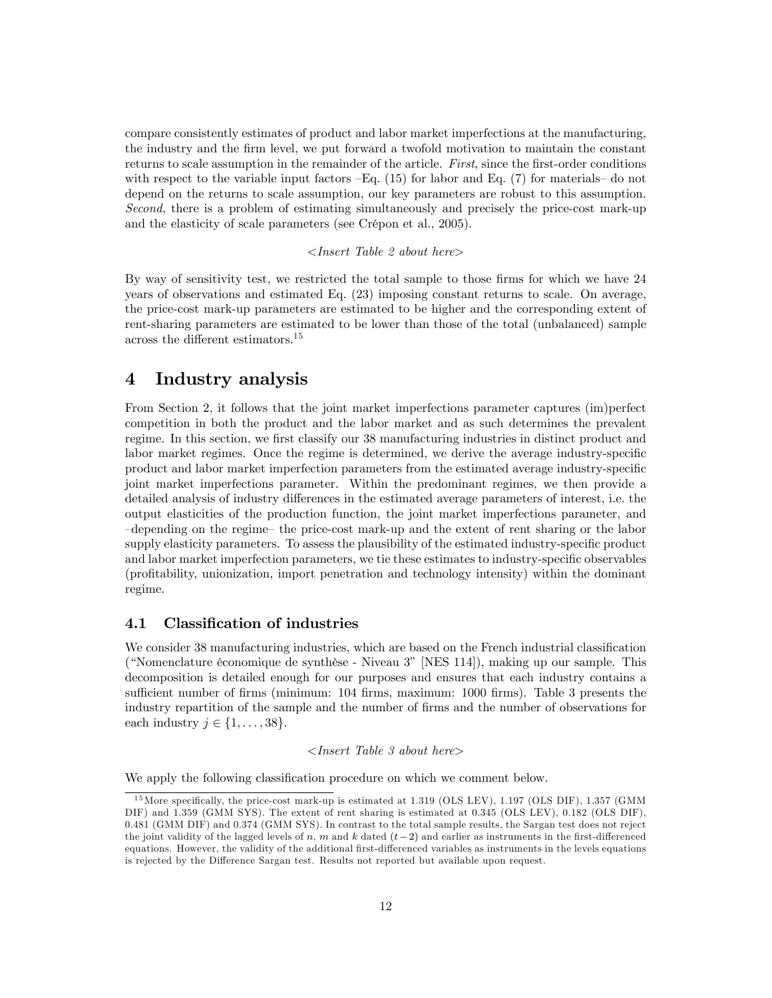compare consistently estimates of product and labor market imperfections at the manufacturing, the industry and the Örm level, we put forward a twofold motivation to maintain the constant returns to scale assumption in the remainder of the article. First, since the first-order conditions with respect to the variable input factors  $-Eq$ . (15) for labor and Eq. (7) for materials  $-\text{ do not}$ depend on the returns to scale assumption, our key parameters are robust to this assumption. Second, there is a problem of estimating simultaneously and precisely the price-cost mark-up and the elasticity of scale parameters (see Crépon et al., 2005).

#### <Insert Table 2 about here>

By way of sensitivity test, we restricted the total sample to those firms for which we have 24 years of observations and estimated Eq. (23) imposing constant returns to scale. On average, the price-cost mark-up parameters are estimated to be higher and the corresponding extent of rent-sharing parameters are estimated to be lower than those of the total (unbalanced) sample across the different estimators. $^{15}$ 

# 4 Industry analysis

From Section 2, it follows that the joint market imperfections parameter captures (im)perfect competition in both the product and the labor market and as such determines the prevalent regime. In this section, we first classify our 38 manufacturing industries in distinct product and labor market regimes. Once the regime is determined, we derive the average industry-specific product and labor market imperfection parameters from the estimated average industry-specific joint market imperfections parameter. Within the predominant regimes, we then provide a detailed analysis of industry differences in the estimated average parameters of interest, i.e. the output elasticities of the production function, the joint market imperfections parameter, and -depending on the regime- the price-cost mark-up and the extent of rent sharing or the labor supply elasticity parameters. To assess the plausibility of the estimated industry-specific product and labor market imperfection parameters, we tie these estimates to industry-specific observables (proÖtability, unionization, import penetration and technology intensity) within the dominant regime.

### 4.1 Classification of industries

We consider 38 manufacturing industries, which are based on the French industrial classification ("Nomenclature économique de synthèse - Niveau  $3$ " [NES 114]), making up our sample. This decomposition is detailed enough for our purposes and ensures that each industry contains a sufficient number of firms (minimum: 104 firms, maximum: 1000 firms). Table 3 presents the industry repartition of the sample and the number of firms and the number of observations for each industry  $j \in \{1, \ldots, 38\}.$ 

### $\langle$  Insert Table 3 about here $\rangle$

We apply the following classification procedure on which we comment below.

<sup>&</sup>lt;sup>15</sup> More specifically, the price-cost mark-up is estimated at 1.319 (OLS LEV), 1.197 (OLS DIF), 1.357 (GMM DIF) and 1.359 (GMM SYS). The extent of rent sharing is estimated at 0.345 (OLS LEV), 0.182 (OLS DIF), 0.481 (GMM DIF) and 0.374 (GMM SYS). In contrast to the total sample results, the Sargan test does not reject the joint validity of the lagged levels of n, m and k dated  $(t-2)$  and earlier as instruments in the first-differenced equations. However, the validity of the additional first-differenced variables as instruments in the levels equations is rejected by the Difference Sargan test. Results not reported but available upon request.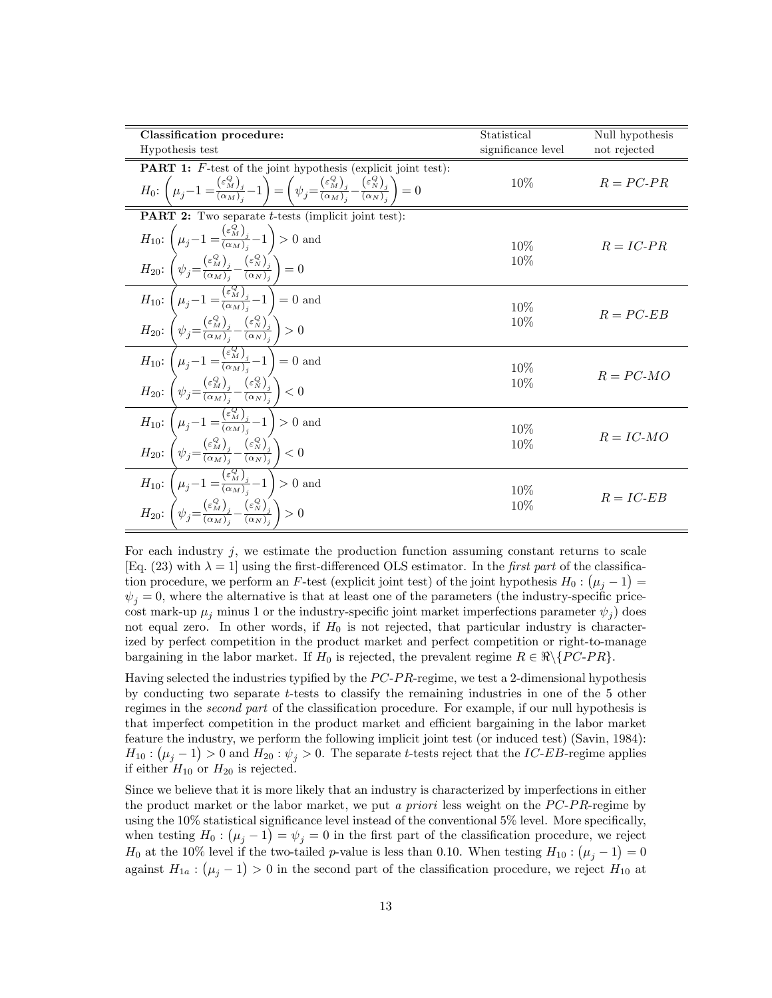| Classification procedure:                                                                                                                                                                                                                                                                                                                                                                                                                                                                            | Statistical        | Null hypothesis |
|------------------------------------------------------------------------------------------------------------------------------------------------------------------------------------------------------------------------------------------------------------------------------------------------------------------------------------------------------------------------------------------------------------------------------------------------------------------------------------------------------|--------------------|-----------------|
| Hypothesis test                                                                                                                                                                                                                                                                                                                                                                                                                                                                                      | significance level | not rejected    |
| <b>PART 1:</b> F-test of the joint hypothesis (explicit joint test):                                                                                                                                                                                                                                                                                                                                                                                                                                 |                    |                 |
| $H_0: \left(\mu_j-1=\frac{(\varepsilon_M^Q)_j}{(\alpha_M)_j}-1\right)=\left(\psi_j=\frac{(\varepsilon_M^Q)_j}{(\alpha_M)_j}-\frac{(\varepsilon_N^Q)_j}{(\alpha_N)_j}\right)=0$                                                                                                                                                                                                                                                                                                                       | $10\%$             | $R = PC-PR$     |
| <b>PART 2:</b> Two separate <i>t</i> -tests (implicit joint test):                                                                                                                                                                                                                                                                                                                                                                                                                                   |                    |                 |
| $\begin{array}{l} H_{10}\colon \left(\mu_j\!-\!1=\!\frac{\left(\varepsilon_{{\scriptscriptstyle M}}^{\bar{Q}}\right)_j}{\left(\alpha_{{\scriptscriptstyle M}}\right)_j}\!\!-\!1\right)\!>\!0\ \mathrm{and}\\ H_{20}\colon \left(\psi_j\!=\!\frac{\left(\varepsilon_{{\scriptscriptstyle M}}^Q\right)_j}{\left(\alpha_{{\scriptscriptstyle M}}\right)_j}\!\!-\!\frac{\left(\varepsilon_{{\scriptscriptstyle N}}^Q\right)_j}{\left(\alpha_{{\scriptscriptstyle N}}\right)_j}\right)\!=\!0 \end{array}$ | $10\%$<br>10%      | $R = IC-PR$     |
| $\begin{array}{c} \hbox{1.5cm} \begin{array}{c} \hbox{1.5cm} \begin{array}{c} \hbox{1.5cm} \begin{array}{c} \hbox{1.5cm} \begin{array}{c} \hbox{1.5cm} \end{array} \end{array} \end{array} \hbox{and} \end{array} \\ \hline \begin{array}{c} H_{10} \colon \begin{array}{c} \hbox{1.5cm} \begin{array}{c} \hbox{1.5cm} \end{array} \end{array} \hbox{and} \end{array} \end{array} \\ \hline \begin{array}{c} H_{20} \colon \begin{array}{c} \hbox{1.5cm} \begin{array$                               | 10%                | $R = PC$ -ER    |
|                                                                                                                                                                                                                                                                                                                                                                                                                                                                                                      | 10%                |                 |
| $H_{10}: \overbrace{\left(\mu_j-1=\frac{\left(\varepsilon_{M}^{Q}\right)_{j}}{\left(\alpha_{M}\right)_{j}}-1\right)}^{(\varepsilon_{M}^{Q})}=0 \text{ and}$<br>$H_{20}: \overbrace{\left(\psi_j=\frac{\left(\varepsilon_{M}^{Q}\right)_{j}}{\left(\alpha_{M}\right)_{j}}-\frac{\left(\varepsilon_{N}^{Q}\right)_{j}}{\left(\alpha_{N}\right)_{j}}\right)}^{(\varepsilon_{M})}<0$                                                                                                                     | $10\%$             | $R = PC-MO$     |
|                                                                                                                                                                                                                                                                                                                                                                                                                                                                                                      | 10%                |                 |
| $\begin{split} &\frac{25}{H_{10}:\left(\mu_j-1=\frac{\left(\varepsilon_{M}^{Q}\right)_{j}}{\left(\alpha_{M}\right)_{j}}-1\right)>0\text{ and}}\\ &H_{20}:\left(\psi_j=\frac{\left(\varepsilon_{M}^{Q}\right)_{j}}{\left(\alpha_{M}\right)_{j}}-\frac{\left(\varepsilon_{N}^{Q}\right)_{j}}{\left(\alpha_{N}\right)_{j}}\right)<0 \end{split}$                                                                                                                                                        | $10\%$             | $R = IC-MO$     |
|                                                                                                                                                                                                                                                                                                                                                                                                                                                                                                      | 10%                |                 |
| $\begin{array}{c}\hline \hline H_{10}\colon \left(\mu_j\!-\!1\!=\!\!\frac{\left(\varepsilon_{M}^{Q}\right)_{j}}{\left(\alpha_{M}\right)_{j}}\!-\!1\right) > 0 \text{ and} \\ H_{20}\colon \left(\psi_{j}\!=\!\frac{\left(\varepsilon_{M}^{Q}\right)_{j}}{\left(\alpha_{M}\right)_{j}}\!-\!\frac{\left(\varepsilon_{N}^{Q}\right)_{j}}{\left(\alpha_{N}\right)_{j}}\right) > 0 \end{array}$                                                                                                           | 10%                | $R = IC$ -EB    |
|                                                                                                                                                                                                                                                                                                                                                                                                                                                                                                      | 10%                |                 |

For each industry  $j$ , we estimate the production function assuming constant returns to scale [Eq. (23) with  $\lambda = 1$ ] using the first-differenced OLS estimator. In the *first part* of the classification procedure, we perform an F-test (explicit joint test) of the joint hypothesis  $H_0: (\mu_j - 1) =$  $\psi_i = 0$ , where the alternative is that at least one of the parameters (the industry-specific pricecost mark-up  $\mu_j$  minus 1 or the industry-specific joint market imperfections parameter  $\psi_j$ ) does not equal zero. In other words, if  $H_0$  is not rejected, that particular industry is characterized by perfect competition in the product market and perfect competition or right-to-manage bargaining in the labor market. If  $H_0$  is rejected, the prevalent regime  $R \in \mathbb{R} \setminus \{PC-PR\}$ .

Having selected the industries typified by the  $PC-PR$ -regime, we test a 2-dimensional hypothesis by conducting two separate t-tests to classify the remaining industries in one of the 5 other regimes in the *second part* of the classification procedure. For example, if our null hypothesis is that imperfect competition in the product market and efficient bargaining in the labor market feature the industry, we perform the following implicit joint test (or induced test) (Savin, 1984):  $H_{10}$ :  $(\mu_j - 1) > 0$  and  $H_{20}$ :  $\psi_j > 0$ . The separate t-tests reject that the *IC-EB*-regime applies if either  $H_{10}$  or  $H_{20}$  is rejected.

Since we believe that it is more likely that an industry is characterized by imperfections in either the product market or the labor market, we put a priori less weight on the  $PC-PR$ -regime by using the  $10\%$  statistical significance level instead of the conventional  $5\%$  level. More specifically, when testing  $H_0: (\mu_j - 1) = \psi_j = 0$  in the first part of the classification procedure, we reject  $H_0$  at the 10% level if the two-tailed p-value is less than 0.10. When testing  $H_{10}$ :  $(\mu_j - 1) = 0$ against  $H_{1a}$ :  $(\mu_j - 1) > 0$  in the second part of the classification procedure, we reject  $H_{10}$  at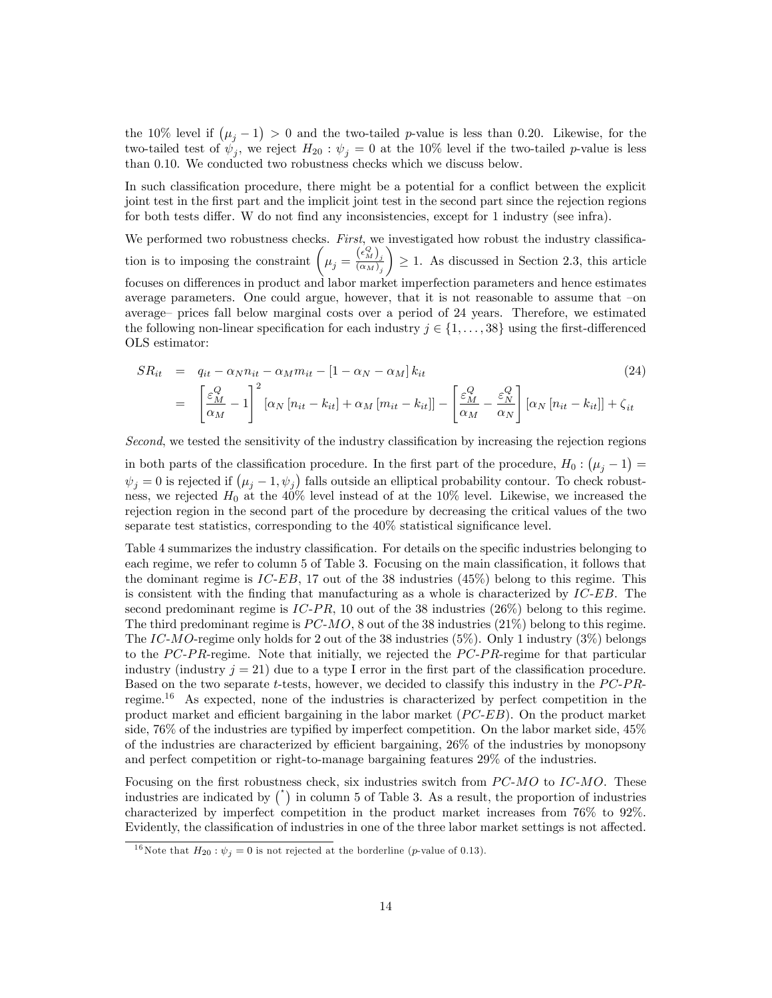the 10% level if  $(\mu_j - 1) > 0$  and the two-tailed p-value is less than 0.20. Likewise, for the two-tailed test of  $\psi_j$ , we reject  $H_{20}$ :  $\psi_j = 0$  at the 10% level if the two-tailed p-value is less than 0.10. We conducted two robustness checks which we discuss below.

In such classification procedure, there might be a potential for a conflict between the explicit joint test in the first part and the implicit joint test in the second part since the rejection regions for both tests differ. W do not find any inconsistencies, except for 1 industry (see infra).

We performed two robustness checks. First, we investigated how robust the industry classification is to imposing the constraint  $(\mu_j = \frac{(\epsilon_M^Q)}{(\alpha_M)_j})$  $\setminus$  $\geq$  1. As discussed in Section 2.3, this article focuses on differences in product and labor market imperfection parameters and hence estimates average parameters. One could argue, however, that it is not reasonable to assume that  $-$ on average– prices fall below marginal costs over a period of 24 years. Therefore, we estimated the following non-linear specification for each industry  $j \in \{1, \ldots, 38\}$  using the first-differenced OLS estimator:

$$
SR_{it} = q_{it} - \alpha_N n_{it} - \alpha_M m_{it} - [1 - \alpha_N - \alpha_M] k_{it}
$$
\n
$$
= \left[ \frac{\varepsilon_M^Q}{\alpha_M} - 1 \right]^2 [\alpha_N [n_{it} - k_{it}] + \alpha_M [m_{it} - k_{it}]] - \left[ \frac{\varepsilon_M^Q}{\alpha_M} - \frac{\varepsilon_N^Q}{\alpha_N} \right] [\alpha_N [n_{it} - k_{it}]] + \zeta_{it}
$$
\n(24)

Second, we tested the sensitivity of the industry classification by increasing the rejection regions

in both parts of the classification procedure. In the first part of the procedure,  $H_0: (\mu_j - 1) =$  $\psi_j = 0$  is rejected if  $(\mu_j - 1, \psi_j)$  falls outside an elliptical probability contour. To check robustness, we rejected  $H_0$  at the 40% level instead of at the 10% level. Likewise, we increased the rejection region in the second part of the procedure by decreasing the critical values of the two separate test statistics, corresponding to the  $40\%$  statistical significance level.

Table 4 summarizes the industry classification. For details on the specific industries belonging to each regime, we refer to column 5 of Table 3. Focusing on the main classification, it follows that the dominant regime is  $IC-EB$ , 17 out of the 38 industries (45%) belong to this regime. This is consistent with the finding that manufacturing as a whole is characterized by  $IC-EB$ . The second predominant regime is  $IC-PR$ , 10 out of the 38 industries (26%) belong to this regime. The third predominant regime is  $PC-MO$ , 8 out of the 38 industries (21%) belong to this regime. The IC-MO-regime only holds for 2 out of the 38 industries  $(5\%)$ . Only 1 industry  $(3\%)$  belongs to the  $PC-PR$ -regime. Note that initially, we rejected the  $PC-PR$ -regime for that particular industry (industry  $j = 21$ ) due to a type I error in the first part of the classification procedure. Based on the two separate t-tests, however, we decided to classify this industry in the  $PC-PR$ regime.<sup>16</sup> As expected, none of the industries is characterized by perfect competition in the product market and efficient bargaining in the labor market  $(PC-EB)$ . On the product market side,  $76\%$  of the industries are typified by imperfect competition. On the labor market side,  $45\%$ of the industries are characterized by efficient bargaining,  $26\%$  of the industries by monopsony and perfect competition or right-to-manage bargaining features 29% of the industries.

Focusing on the first robustness check, six industries switch from  $PC-MO$  to  $IC-MO$ . These industries are indicated by  $\binom{1}{k}$  in column 5 of Table 3. As a result, the proportion of industries characterized by imperfect competition in the product market increases from 76% to 92%. Evidently, the classification of industries in one of the three labor market settings is not affected.

<sup>&</sup>lt;sup>16</sup>Note that  $H_{20}$ :  $\psi_j = 0$  is not rejected at the borderline (*p*-value of 0.13).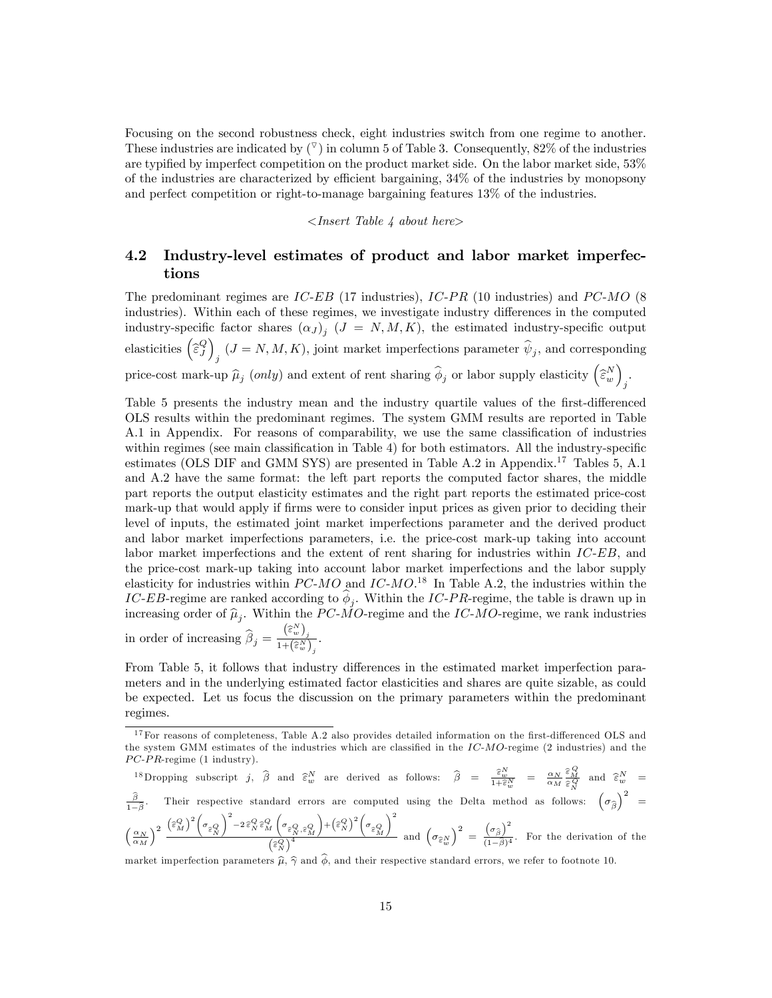Focusing on the second robustness check, eight industries switch from one regime to another. These industries are indicated by  $(\bar{v})$  in column 5 of Table 3. Consequently, 82% of the industries are typified by imperfect competition on the product market side. On the labor market side, 53% of the industries are characterized by efficient bargaining,  $34\%$  of the industries by monopsony and perfect competition or right-to-manage bargaining features 13% of the industries.

 $\langle$ Insert Table 4 about here $\rangle$ 

### 4.2 Industry-level estimates of product and labor market imperfections

The predominant regimes are IC-EB (17 industries), IC-PR (10 industries) and  $PC-MO$  (8 industries). Within each of these regimes, we investigate industry differences in the computed industry-specific factor shares  $(\alpha_J)_j$   $(J = N, M, K)$ , the estimated industry-specific output elasticities  $\begin{pmatrix} \hat{\varepsilon}^{Q}_J \end{pmatrix}$  $j$   $(J = N, M, K)$ , joint market imperfections parameter  $\psi_j$ , and corresponding price-cost mark-up  $\hat{\mu}_j$  (only) and extent of rent sharing  $\hat{\phi}_j$  or labor supply elasticity  $(\hat{\epsilon}_w^N)$ j .

Table 5 presents the industry mean and the industry quartile values of the first-differenced OLS results within the predominant regimes. The system GMM results are reported in Table A.1 in Appendix. For reasons of comparability, we use the same classification of industries within regimes (see main classification in Table 4) for both estimators. All the industry-specific estimates (OLS DIF and GMM SYS) are presented in Table A.2 in Appendix.<sup>17</sup> Tables 5, A.1 and A.2 have the same format: the left part reports the computed factor shares, the middle part reports the output elasticity estimates and the right part reports the estimated price-cost mark-up that would apply if firms were to consider input prices as given prior to deciding their level of inputs, the estimated joint market imperfections parameter and the derived product and labor market imperfections parameters, i.e. the price-cost mark-up taking into account labor market imperfections and the extent of rent sharing for industries within IC-EB, and the price-cost mark-up taking into account labor market imperfections and the labor supply elasticity for industries within  $PC-MO$  and  $IC-MO$ .<sup>18</sup> In Table A.2, the industries within the IC-EB-regime are ranked according to  $\phi_j$ . Within the IC-PR-regime, the table is drawn up in increasing order of  $\hat{\mu}_j$ . Within the PC-MO-regime and the IC-MO-regime, we rank industries in order of increasing  $\widehat{\beta}_j = \frac{\left(\widehat{\varepsilon}_{w}^N\right)_j}{1 + \left(\widehat{\varepsilon}_{w}^N\right)_j}$ .

From Table 5, it follows that industry differences in the estimated market imperfection parameters and in the underlying estimated factor elasticities and shares are quite sizable, as could be expected. Let us focus the discussion on the primary parameters within the predominant regimes.

<sup>18</sup>Dropping subscript  $j$ ,  $\hat{\beta}$  and  $\hat{\epsilon}^N_w$  are derived as follows:  $\hat{\beta} = \frac{\hat{\epsilon}^N_w}{1 + \hat{\epsilon}^N_w} = \frac{\alpha_N}{\alpha_M} \frac{\hat{\epsilon}^Q_M}{\hat{\epsilon}^Q_N}$  and  $\hat{\epsilon}^N_w$  $\frac{\beta}{1-\widehat{\beta}}$ .  $1-\beta$ Their respective standard errors are computed using the Delta method as follows:  $(\sigma_{\widehat{\beta}})^2$  =  $\left(\frac{\alpha_N}{\alpha_M}\right)$  $\lambda^2\ \left(\widehat{\varepsilon}_M^Q\right)^2 \Biggl(\sigma_{\widehat{\varepsilon}_N^Q}$  $\bigg)^2 - 2\, \widehat{\varepsilon}_{N}^Q \, \widehat{\varepsilon}_{M}^Q$  $\Biggl(\sigma_{\widehat{\varepsilon}_{N}^{Q},\widehat{\varepsilon}_{M}^{Q}}% ,\,\,\widehat{\varepsilon}_{M}^{Q,\partial_{M}}\Bigl(\sigma_{\widehat{\varepsilon}_{N}^{Q},\widehat{\varepsilon}_{M}^{Q}}\Bigl(\delta_{M}^{Q,\partial_{M}}% ,\,\,\widehat{\varepsilon}_{M}^{Q,\partial_{M}}\Bigl(\varepsilon_{M}^{Q,\partial_{M}}% ,\,\,\widehat{\varepsilon}_{M}^{Q,\partial_{M}}\Bigl(\varepsilon_{M}^{Q,\partial_{M}}% ,\,\,\widehat{\varepsilon}_{M}^{Q,\partial_{M}}% ,\,\,\widehat{\varepsilon}_{M}^{Q,\partial_{M}}\Big$  $\Bigg) + \Big(\widehat{\varepsilon}_{N}^{Q}\Big)^2 \Bigg( \sigma_{\widehat{\varepsilon}_{M}^{Q}}$  $\setminus$  2  $\frac{\left(\widehat{\epsilon}_{N}^{Q},\widehat{\epsilon}_{M}^{Q}\right)^{+}\left(\widehat{\epsilon}_{N}\right)}{\left(\widehat{\epsilon}_{N}^{Q}\right)^{4}}$  and  $\left(\sigma_{\widehat{\epsilon}_{N}^{N}}\right)^{2}$  =  $\left(\sigma_{\widehat{\beta}}\right)^2$  $\frac{\sqrt{\beta}}{(1-\widehat{\beta})^4}$ . For the derivation of the

market imperfection parameters  $\hat{\mu}$ ,  $\hat{\gamma}$  and  $\hat{\phi}$ , and their respective standard errors, we refer to footnote 10.

 $17$  For reasons of completeness, Table A.2 also provides detailed information on the first-differenced OLS and the system GMM estimates of the industries which are classified in the  $IC-MO$ -regime (2 industries) and the  $PC$ - $PR$ -regime (1 industry).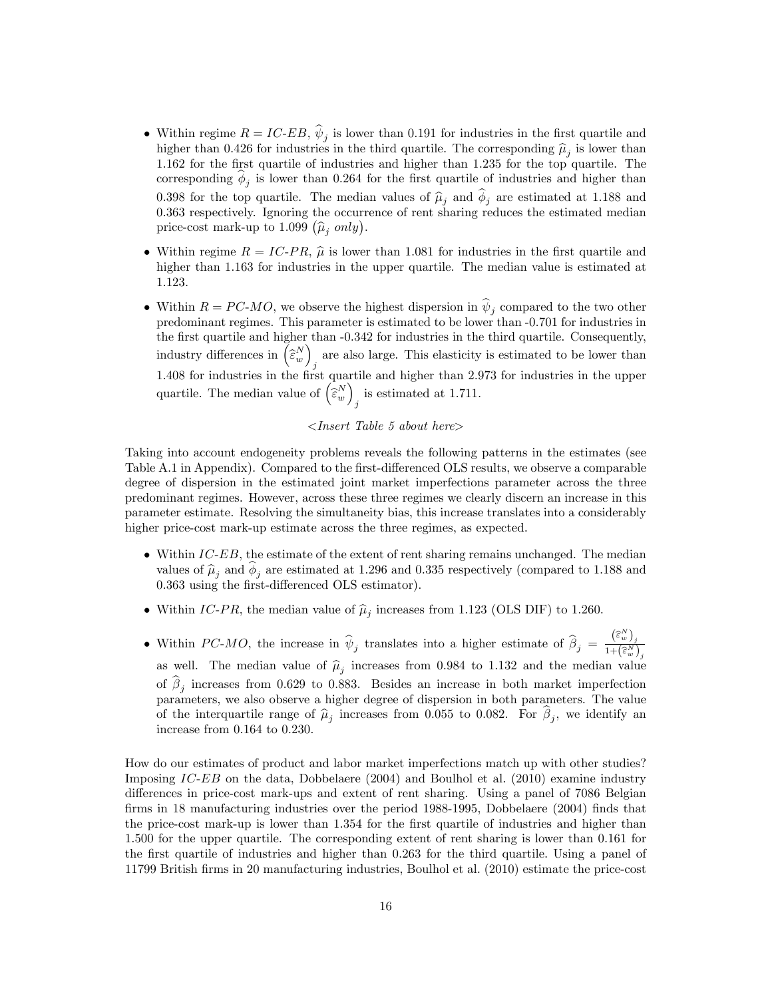- Within regime  $R = IC-EB$ ,  $\psi_j$  is lower than 0.191 for industries in the first quartile and higher than 0.426 for industries in the third quartile. The corresponding  $\hat{\mu}_j$  is lower than 1.162 for the first quartile of industries and higher than 1.235 for the top quartile. The corresponding  $\phi_j$  is lower than 0.264 for the first quartile of industries and higher than 0.398 for the top quartile. The median values of  $\hat{\mu}_j$  and  $\phi_j$  are estimated at 1.188 and 0.363 respectively. Ignoring the occurrence of rent sharing reduces the estimated median price-cost mark-up to 1.099  $(\hat{\mu}_j \text{ only}).$
- Within regime  $R = IC-PR$ ,  $\hat{\mu}$  is lower than 1.081 for industries in the first quartile and higher than 1.163 for industries in the upper quartile. The median value is estimated at 1.123.
- Within  $R = PC-MO$ , we observe the highest dispersion in  $\psi_j$  compared to the two other predominant regimes. This parameter is estimated to be lower than -0.701 for industries in the first quartile and higher than  $-0.342$  for industries in the third quartile. Consequently, industry differences in  $\left(\widehat{\varepsilon}^N_w\right)$ are also large. This elasticity is estimated to be lower than  $j$ 1.408 for industries in the Örst quartile and higher than 2.973 for industries in the upper quartile. The median value of  $\begin{pmatrix} z^N \\ \hat{\epsilon}^w \end{pmatrix}$ is estimated at 1.711.

#### $\langle$ Insert Table 5 about here $\rangle$

Taking into account endogeneity problems reveals the following patterns in the estimates (see Table A.1 in Appendix). Compared to the first-differenced OLS results, we observe a comparable degree of dispersion in the estimated joint market imperfections parameter across the three predominant regimes. However, across these three regimes we clearly discern an increase in this parameter estimate. Resolving the simultaneity bias, this increase translates into a considerably higher price-cost mark-up estimate across the three regimes, as expected.

- $\bullet$  Within IC-EB, the estimate of the extent of rent sharing remains unchanged. The median values of  $\hat{\mu}_j$  and  $\phi_j$  are estimated at 1.296 and 0.335 respectively (compared to 1.188 and 0.363 using the first-differenced OLS estimator).
- Within IC-PR, the median value of  $\hat{\mu}_j$  increases from 1.123 (OLS DIF) to 1.260.
- Within PC-MO, the increase in  $\hat{\psi}_j$  translates into a higher estimate of  $\hat{\beta}_j = \frac{(\hat{\varepsilon}_w^N)_j}{1 + (\hat{\varepsilon}_w^N)_j}$ as well. The median value of  $\hat{\mu}_j$  increases from 0.984 to 1.132 and the median value of  $\beta_j$  increases from 0.629 to 0.883. Besides an increase in both market imperfection parameters, we also observe a higher degree of dispersion in both parameters. The value of the interquartile range of  $\hat{\mu}_j$  increases from 0.055 to 0.082. For  $\beta_j$ , we identify an increase from 0.164 to 0.230.

How do our estimates of product and labor market imperfections match up with other studies? Imposing IC-EB on the data, Dobbelaere (2004) and Boulhol et al. (2010) examine industry differences in price-cost mark-ups and extent of rent sharing. Using a panel of 7086 Belgian firms in 18 manufacturing industries over the period 1988-1995, Dobbelaere (2004) finds that the price-cost mark-up is lower than 1.354 for the first quartile of industries and higher than 1.500 for the upper quartile. The corresponding extent of rent sharing is lower than 0.161 for the first quartile of industries and higher than 0.263 for the third quartile. Using a panel of 11799 British Örms in 20 manufacturing industries, Boulhol et al. (2010) estimate the price-cost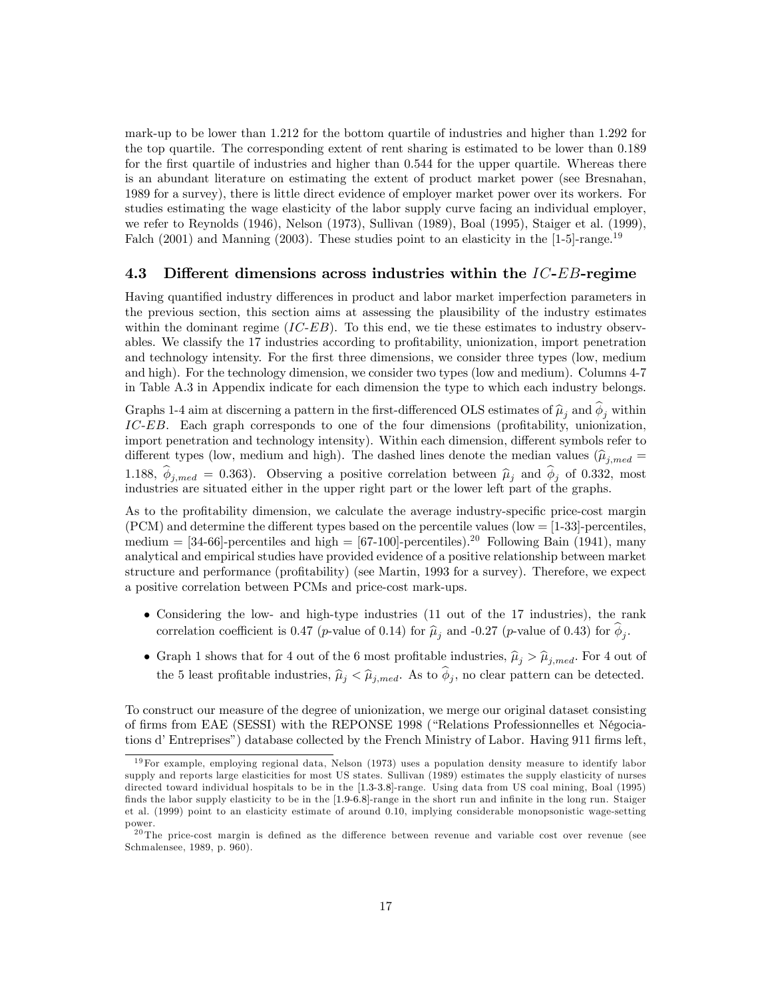mark-up to be lower than 1.212 for the bottom quartile of industries and higher than 1.292 for the top quartile. The corresponding extent of rent sharing is estimated to be lower than 0.189 for the first quartile of industries and higher than 0.544 for the upper quartile. Whereas there is an abundant literature on estimating the extent of product market power (see Bresnahan, 1989 for a survey), there is little direct evidence of employer market power over its workers. For studies estimating the wage elasticity of the labor supply curve facing an individual employer, we refer to Reynolds (1946), Nelson (1973), Sullivan (1989), Boal (1995), Staiger et al. (1999), Falch (2001) and Manning (2003). These studies point to an elasticity in the [1-5]-range.<sup>19</sup>

#### 4.3 Different dimensions across industries within the  $IC-EB$ -regime

Having quantified industry differences in product and labor market imperfection parameters in the previous section, this section aims at assessing the plausibility of the industry estimates within the dominant regime  $(IC-EB)$ . To this end, we tie these estimates to industry observables. We classify the 17 industries according to profitability, unionization, import penetration and technology intensity. For the first three dimensions, we consider three types (low, medium and high). For the technology dimension, we consider two types (low and medium). Columns 4-7 in Table A.3 in Appendix indicate for each dimension the type to which each industry belongs.

Graphs 1-4 aim at discerning a pattern in the first-differenced OLS estimates of  $\hat{\mu}_j$  and  $\phi_j$  within  $IC-EB$ . Each graph corresponds to one of the four dimensions (profitability, unionization, import penetration and technology intensity). Within each dimension, different symbols refer to different types (low, medium and high). The dashed lines denote the median values  $(\hat{\mu}_{j,med} =$ 1.188,  $\phi_{j,med} = 0.363$ . Observing a positive correlation between  $\hat{\mu}_j$  and  $\phi_j$  of 0.332, most industries are situated either in the upper right part or the lower left part of the graphs.

As to the profitability dimension, we calculate the average industry-specific price-cost margin  $(PCM)$  and determine the different types based on the percentile values  $(low = [1-33]$ -percentiles, medium =  $[34-66]$ -percentiles and high =  $[67-100]$ -percentiles).<sup>20</sup> Following Bain (1941), many analytical and empirical studies have provided evidence of a positive relationship between market structure and performance (profitability) (see Martin, 1993 for a survey). Therefore, we expect a positive correlation between PCMs and price-cost mark-ups.

- Considering the low- and high-type industries (11 out of the 17 industries), the rank correlation coefficient is 0.47 (*p*-value of 0.14) for  $\hat{\mu}_j$  and -0.27 (*p*-value of 0.43) for  $\phi_j$ .
- Graph 1 shows that for 4 out of the 6 most profitable industries,  $\hat{\mu}_j > \hat{\mu}_{j,med}$ . For 4 out of the 5 least profitable industries,  $\hat{\mu}_j < \hat{\mu}_{j,med}$ . As to  $\phi_j$ , no clear pattern can be detected.

To construct our measure of the degree of unionization, we merge our original dataset consisting of firms from EAE (SESSI) with the REPONSE 1998 ("Relations Professionnelles et Négociations d'Entreprises") database collected by the French Ministry of Labor. Having 911 firms left,

 $19$  For example, employing regional data, Nelson (1973) uses a population density measure to identify labor supply and reports large elasticities for most US states. Sullivan (1989) estimates the supply elasticity of nurses directed toward individual hospitals to be in the [1:3-3:8]-range. Using data from US coal mining, Boal (1995) finds the labor supply elasticity to be in the [1.9-6.8]-range in the short run and infinite in the long run. Staiger et al. (1999) point to an elasticity estimate of around 0.10, implying considerable monopsonistic wage-setting power.

 $^{20}$ The price-cost margin is defined as the difference between revenue and variable cost over revenue (see Schmalensee, 1989, p. 960).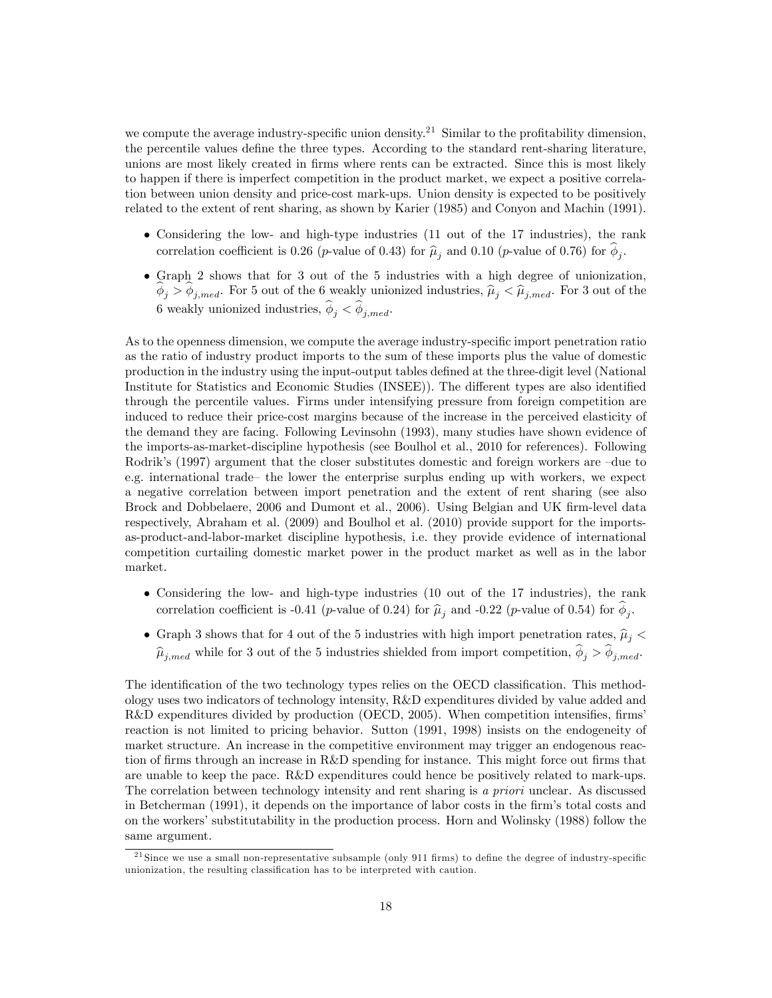we compute the average industry-specific union density.<sup>21</sup> Similar to the profitability dimension, the percentile values define the three types. According to the standard rent-sharing literature, unions are most likely created in firms where rents can be extracted. Since this is most likely to happen if there is imperfect competition in the product market, we expect a positive correlation between union density and price-cost mark-ups. Union density is expected to be positively related to the extent of rent sharing, as shown by Karier (1985) and Conyon and Machin (1991).

- Considering the low- and high-type industries (11 out of the 17 industries), the rank correlation coefficient is 0.26 (*p*-value of 0.43) for  $\hat{\mu}_j$  and 0.10 (*p*-value of 0.76) for  $\phi_j$ .
- Graph 2 shows that for 3 out of the 5 industries with a high degree of unionization,  $\phi_j > \phi_{j,med}$ . For 5 out of the 6 weakly unionized industries,  $\hat{\mu}_j < \hat{\mu}_{j,med}$ . For 3 out of the 6 weakly unionized industries,  $\phi_j < \phi_{j,med}$ .

As to the openness dimension, we compute the average industry-specific import penetration ratio as the ratio of industry product imports to the sum of these imports plus the value of domestic production in the industry using the input-output tables defined at the three-digit level (National Institute for Statistics and Economic Studies (INSEE)). The different types are also identified through the percentile values. Firms under intensifying pressure from foreign competition are induced to reduce their price-cost margins because of the increase in the perceived elasticity of the demand they are facing. Following Levinsohn (1993), many studies have shown evidence of the imports-as-market-discipline hypothesis (see Boulhol et al., 2010 for references). Following Rodrik's (1997) argument that the closer substitutes domestic and foreign workers are  $-\text{due to}$ e.g. international trade the lower the enterprise surplus ending up with workers, we expect a negative correlation between import penetration and the extent of rent sharing (see also Brock and Dobbelaere, 2006 and Dumont et al., 2006). Using Belgian and UK firm-level data respectively, Abraham et al. (2009) and Boulhol et al. (2010) provide support for the importsas-product-and-labor-market discipline hypothesis, i.e. they provide evidence of international competition curtailing domestic market power in the product market as well as in the labor market.

- Considering the low- and high-type industries (10 out of the 17 industries), the rank correlation coefficient is -0.41 (*p*-value of 0.24) for  $\hat{\mu}_j$  and -0.22 (*p*-value of 0.54) for  $\phi_j$ .
- Graph 3 shows that for 4 out of the 5 industries with high import penetration rates,  $\hat{\mu}_j$  <  $\widehat{\mu}_{j,med}$  while for 3 out of the 5 industries shielded from import competition,  $\phi_j > \phi_{j,med}$ .

The identification of the two technology types relies on the OECD classification. This methodology uses two indicators of technology intensity, R&D expenditures divided by value added and  $R&D$  expenditures divided by production (OECD, 2005). When competition intensifies, firms reaction is not limited to pricing behavior. Sutton (1991, 1998) insists on the endogeneity of market structure. An increase in the competitive environment may trigger an endogenous reaction of firms through an increase in R&D spending for instance. This might force out firms that are unable to keep the pace. R&D expenditures could hence be positively related to mark-ups. The correlation between technology intensity and rent sharing is a priori unclear. As discussed in Betcherman (1991), it depends on the importance of labor costs in the firm's total costs and on the workers' substitutability in the production process. Horn and Wolinsky (1988) follow the same argument.

 $21$  Since we use a small non-representative subsample (only 911 firms) to define the degree of industry-specific unionization, the resulting classification has to be interpreted with caution.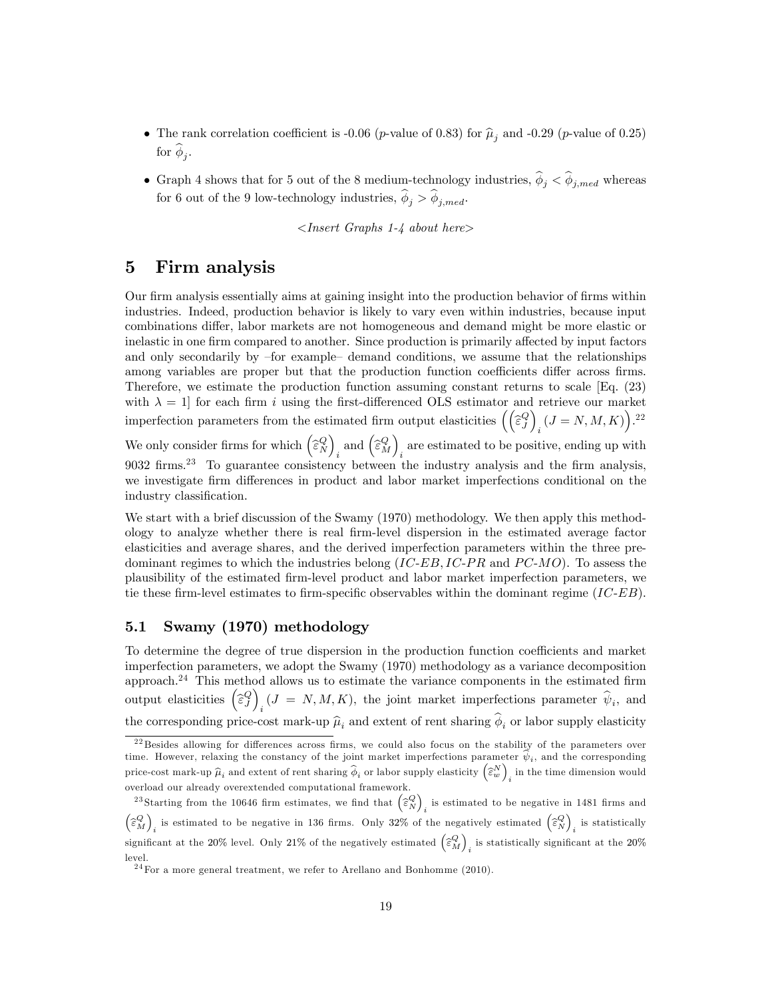- The rank correlation coefficient is -0.06 (p-value of 0.83) for  $\hat{\mu}_i$  and -0.29 (p-value of 0.25) for  $\phi_j$ .
- Graph 4 shows that for 5 out of the 8 medium-technology industries,  $\phi_j < \phi_{j,med}$  whereas for 6 out of the 9 low-technology industries,  $\phi_j > \phi_{j,med}$ .

 $\langle$ Insert Graphs 1-4 about here $\rangle$ 

# 5 Firm analysis

Our firm analysis essentially aims at gaining insight into the production behavior of firms within industries. Indeed, production behavior is likely to vary even within industries, because input combinations differ, labor markets are not homogeneous and demand might be more elastic or inelastic in one firm compared to another. Since production is primarily affected by input factors and only secondarily by  $-6$  example $-$  demand conditions, we assume that the relationships among variables are proper but that the production function coefficients differ across firms. Therefore, we estimate the production function assuming constant returns to scale [Eq. (23) with  $\lambda = 1$  for each firm i using the first-differenced OLS estimator and retrieve our market imperfection parameters from the estimated firm output elasticities  $\left(\begin{matrix} \widehat{\varepsilon}^Q_J \end{matrix}\right)$  $i$   $(J = N, M, K)$ ).<sup>22</sup> We only consider firms for which  $\begin{pmatrix} \widehat{\varepsilon}^Q_N \end{pmatrix}$  $_i$  and  $\Big(\widehat{\varepsilon}^Q_M\Big)$ are estimated to be positive, ending up with  $i$ 9032 firms.<sup>23</sup> To guarantee consistency between the industry analysis and the firm analysis, we investigate firm differences in product and labor market imperfections conditional on the industry classification.

We start with a brief discussion of the Swamy (1970) methodology. We then apply this methodology to analyze whether there is real Örm-level dispersion in the estimated average factor elasticities and average shares, and the derived imperfection parameters within the three predominant regimes to which the industries belong  $(IC-EB, IC-PR)$  and  $PC-MO$ ). To assess the plausibility of the estimated Örm-level product and labor market imperfection parameters, we tie these firm-level estimates to firm-specific observables within the dominant regime  $(IC-EB)$ .

### 5.1 Swamy (1970) methodology

To determine the degree of true dispersion in the production function coefficients and market imperfection parameters, we adopt the Swamy (1970) methodology as a variance decomposition approach.<sup>24</sup> This method allows us to estimate the variance components in the estimated firm output elasticities  $\left(\widehat{\varepsilon}_{J}^{Q}\right)$  $i<sub>i</sub>$  (*J* = *N*, *M*, *K*), the joint market imperfections parameter  $\psi_i$ , and the corresponding price-cost mark-up  $\hat{\mu}_i$  and extent of rent sharing  $\phi_i$  or labor supply elasticity

 $^{22}$ Besides allowing for differences across firms, we could also focus on the stability of the parameters over time. However, relaxing the constancy of the joint market imperfections parameter  $\psi_i$ , and the corresponding price-cost mark-up  $\widehat{\mu}_i$  and extent of rent sharing  $\widehat{\phi}_i$  or labor supply elasticity  $\left(\widehat{\varepsilon}^N_w\right)$ in the time dimension would overload our already overextended computational framework.

<sup>&</sup>lt;sup>23</sup>Starting from the 10646 firm estimates, we find that  $\left(\widehat{\boldsymbol{\varepsilon}}_{N}^{Q}\right)$ is estimated to be negative in 1481 firms and  $\Big(\widehat{\varepsilon}^{Q}_{M}\Big)$ is estimated to be negative in 136 firms. Only 32% of the negatively estimated  $\left(\widehat{\epsilon}_{N}^{Q}\right)$ is statistically significant at the 20% level. Only 21% of the negatively estimated  $\begin{pmatrix} \widehat{\varepsilon}^Q_M \end{pmatrix}$ is statistically significant at the  $20\%$ level.

 $24$  For a more general treatment, we refer to Arellano and Bonhomme (2010).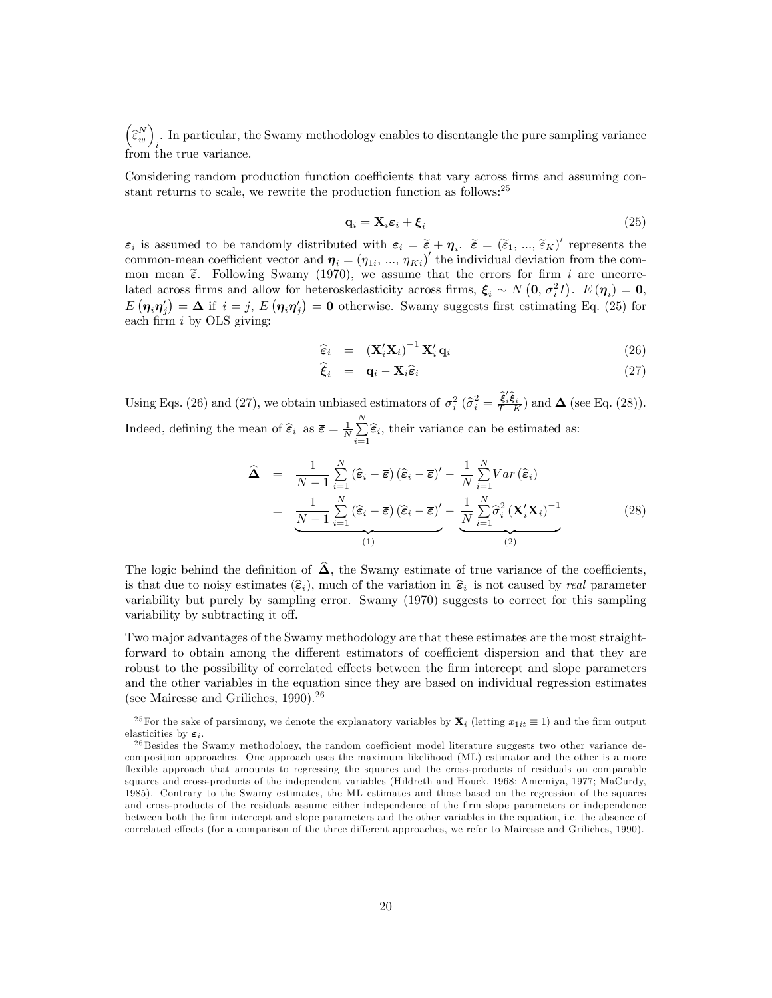$\Big(\widehat{\boldsymbol{\varepsilon}}_w^N\Big)$ . In particular, the Swamy methodology enables to disentangle the pure sampling variance  $i$ . from the true variance.

Considering random production function coefficients that vary across firms and assuming constant returns to scale, we rewrite the production function as follows:<sup>25</sup>

$$
\mathbf{q}_i = \mathbf{X}_i \boldsymbol{\varepsilon}_i + \boldsymbol{\xi}_i \tag{25}
$$

 $\varepsilon_i$  is assumed to be randomly distributed with  $\varepsilon_i = \tilde{\varepsilon} + \eta_i$ .  $\tilde{\varepsilon} = (\tilde{\varepsilon}_1, ..., \tilde{\varepsilon}_K)'$  represents the common-mean coefficient vector and  $\boldsymbol{\eta}_i = (\eta_{1i}, ..., \eta_{Ki})'$  the individual deviation from the common mean  $\tilde{\epsilon}$ . Following Swamy (1970), we assume that the errors for firm i are uncorrelated across firms and allow for heteroskedasticity across firms,  $\xi_i \sim N(0, \sigma_i^2 I)$ .  $E(\eta_i) = 0$ ,  $E(\eta_i \eta'_j) = \Delta$  if  $i = j$ ,  $E(\eta_i \eta'_j) = 0$  otherwise. Swamy suggests first estimating Eq. (25) for each firm  $i$  by OLS giving:

$$
\widehat{\boldsymbol{\varepsilon}}_i = (\mathbf{X}_i' \mathbf{X}_i)^{-1} \mathbf{X}_i' \mathbf{q}_i \tag{26}
$$

$$
\hat{\xi}_i = \mathbf{q}_i - \mathbf{X}_i \hat{\varepsilon}_i \tag{27}
$$

Using Eqs. (26) and (27), we obtain unbiased estimators of  $\sigma_i^2$  ( $\hat{\sigma}_i^2 = \frac{\hat{\xi}_i^2 \hat{\xi}_i}{T - h}$  $\frac{\mathbf{S}_{i}\mathbf{S}_{i}}{T-K}$  and  $\boldsymbol{\Delta}$  (see Eq. (28)). Indeed, defining the mean of  $\widehat{\varepsilon}_i$  as  $\overline{\varepsilon} = \frac{1}{N} \sum_{i=1}^N$  $\sum_{i=1}$  $\hat{\epsilon}_i$ , their variance can be estimated as:

$$
\widehat{\mathbf{\Delta}} = \frac{1}{N-1} \sum_{i=1}^{N} (\widehat{\boldsymbol{\varepsilon}}_i - \overline{\boldsymbol{\varepsilon}}) (\widehat{\boldsymbol{\varepsilon}}_i - \overline{\boldsymbol{\varepsilon}})' - \frac{1}{N} \sum_{i=1}^{N} Var(\widehat{\boldsymbol{\varepsilon}}_i)
$$

$$
= \frac{1}{N-1} \sum_{i=1}^{N} (\widehat{\boldsymbol{\varepsilon}}_i - \overline{\boldsymbol{\varepsilon}}) (\widehat{\boldsymbol{\varepsilon}}_i - \overline{\boldsymbol{\varepsilon}})' - \frac{1}{N} \sum_{i=1}^{N} \widehat{\sigma}_i^2 (\mathbf{X}_i' \mathbf{X}_i)^{-1}
$$
(28)

The logic behind the definition of  $\hat{\Delta}$ , the Swamy estimate of true variance of the coefficients, is that due to noisy estimates  $(\hat{\epsilon}_i)$ , much of the variation in  $\hat{\epsilon}_i$  is not caused by real parameter variability but purely by sampling error. Swamy (1970) suggests to correct for this sampling variability by subtracting it off.

Two major advantages of the Swamy methodology are that these estimates are the most straightforward to obtain among the different estimators of coefficient dispersion and that they are robust to the possibility of correlated effects between the firm intercept and slope parameters and the other variables in the equation since they are based on individual regression estimates (see Mairesse and Griliches,  $1990$ ).<sup>26</sup>

<sup>&</sup>lt;sup>25</sup> For the sake of parsimony, we denote the explanatory variables by  $\mathbf{X}_i$  (letting  $x_{1it} \equiv 1$ ) and the firm output elasticities by  $\varepsilon_i$ .

 $^{26}$  Besides the Swamy methodology, the random coefficient model literature suggests two other variance decomposition approaches. One approach uses the maximum likelihood (ML) estimator and the other is a more flexible approach that amounts to regressing the squares and the cross-products of residuals on comparable squares and cross-products of the independent variables (Hildreth and Houck, 1968; Amemiya, 1977; MaCurdy, 1985). Contrary to the Swamy estimates, the ML estimates and those based on the regression of the squares and cross-products of the residuals assume either independence of the firm slope parameters or independence between both the Örm intercept and slope parameters and the other variables in the equation, i.e. the absence of correlated effects (for a comparison of the three different approaches, we refer to Mairesse and Griliches, 1990).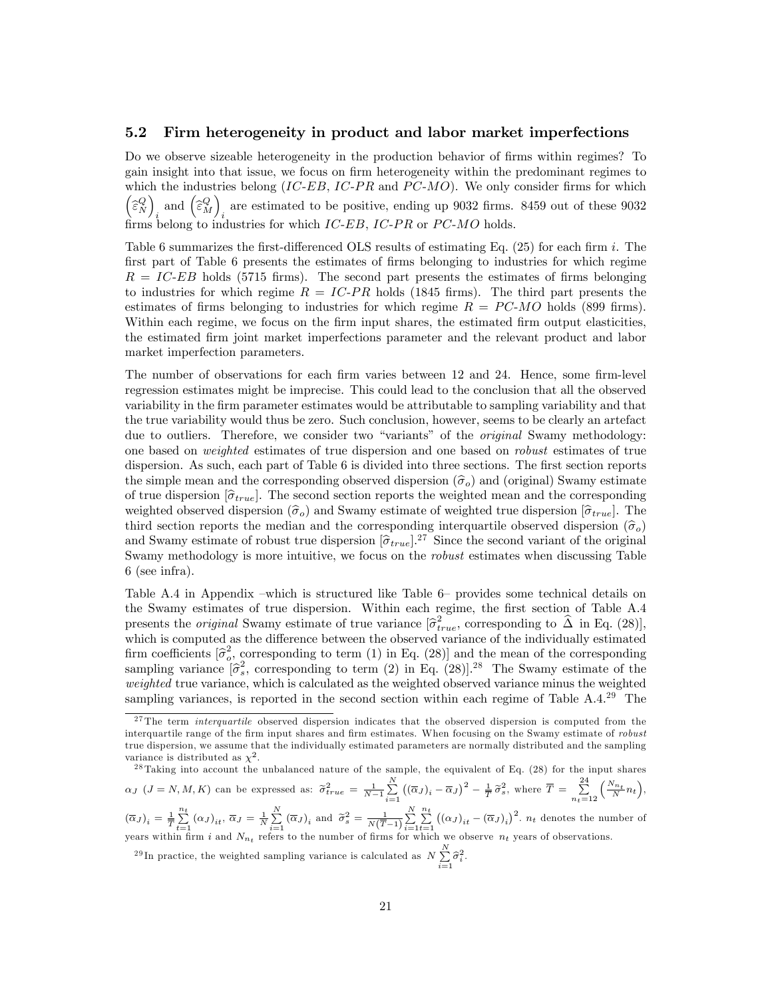#### 5.2 Firm heterogeneity in product and labor market imperfections

Do we observe sizeable heterogeneity in the production behavior of firms within regimes? To gain insight into that issue, we focus on firm heterogeneity within the predominant regimes to which the industries belong  $(IC-EB, IC-PR)$  and  $PC-MO$ ). We only consider firms for which  $\Big(\widehat{\varepsilon}_{N}^{Q}\Big)$  $_i$  and  $\Big(\widehat{\varepsilon}^Q_M\Big)$ are estimated to be positive, ending up  $9032$  firms. 8459 out of these  $9032$ firms belong to industries for which  $IC-EB$ ,  $IC-PR$  or  $PC-MO$  holds.

Table 6 summarizes the first-differenced OLS results of estimating Eq.  $(25)$  for each firm i. The first part of Table 6 presents the estimates of firms belonging to industries for which regime  $R = IC-EB$  holds (5715 firms). The second part presents the estimates of firms belonging to industries for which regime  $R = IC-PR$  holds (1845 firms). The third part presents the estimates of firms belonging to industries for which regime  $R = PC-MO$  holds (899 firms). Within each regime, we focus on the firm input shares, the estimated firm output elasticities, the estimated Örm joint market imperfections parameter and the relevant product and labor market imperfection parameters.

The number of observations for each firm varies between 12 and 24. Hence, some firm-level regression estimates might be imprecise. This could lead to the conclusion that all the observed variability in the Örm parameter estimates would be attributable to sampling variability and that the true variability would thus be zero. Such conclusion, however, seems to be clearly an artefact due to outliers. Therefore, we consider two "variants" of the *original* Swamy methodology: one based on weighted estimates of true dispersion and one based on robust estimates of true dispersion. As such, each part of Table 6 is divided into three sections. The first section reports the simple mean and the corresponding observed dispersion  $(\hat{\sigma}_o)$  and (original) Swamy estimate of true dispersion  $[\hat{\sigma}_{true}]$ . The second section reports the weighted mean and the corresponding weighted observed dispersion  $(\hat{\sigma}_o)$  and Swamy estimate of weighted true dispersion  $[\hat{\sigma}_{true}]$ . The third section reports the median and the corresponding interquartile observed dispersion  $(\hat{\sigma}_o)$ and Swamy estimate of robust true dispersion  $[\hat{\sigma}_{true}]^{27}$  Since the second variant of the original<br>Second variable labels is more intribution on form on the whort original variant property Table Swamy methodology is more intuitive, we focus on the robust estimates when discussing Table 6 (see infra).

Table A.4 in Appendix –which is structured like Table 6– provides some technical details on the Swamy estimates of true dispersion. Within each regime, the first section of Table A.4 presents the *original* Swamy estimate of true variance  $[\hat{\sigma}_{true}^2]$ , corresponding to  $\hat{\Delta}$  in Eq. (28)], which is computed as the difference between the observed variance of the individually estimated firm coefficients  $\left[\hat{\sigma}_{o}^{2}, \text{corresponding to term (1) in Eq. (28)}\right]$  and the mean of the corresponding sampling variance  $[\hat{\sigma}_s^2]$ , corresponding to term (2) in Eq. (28)].<sup>28</sup> The Swamy estimate of the weighted true variance, which is calculated as the weighted observed variance minus the weighted sampling variances, is reported in the second section within each regime of Table A.4.<sup>29</sup> The

<sup>28</sup> Taking into account the unbalanced nature of the sample, the equivalent of Eq. (28) for the input shares  $\alpha_J$  (J = N, M, K) can be expressed as:  $\tilde{\sigma}_{true}^2 = \frac{1}{N-1} \sum_{i=1}^N$  $i=1$  $\left(\left(\overline{\alpha}_J\right)_i-\overline{\alpha}_J\right)^2-\frac{1}{T}\,\widetilde{\sigma}_s^2$ , where  $\overline{T}=\sum_{n=1}^{24}$  $n_t=12$  $\left(\frac{N_{n_t}}{N}n_t\right),$  $(\overline{\alpha}_J)_i = \frac{1}{T} \sum_{t=1}^{n_t}$  $\sum_{t=1}^{n_t} (\alpha_J)_{it}, \overline{\alpha}_J = \frac{1}{N} \sum_{i=1}^N$  $\sum_{i=1}^{N} (\overline{\alpha}_J)_i$  and  $\widetilde{\sigma}_s^2 = \frac{1}{N(\overline{T}-1)} \sum_{i=1}^{N}$  $i=1$  $\sum_{i=1}^{n}$  $t=1$  $((\alpha_J)_{it} - (\overline{\alpha}_J)_i)^2$ .  $n_t$  denotes the number of

years within firm i and  $N_{n_t}$  refers to the number of firms for which we observe  $n_t$  years of observations.

<sup>29</sup>In practice, the weighted sampling variance is calculated as  $N \sum_{n=1}^{N}$  $\sum_{i=1}^n \widehat{\sigma}_i^2$ .

<sup>&</sup>lt;sup>27</sup>The term *interquartile* observed dispersion indicates that the observed dispersion is computed from the interquartile range of the firm input shares and firm estimates. When focusing on the Swamy estimate of robust true dispersion, we assume that the individually estimated parameters are normally distributed and the sampling variance is distributed as  $\chi^2$ .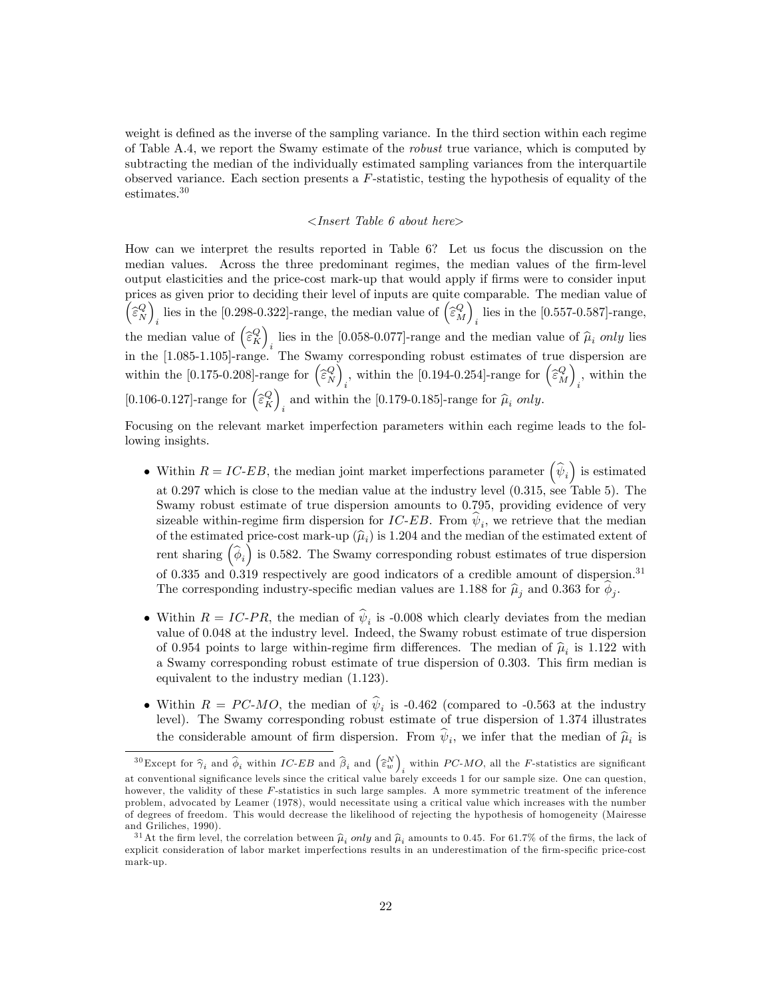weight is defined as the inverse of the sampling variance. In the third section within each regime of Table A.4, we report the Swamy estimate of the robust true variance, which is computed by subtracting the median of the individually estimated sampling variances from the interquartile observed variance. Each section presents a F-statistic, testing the hypothesis of equality of the estimates.<sup>30</sup>

#### <Insert Table 6 about here>

How can we interpret the results reported in Table 6? Let us focus the discussion on the median values. Across the three predominant regimes, the median values of the firm-level output elasticities and the price-cost mark-up that would apply if Örms were to consider input prices as given prior to deciding their level of inputs are quite comparable. The median value of  $\begin{pmatrix} \widehat{\varepsilon}_N^Q \end{pmatrix}$ lies in the [0.298-0.322]-range, the median value of  $\left(\widehat{\varepsilon}_{M}^{Q}\right)$ lies in the [0.557-0.587]-range, the median value of  $(\widehat{\epsilon}_K^Q)_{i}$  lies in the [0.058-0.077]-range and the median value of  $\widehat{\mu}_i$  only lies in the  $[1.085-1.105]$ -range. The Swamy corresponding robust estimates of true dispersion are within the [0.175-0.208]-range for  $\begin{pmatrix} \hat{\epsilon}_N^Q \end{pmatrix}$ , within the [0.194-0.254]-range for  $\left(\widehat{\varepsilon}_{M}^{Q}\right)$  $\sum_{i}$ , within the  $[0.106\text{-}0.127]\text{-range}$  for  $\Big(\widehat\varepsilon^Q_K\Big)$ and within the [0.179-0.185]-range for  $\hat{\mu}_i$  only.

Focusing on the relevant market imperfection parameters within each regime leads to the following insights.

- Within  $R = IC$ -EB, the median joint market imperfections parameter  $(\hat{\psi}_i)$  is estimated at 0.297 which is close to the median value at the industry level (0.315, see Table 5). The Swamy robust estimate of true dispersion amounts to 0.795, providing evidence of very sizeable within-regime firm dispersion for  $IC-EB$ . From  $\psi_i$ , we retrieve that the median of the estimated price-cost mark-up  $(\hat{\mu}_i)$  is 1.204 and the median of the estimated extent of rent sharing  $(\widehat{\phi}_i)$  is 0.582. The Swamy corresponding robust estimates of true dispersion of 0.335 and 0.319 respectively are good indicators of a credible amount of dispersion.<sup>31</sup> The corresponding industry-specific median values are 1.188 for  $\hat{\mu}_j$  and 0.363 for  $\phi_j$ .
- Within  $R = IC$ -PR, the median of  $\psi_i$  is -0.008 which clearly deviates from the median value of 0.048 at the industry level. Indeed, the Swamy robust estimate of true dispersion of 0.954 points to large within-regime firm differences. The median of  $\hat{\mu}_i$  is 1.122 with a Swamy corresponding robust estimate of true dispersion of 0.303. This firm median is equivalent to the industry median (1.123).
- Within  $R = PC-MO$ , the median of  $\psi_i$  is -0.462 (compared to -0.563 at the industry level). The Swamy corresponding robust estimate of true dispersion of 1.374 illustrates the considerable amount of firm dispersion. From  $\psi_i$ , we infer that the median of  $\hat{\mu}_i$  is

 $^{30}\text{Except for }\widehat{\gamma}_i$  and  $\widehat{\phi}_i$  within  $IC\text{-}EB$  and  $\widehat{\beta}_i$  and  $\left(\widehat{\varepsilon}^N_w\right)$ within  $PC-MO$ , all the *F*-statistics are significant at conventional significance levels since the critical value barely exceeds 1 for our sample size. One can question, however, the validity of these F-statistics in such large samples. A more symmetric treatment of the inference problem, advocated by Leamer (1978), would necessitate using a critical value which increases with the number of degrees of freedom. This would decrease the likelihood of rejecting the hypothesis of homogeneity (Mairesse and Griliches, 1990).

<sup>&</sup>lt;sup>31</sup>At the firm level, the correlation between  $\hat{\mu}_i$  *only* and  $\hat{\mu}_i$  amounts to 0.45. For 61.7% of the firms, the lack of explicit consideration of labor market imperfections results in an underestimation of the firm-specific price-cost mark-up.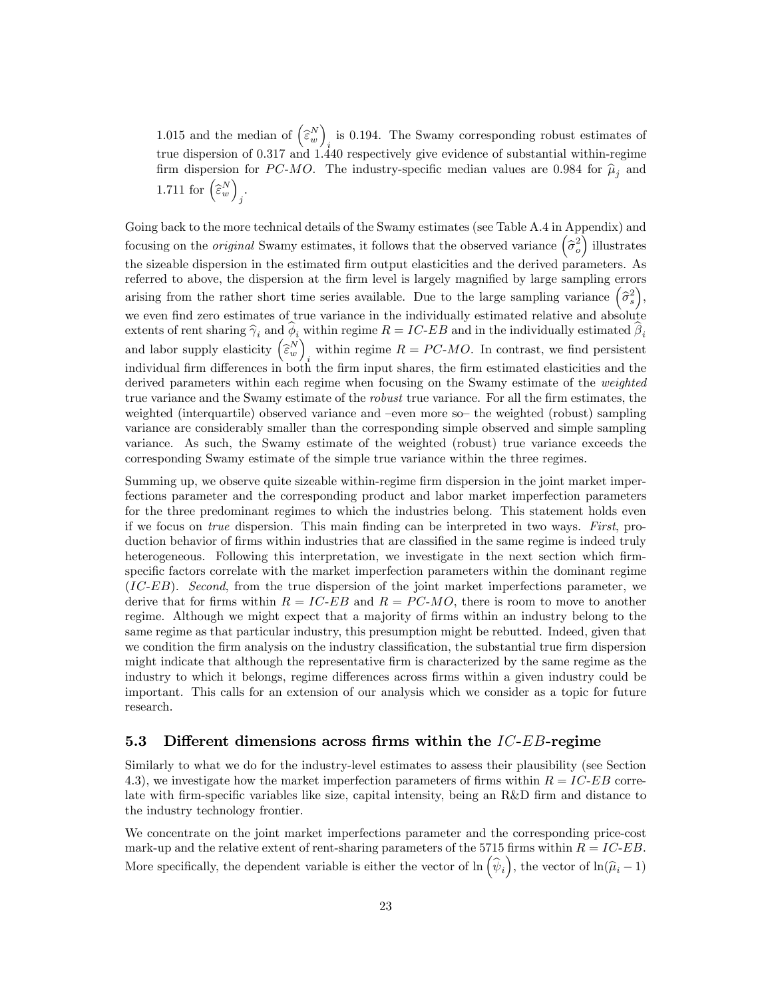1.015 and the median of  $\left(\widehat{\varepsilon}_{w}^{N}\right)$ is 0.194. The Swamy corresponding robust estimates of  $i_{\text{tot}}$ true dispersion of 0.317 and 1.440 respectively give evidence of substantial within-regime firm dispersion for PC-MO. The industry-specific median values are 0.984 for  $\hat{\mu}_i$  and 1.711 for  $\left(\widehat{\boldsymbol{\varepsilon}}_w^N\right)$ j .

Going back to the more technical details of the Swamy estimates (see Table A.4 in Appendix) and focusing on the *original* Swamy estimates, it follows that the observed variance  $(\hat{\sigma}_o^2)$  illustrates the sizeable dispersion in the estimated firm output elasticities and the derived parameters. As referred to above, the dispersion at the firm level is largely magnified by large sampling errors arising from the rather short time series available. Due to the large sampling variance  $(\hat{\sigma}_s^2)$ , we even find zero estimates of true variance in the individually estimated relative and absolute extents of rent sharing  $\hat{\gamma}_i$  and  $\phi_i$  within regime  $R = IC$ -EB and in the individually estimated  $\beta_i$  and labor supply elasticity  $(\hat{\epsilon}_w^N)_i$  within regime  $R = PC$ -MO. In contrast, we find persistent within regime  $R = PC-MO$ . In contrast, we find persistent individual firm differences in both the firm input shares, the firm estimated elasticities and the derived parameters within each regime when focusing on the Swamy estimate of the weighted true variance and the Swamy estimate of the *robust* true variance. For all the firm estimates, the weighted (interquartile) observed variance and -even more so- the weighted (robust) sampling variance are considerably smaller than the corresponding simple observed and simple sampling variance. As such, the Swamy estimate of the weighted (robust) true variance exceeds the corresponding Swamy estimate of the simple true variance within the three regimes.

Summing up, we observe quite sizeable within-regime firm dispersion in the joint market imperfections parameter and the corresponding product and labor market imperfection parameters for the three predominant regimes to which the industries belong. This statement holds even if we focus on true dispersion. This main finding can be interpreted in two ways. First, production behavior of firms within industries that are classified in the same regime is indeed truly heterogeneous. Following this interpretation, we investigate in the next section which firmspecific factors correlate with the market imperfection parameters within the dominant regime (IC-EB). Second, from the true dispersion of the joint market imperfections parameter, we derive that for firms within  $R = IC-EB$  and  $R = PC-MO$ , there is room to move to another regime. Although we might expect that a majority of firms within an industry belong to the same regime as that particular industry, this presumption might be rebutted. Indeed, given that we condition the firm analysis on the industry classification, the substantial true firm dispersion might indicate that although the representative firm is characterized by the same regime as the industry to which it belongs, regime differences across firms within a given industry could be important. This calls for an extension of our analysis which we consider as a topic for future research.

### 5.3 Different dimensions across firms within the  $IC-EB$ -regime

Similarly to what we do for the industry-level estimates to assess their plausibility (see Section 4.3), we investigate how the market imperfection parameters of firms within  $R = IC-EB$  correlate with firm-specific variables like size, capital intensity, being an R&D firm and distance to the industry technology frontier.

We concentrate on the joint market imperfections parameter and the corresponding price-cost mark-up and the relative extent of rent-sharing parameters of the 5715 firms within  $R = IC-EB$ . More specifically, the dependent variable is either the vector of  $\ln(\hat{\psi}_i)$ , the vector of  $\ln(\hat{\mu}_i - 1)$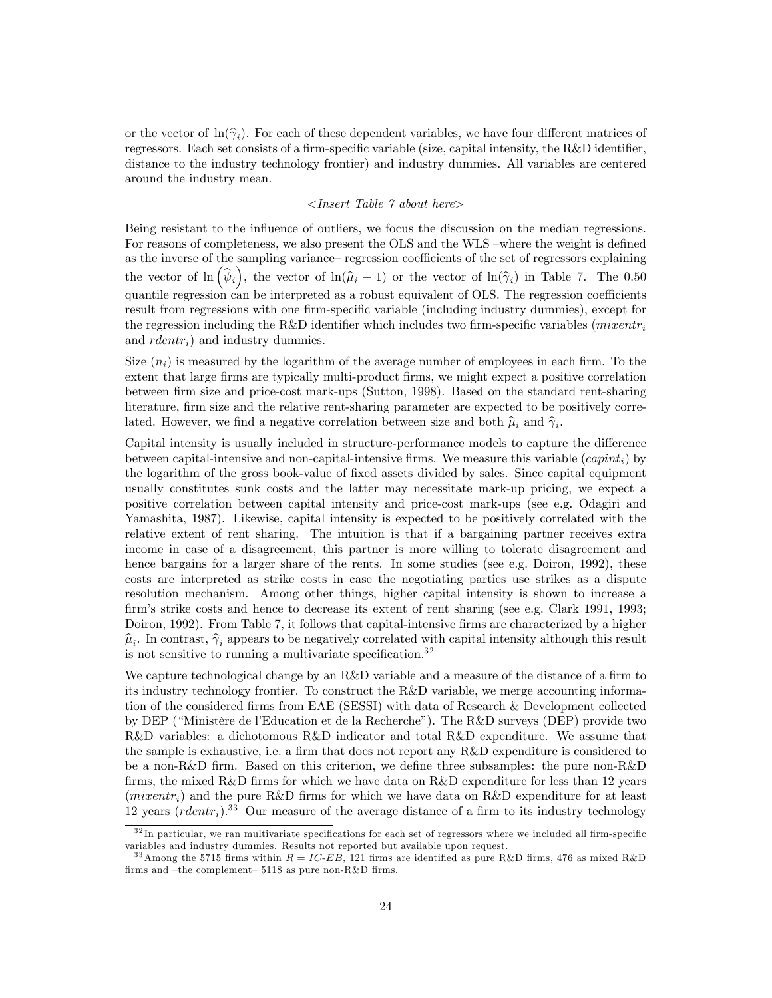or the vector of  $\ln(\hat{\gamma}_i)$ . For each of these dependent variables, we have four different matrices of regressors. Each set consists of a firm-specific variable (size, capital intensity, the R&D identifier, distance to the industry technology frontier) and industry dummies. All variables are centered around the industry mean.

#### $\langle$ Insert Table  $\gamma$  about here $\rangle$

Being resistant to the influence of outliers, we focus the discussion on the median regressions. For reasons of completeness, we also present the OLS and the WLS –where the weight is defined as the inverse of the sampling variance–regression coefficients of the set of regressors explaining the vector of  $\ln(\hat{\psi}_i)$ , the vector of  $\ln(\hat{\mu}_i - 1)$  or the vector of  $\ln(\hat{\gamma}_i)$  in Table 7. The 0.50 quantile regression can be interpreted as a robust equivalent of OLS. The regression coefficients result from regressions with one firm-specific variable (including industry dummies), except for the regression including the R&D identifier which includes two firm-specific variables (mixentr<sub>i</sub> and  $rdentr_i$ ) and industry dummies.

Size  $(n_i)$  is measured by the logarithm of the average number of employees in each firm. To the extent that large firms are typically multi-product firms, we might expect a positive correlation between Örm size and price-cost mark-ups (Sutton, 1998). Based on the standard rent-sharing literature, firm size and the relative rent-sharing parameter are expected to be positively correlated. However, we find a negative correlation between size and both  $\hat{\mu}_i$  and  $\hat{\gamma}_i$ .

Capital intensity is usually included in structure-performance models to capture the difference between capital-intensive and non-capital-intensive firms. We measure this variable  $(capint_i)$  by the logarithm of the gross book-value of fixed assets divided by sales. Since capital equipment usually constitutes sunk costs and the latter may necessitate mark-up pricing, we expect a positive correlation between capital intensity and price-cost mark-ups (see e.g. Odagiri and Yamashita, 1987). Likewise, capital intensity is expected to be positively correlated with the relative extent of rent sharing. The intuition is that if a bargaining partner receives extra income in case of a disagreement, this partner is more willing to tolerate disagreement and hence bargains for a larger share of the rents. In some studies (see e.g. Doiron, 1992), these costs are interpreted as strike costs in case the negotiating parties use strikes as a dispute resolution mechanism. Among other things, higher capital intensity is shown to increase a firm's strike costs and hence to decrease its extent of rent sharing (see e.g. Clark 1991, 1993; Doiron, 1992). From Table 7, it follows that capital-intensive firms are characterized by a higher  $\hat{\mu}_i$ . In contrast,  $\hat{\gamma}_i$  appears to be negatively correlated with capital intensity although this result is not sensitive to running a multivariate specification. $32$ 

We capture technological change by an R&D variable and a measure of the distance of a firm to its industry technology frontier. To construct the R&D variable, we merge accounting information of the considered firms from EAE (SESSI) with data of Research & Development collected by DEP ("Ministère de l'Education et de la Recherche"). The R&D surveys (DEP) provide two R&D variables: a dichotomous R&D indicator and total R&D expenditure. We assume that the sample is exhaustive, i.e. a firm that does not report any R&D expenditure is considered to be a non-R&D firm. Based on this criterion, we define three subsamples: the pure non-R&D firms, the mixed R&D firms for which we have data on  $R&D$  expenditure for less than 12 years  $(mixentr_i)$  and the pure R&D firms for which we have data on R&D expenditure for at least 12 years  $(rdentr_i)^{33}$  Our measure of the average distance of a firm to its industry technology

 $3<sup>2</sup>$  In particular, we ran multivariate specifications for each set of regressors where we included all firm-specific variables and industry dummies. Results not reported but available upon request.

<sup>&</sup>lt;sup>33</sup> Among the 5715 firms within  $R = IC$ -EB, 121 firms are identified as pure R&D firms, 476 as mixed R&D firms and -the complement- 5118 as pure non-R&D firms.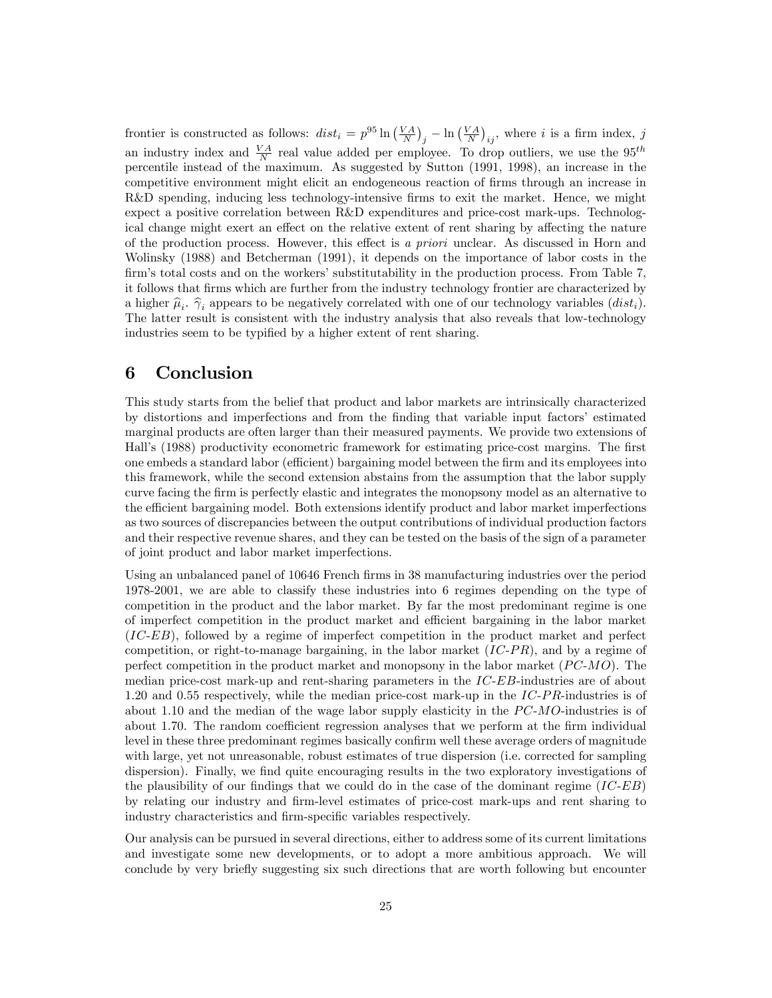frontier is constructed as follows:  $dist_i = p^{95} \ln\left(\frac{VA}{N}\right)_j - \ln\left(\frac{VA}{N}\right)_{ij}$ , where i is a firm index, j an industry index and  $\frac{VA}{N}$  real value added per employee. To drop outliers, we use the  $95^{th}$ percentile instead of the maximum. As suggested by Sutton (1991, 1998), an increase in the competitive environment might elicit an endogeneous reaction of firms through an increase in R&D spending, inducing less technology-intensive firms to exit the market. Hence, we might expect a positive correlation between R&D expenditures and price-cost mark-ups. Technological change might exert an effect on the relative extent of rent sharing by affecting the nature of the production process. However, this effect is a priori unclear. As discussed in Horn and Wolinsky (1988) and Betcherman (1991), it depends on the importance of labor costs in the firm's total costs and on the workers' substitutability in the production process. From Table 7, it follows that Örms which are further from the industry technology frontier are characterized by a higher  $\hat{\mu}_i$ .  $\hat{\gamma}_i$  appears to be negatively correlated with one of our technology variables  $(dist_i)$ .<br>The latter are all is equal to the link the industry anglesis that also groups that law technology The latter result is consistent with the industry analysis that also reveals that low-technology industries seem to be typified by a higher extent of rent sharing.

# 6 Conclusion

This study starts from the belief that product and labor markets are intrinsically characterized by distortions and imperfections and from the finding that variable input factors' estimated marginal products are often larger than their measured payments. We provide two extensions of Hall's (1988) productivity econometric framework for estimating price-cost margins. The first one embeds a standard labor (efficient) bargaining model between the firm and its employees into this framework, while the second extension abstains from the assumption that the labor supply curve facing the Örm is perfectly elastic and integrates the monopsony model as an alternative to the efficient bargaining model. Both extensions identify product and labor market imperfections as two sources of discrepancies between the output contributions of individual production factors and their respective revenue shares, and they can be tested on the basis of the sign of a parameter of joint product and labor market imperfections.

Using an unbalanced panel of 10646 French firms in 38 manufacturing industries over the period 1978-2001, we are able to classify these industries into 6 regimes depending on the type of competition in the product and the labor market. By far the most predominant regime is one of imperfect competition in the product market and efficient bargaining in the labor market (IC-EB), followed by a regime of imperfect competition in the product market and perfect competition, or right-to-manage bargaining, in the labor market  $(IC-PR)$ , and by a regime of perfect competition in the product market and monopsony in the labor market  $(PC-MO)$ . The median price-cost mark-up and rent-sharing parameters in the IC-EB-industries are of about 1.20 and 0.55 respectively, while the median price-cost mark-up in the  $IC-PR$ -industries is of about 1.10 and the median of the wage labor supply elasticity in the  $PC-MO$ -industries is of about 1.70. The random coefficient regression analyses that we perform at the firm individual level in these three predominant regimes basically confirm well these average orders of magnitude with large, yet not unreasonable, robust estimates of true dispersion (i.e. corrected for sampling dispersion). Finally, we find quite encouraging results in the two exploratory investigations of the plausibility of our findings that we could do in the case of the dominant regime  $(IC-EB)$ by relating our industry and Örm-level estimates of price-cost mark-ups and rent sharing to industry characteristics and firm-specific variables respectively.

Our analysis can be pursued in several directions, either to address some of its current limitations and investigate some new developments, or to adopt a more ambitious approach. We will conclude by very brieáy suggesting six such directions that are worth following but encounter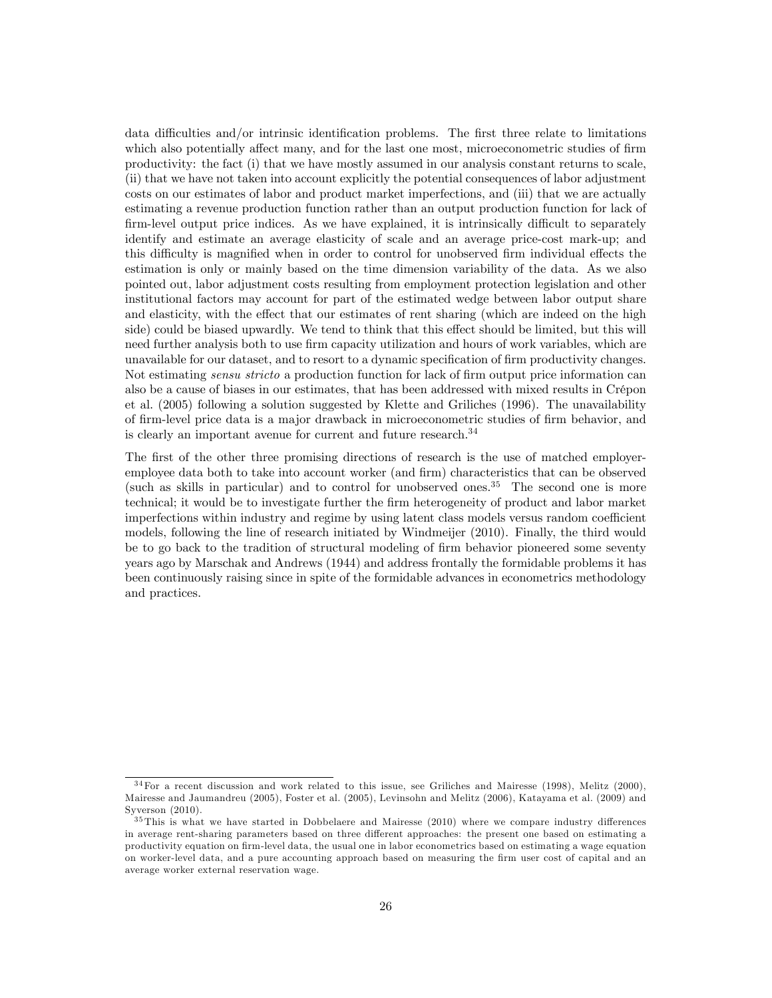data difficulties and/or intrinsic identification problems. The first three relate to limitations which also potentially affect many, and for the last one most, microeconometric studies of firm productivity: the fact (i) that we have mostly assumed in our analysis constant returns to scale, (ii) that we have not taken into account explicitly the potential consequences of labor adjustment costs on our estimates of labor and product market imperfections, and (iii) that we are actually estimating a revenue production function rather than an output production function for lack of firm-level output price indices. As we have explained, it is intrinsically difficult to separately identify and estimate an average elasticity of scale and an average price-cost mark-up; and this difficulty is magnified when in order to control for unobserved firm individual effects the estimation is only or mainly based on the time dimension variability of the data. As we also pointed out, labor adjustment costs resulting from employment protection legislation and other institutional factors may account for part of the estimated wedge between labor output share and elasticity, with the effect that our estimates of rent sharing (which are indeed on the high side) could be biased upwardly. We tend to think that this effect should be limited, but this will need further analysis both to use firm capacity utilization and hours of work variables, which are unavailable for our dataset, and to resort to a dynamic specification of firm productivity changes. Not estimating *sensu stricto* a production function for lack of firm output price information can also be a cause of biases in our estimates, that has been addressed with mixed results in Crépon et al. (2005) following a solution suggested by Klette and Griliches (1996). The unavailability of Örm-level price data is a major drawback in microeconometric studies of Örm behavior, and is clearly an important avenue for current and future research.<sup>34</sup>

The first of the other three promising directions of research is the use of matched employeremployee data both to take into account worker (and firm) characteristics that can be observed (such as skills in particular) and to control for unobserved ones.<sup>35</sup> The second one is more technical; it would be to investigate further the Örm heterogeneity of product and labor market imperfections within industry and regime by using latent class models versus random coefficient models, following the line of research initiated by Windmeijer (2010). Finally, the third would be to go back to the tradition of structural modeling of firm behavior pioneered some seventy years ago by Marschak and Andrews (1944) and address frontally the formidable problems it has been continuously raising since in spite of the formidable advances in econometrics methodology and practices.

 $34$  For a recent discussion and work related to this issue, see Griliches and Mairesse (1998), Melitz (2000), Mairesse and Jaumandreu (2005), Foster et al. (2005), Levinsohn and Melitz (2006), Katayama et al. (2009) and Syverson (2010).

 $35$  This is what we have started in Dobbelaere and Mairesse (2010) where we compare industry differences in average rent-sharing parameters based on three different approaches: the present one based on estimating a productivity equation on firm-level data, the usual one in labor econometrics based on estimating a wage equation on worker-level data, and a pure accounting approach based on measuring the firm user cost of capital and an average worker external reservation wage.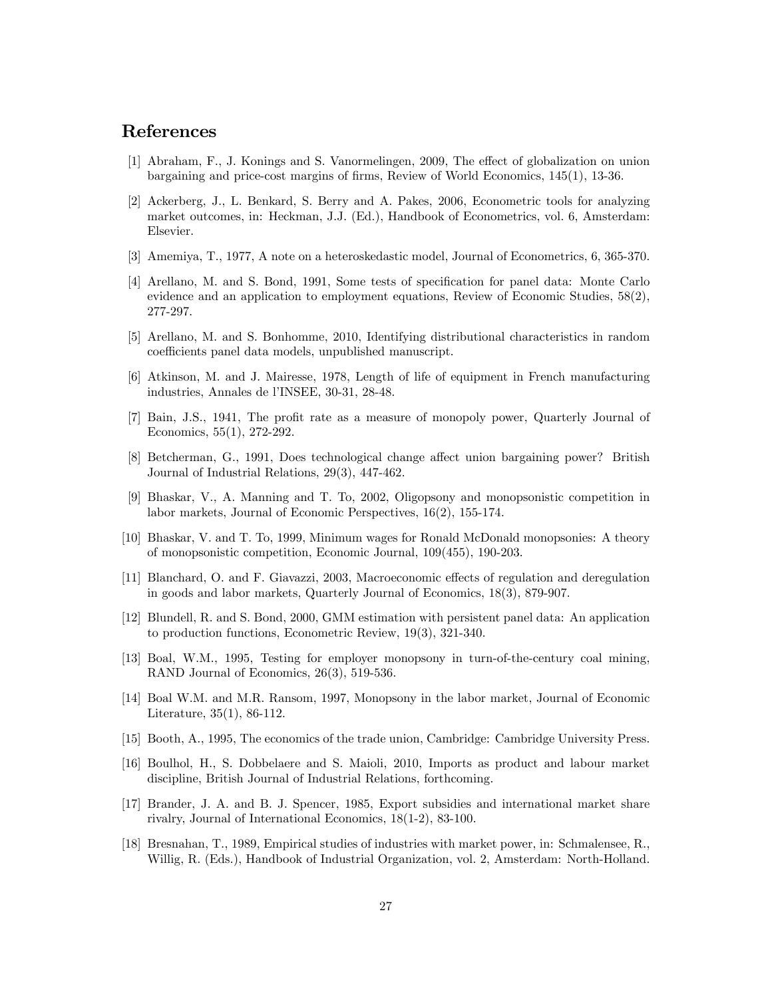## References

- [1] Abraham, F., J. Konings and S. Vanormelingen, 2009, The effect of globalization on union bargaining and price-cost margins of Örms, Review of World Economics, 145(1), 13-36.
- [2] Ackerberg, J., L. Benkard, S. Berry and A. Pakes, 2006, Econometric tools for analyzing market outcomes, in: Heckman, J.J. (Ed.), Handbook of Econometrics, vol. 6, Amsterdam: Elsevier.
- [3] Amemiya, T., 1977, A note on a heteroskedastic model, Journal of Econometrics, 6, 365-370.
- [4] Arellano, M. and S. Bond, 1991, Some tests of specification for panel data: Monte Carlo evidence and an application to employment equations, Review of Economic Studies, 58(2), 277-297.
- [5] Arellano, M. and S. Bonhomme, 2010, Identifying distributional characteristics in random coefficients panel data models, unpublished manuscript.
- [6] Atkinson, M. and J. Mairesse, 1978, Length of life of equipment in French manufacturing industries, Annales de l'INSEE, 30-31, 28-48.
- [7] Bain, J.S., 1941, The profit rate as a measure of monopoly power, Quarterly Journal of Economics, 55(1), 272-292.
- [8] Betcherman, G., 1991, Does technological change affect union bargaining power? British Journal of Industrial Relations, 29(3), 447-462.
- [9] Bhaskar, V., A. Manning and T. To, 2002, Oligopsony and monopsonistic competition in labor markets, Journal of Economic Perspectives, 16(2), 155-174.
- [10] Bhaskar, V. and T. To, 1999, Minimum wages for Ronald McDonald monopsonies: A theory of monopsonistic competition, Economic Journal, 109(455), 190-203.
- [11] Blanchard, O. and F. Giavazzi, 2003, Macroeconomic effects of regulation and deregulation in goods and labor markets, Quarterly Journal of Economics, 18(3), 879-907.
- [12] Blundell, R. and S. Bond, 2000, GMM estimation with persistent panel data: An application to production functions, Econometric Review, 19(3), 321-340.
- [13] Boal, W.M., 1995, Testing for employer monopsony in turn-of-the-century coal mining, RAND Journal of Economics, 26(3), 519-536.
- [14] Boal W.M. and M.R. Ransom, 1997, Monopsony in the labor market, Journal of Economic Literature, 35(1), 86-112.
- [15] Booth, A., 1995, The economics of the trade union, Cambridge: Cambridge University Press.
- [16] Boulhol, H., S. Dobbelaere and S. Maioli, 2010, Imports as product and labour market discipline, British Journal of Industrial Relations, forthcoming.
- [17] Brander, J. A. and B. J. Spencer, 1985, Export subsidies and international market share rivalry, Journal of International Economics, 18(1-2), 83-100.
- [18] Bresnahan, T., 1989, Empirical studies of industries with market power, in: Schmalensee, R., Willig, R. (Eds.), Handbook of Industrial Organization, vol. 2, Amsterdam: North-Holland.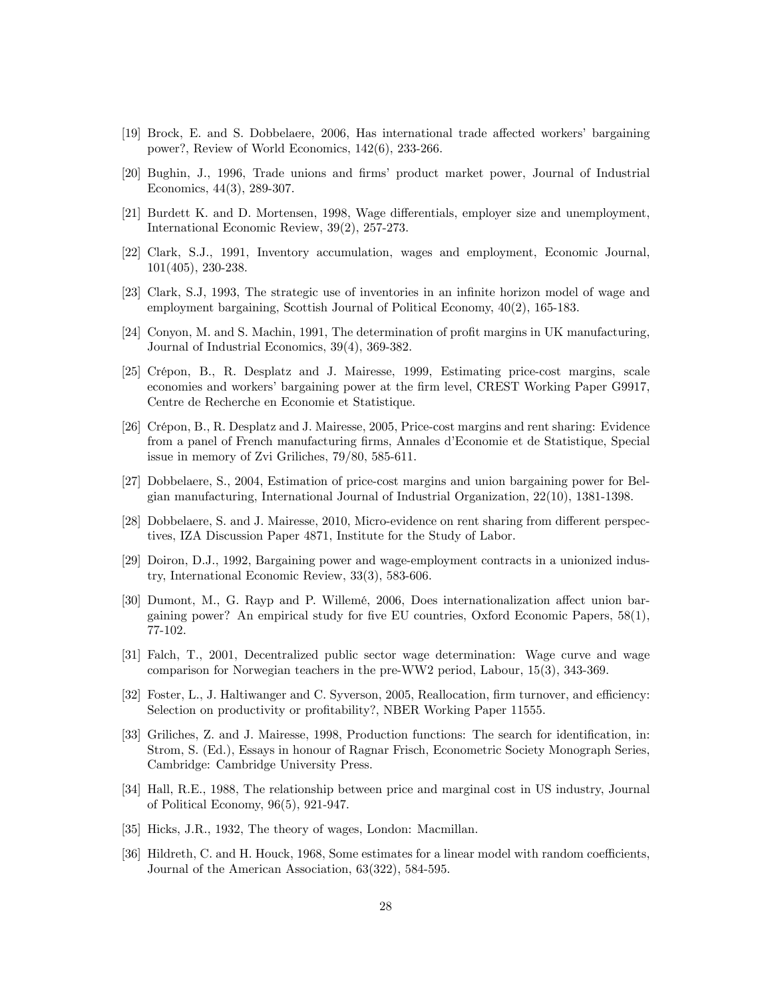- [19] Brock, E. and S. Dobbelaere, 2006, Has international trade affected workers' bargaining power?, Review of World Economics, 142(6), 233-266.
- [20] Bughin, J., 1996, Trade unions and firms' product market power, Journal of Industrial Economics, 44(3), 289-307.
- [21] Burdett K. and D. Mortensen, 1998, Wage differentials, employer size and unemployment, International Economic Review, 39(2), 257-273.
- [22] Clark, S.J., 1991, Inventory accumulation, wages and employment, Economic Journal, 101(405), 230-238.
- [23] Clark, S.J, 1993, The strategic use of inventories in an infinite horizon model of wage and employment bargaining, Scottish Journal of Political Economy, 40(2), 165-183.
- [24] Conyon, M. and S. Machin, 1991, The determination of profit margins in UK manufacturing, Journal of Industrial Economics, 39(4), 369-382.
- [25] CrÈpon, B., R. Desplatz and J. Mairesse, 1999, Estimating price-cost margins, scale economies and workers' bargaining power at the firm level, CREST Working Paper G9917, Centre de Recherche en Economie et Statistique.
- [26] CrÈpon, B., R. Desplatz and J. Mairesse, 2005, Price-cost margins and rent sharing: Evidence from a panel of French manufacturing firms, Annales d'Economie et de Statistique, Special issue in memory of Zvi Griliches, 79/80, 585-611.
- [27] Dobbelaere, S., 2004, Estimation of price-cost margins and union bargaining power for Belgian manufacturing, International Journal of Industrial Organization, 22(10), 1381-1398.
- [28] Dobbelaere, S. and J. Mairesse, 2010, Micro-evidence on rent sharing from different perspectives, IZA Discussion Paper 4871, Institute for the Study of Labor.
- [29] Doiron, D.J., 1992, Bargaining power and wage-employment contracts in a unionized industry, International Economic Review, 33(3), 583-606.
- [30] Dumont, M., G. Rayp and P. Willemé, 2006, Does internationalization affect union bargaining power? An empirical study for five EU countries, Oxford Economic Papers,  $58(1)$ , 77-102.
- [31] Falch, T., 2001, Decentralized public sector wage determination: Wage curve and wage comparison for Norwegian teachers in the pre-WW2 period, Labour, 15(3), 343-369.
- [32] Foster, L., J. Haltiwanger and C. Syverson, 2005, Reallocation, firm turnover, and efficiency: Selection on productivity or profitability?, NBER Working Paper 11555.
- [33] Griliches, Z. and J. Mairesse, 1998, Production functions: The search for identification, in: Strom, S. (Ed.), Essays in honour of Ragnar Frisch, Econometric Society Monograph Series, Cambridge: Cambridge University Press.
- [34] Hall, R.E., 1988, The relationship between price and marginal cost in US industry, Journal of Political Economy, 96(5), 921-947.
- [35] Hicks, J.R., 1932, The theory of wages, London: Macmillan.
- [36] Hildreth, C. and H. Houck, 1968, Some estimates for a linear model with random coefficients, Journal of the American Association, 63(322), 584-595.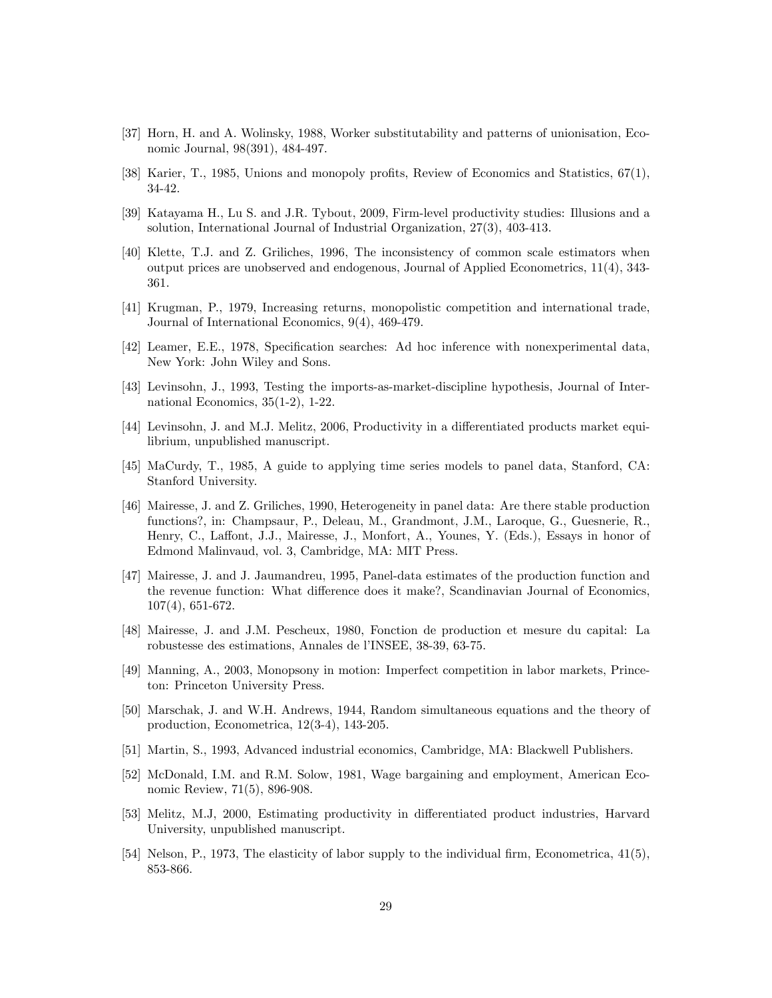- [37] Horn, H. and A. Wolinsky, 1988, Worker substitutability and patterns of unionisation, Economic Journal, 98(391), 484-497.
- [38] Karier, T., 1985, Unions and monopoly profits, Review of Economics and Statistics,  $67(1)$ , 34-42.
- [39] Katayama H., Lu S. and J.R. Tybout, 2009, Firm-level productivity studies: Illusions and a solution, International Journal of Industrial Organization, 27(3), 403-413.
- [40] Klette, T.J. and Z. Griliches, 1996, The inconsistency of common scale estimators when output prices are unobserved and endogenous, Journal of Applied Econometrics, 11(4), 343- 361.
- [41] Krugman, P., 1979, Increasing returns, monopolistic competition and international trade, Journal of International Economics, 9(4), 469-479.
- [42] Leamer, E.E., 1978, Specification searches: Ad hoc inference with nonexperimental data, New York: John Wiley and Sons.
- [43] Levinsohn, J., 1993, Testing the imports-as-market-discipline hypothesis, Journal of International Economics, 35(1-2), 1-22.
- [44] Levinsohn, J. and M.J. Melitz, 2006, Productivity in a differentiated products market equilibrium, unpublished manuscript.
- [45] MaCurdy, T., 1985, A guide to applying time series models to panel data, Stanford, CA: Stanford University.
- [46] Mairesse, J. and Z. Griliches, 1990, Heterogeneity in panel data: Are there stable production functions?, in: Champsaur, P., Deleau, M., Grandmont, J.M., Laroque, G., Guesnerie, R., Henry, C., Laffont, J.J., Mairesse, J., Monfort, A., Younes, Y. (Eds.), Essays in honor of Edmond Malinvaud, vol. 3, Cambridge, MA: MIT Press.
- [47] Mairesse, J. and J. Jaumandreu, 1995, Panel-data estimates of the production function and the revenue function: What difference does it make?, Scandinavian Journal of Economics, 107(4), 651-672.
- [48] Mairesse, J. and J.M. Pescheux, 1980, Fonction de production et mesure du capital: La robustesse des estimations, Annales de l'INSEE, 38-39, 63-75.
- [49] Manning, A., 2003, Monopsony in motion: Imperfect competition in labor markets, Princeton: Princeton University Press.
- [50] Marschak, J. and W.H. Andrews, 1944, Random simultaneous equations and the theory of production, Econometrica, 12(3-4), 143-205.
- [51] Martin, S., 1993, Advanced industrial economics, Cambridge, MA: Blackwell Publishers.
- [52] McDonald, I.M. and R.M. Solow, 1981, Wage bargaining and employment, American Economic Review, 71(5), 896-908.
- [53] Melitz, M.J. 2000, Estimating productivity in differentiated product industries, Harvard University, unpublished manuscript.
- [54] Nelson, P., 1973, The elasticity of labor supply to the individual firm, Econometrica,  $41(5)$ , 853-866.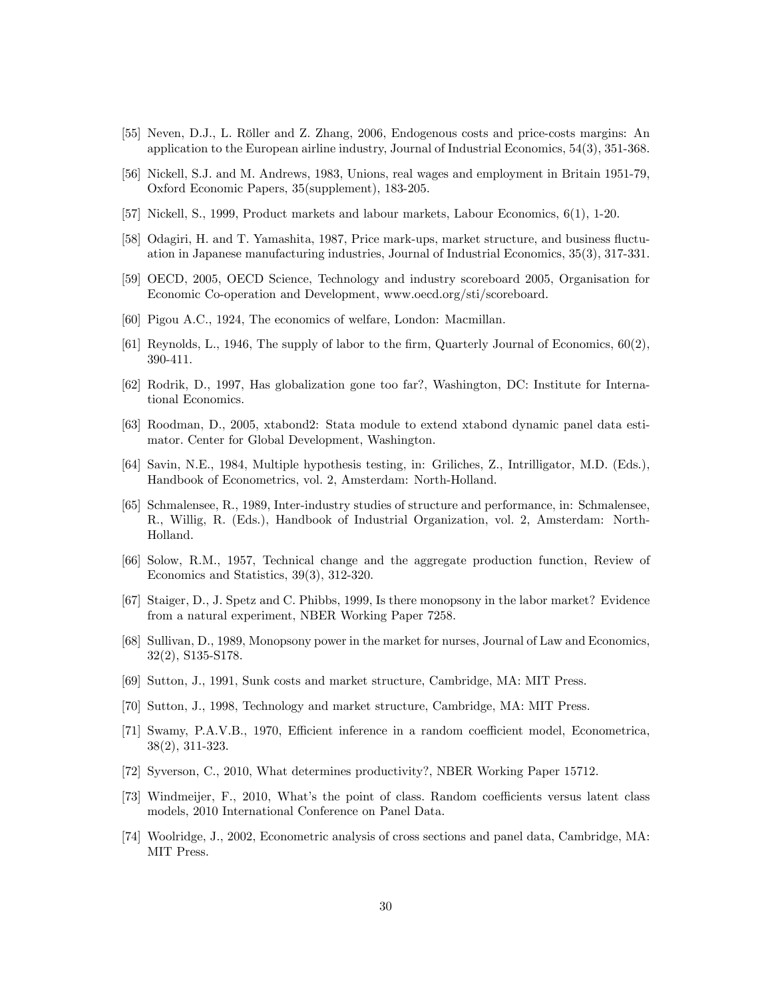- [55] Neven, D.J., L. Röller and Z. Zhang, 2006, Endogenous costs and price-costs margins: An application to the European airline industry, Journal of Industrial Economics, 54(3), 351-368.
- [56] Nickell, S.J. and M. Andrews, 1983, Unions, real wages and employment in Britain 1951-79, Oxford Economic Papers, 35(supplement), 183-205.
- [57] Nickell, S., 1999, Product markets and labour markets, Labour Economics, 6(1), 1-20.
- [58] Odagiri, H. and T. Yamashita, 1987, Price mark-ups, market structure, and business fluctuation in Japanese manufacturing industries, Journal of Industrial Economics, 35(3), 317-331.
- [59] OECD, 2005, OECD Science, Technology and industry scoreboard 2005, Organisation for Economic Co-operation and Development, www.oecd.org/sti/scoreboard.
- [60] Pigou A.C., 1924, The economics of welfare, London: Macmillan.
- [61] Reynolds, L., 1946, The supply of labor to the firm, Quarterly Journal of Economics,  $60(2)$ , 390-411.
- [62] Rodrik, D., 1997, Has globalization gone too far?, Washington, DC: Institute for International Economics.
- [63] Roodman, D., 2005, xtabond2: Stata module to extend xtabond dynamic panel data estimator. Center for Global Development, Washington.
- [64] Savin, N.E., 1984, Multiple hypothesis testing, in: Griliches, Z., Intrilligator, M.D. (Eds.), Handbook of Econometrics, vol. 2, Amsterdam: North-Holland.
- [65] Schmalensee, R., 1989, Inter-industry studies of structure and performance, in: Schmalensee, R., Willig, R. (Eds.), Handbook of Industrial Organization, vol. 2, Amsterdam: North-Holland.
- [66] Solow, R.M., 1957, Technical change and the aggregate production function, Review of Economics and Statistics, 39(3), 312-320.
- [67] Staiger, D., J. Spetz and C. Phibbs, 1999, Is there monopsony in the labor market? Evidence from a natural experiment, NBER Working Paper 7258.
- [68] Sullivan, D., 1989, Monopsony power in the market for nurses, Journal of Law and Economics, 32(2), S135-S178.
- [69] Sutton, J., 1991, Sunk costs and market structure, Cambridge, MA: MIT Press.
- [70] Sutton, J., 1998, Technology and market structure, Cambridge, MA: MIT Press.
- [71] Swamy, P.A.V.B., 1970, Efficient inference in a random coefficient model, Econometrica, 38(2), 311-323.
- [72] Syverson, C., 2010, What determines productivity?, NBER Working Paper 15712.
- [73] Windmeijer, F., 2010, What's the point of class. Random coefficients versus latent class models, 2010 International Conference on Panel Data.
- [74] Woolridge, J., 2002, Econometric analysis of cross sections and panel data, Cambridge, MA: MIT Press.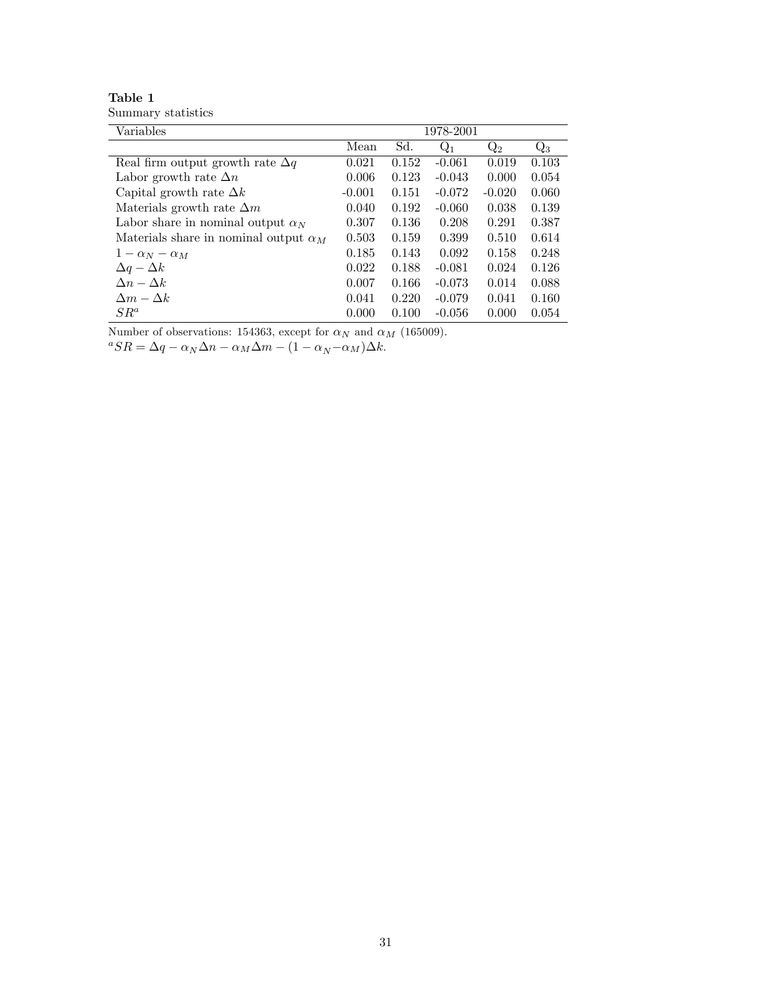| Table 1            |  |
|--------------------|--|
| Summary statistics |  |

| Mean     | Sd.   | $Q_1$    | $\mathrm{Q}_2$ | $\mathrm{Q}_3$ |
|----------|-------|----------|----------------|----------------|
| 0.021    | 0.152 | $-0.061$ | 0.019          | 0.103          |
| 0.006    | 0.123 | $-0.043$ | 0.000          | 0.054          |
| $-0.001$ | 0.151 | $-0.072$ | $-0.020$       | 0.060          |
| 0.040    | 0.192 | $-0.060$ | 0.038          | 0.139          |
| 0.307    | 0.136 | 0.208    | 0.291          | 0.387          |
| 0.503    | 0.159 | 0.399    | 0.510          | 0.614          |
| 0.185    | 0.143 | 0.092    | 0.158          | 0.248          |
| 0.022    | 0.188 | $-0.081$ | 0.024          | 0.126          |
| 0.007    | 0.166 | $-0.073$ | 0.014          | 0.088          |
| 0.041    | 0.220 | $-0.079$ | 0.041          | 0.160          |
| 0.000    | 0.100 | $-0.056$ | 0.000          | 0.054          |
|          |       |          |                | 1978-2001      |

Number of observations: 154363, except for  $\alpha_N$  and  $\alpha_M$  (165009).

 ${}^aSR = \Delta q - \alpha_N\Delta n - \alpha_M\Delta m - (1 - \alpha_N - \alpha_M)\Delta k.$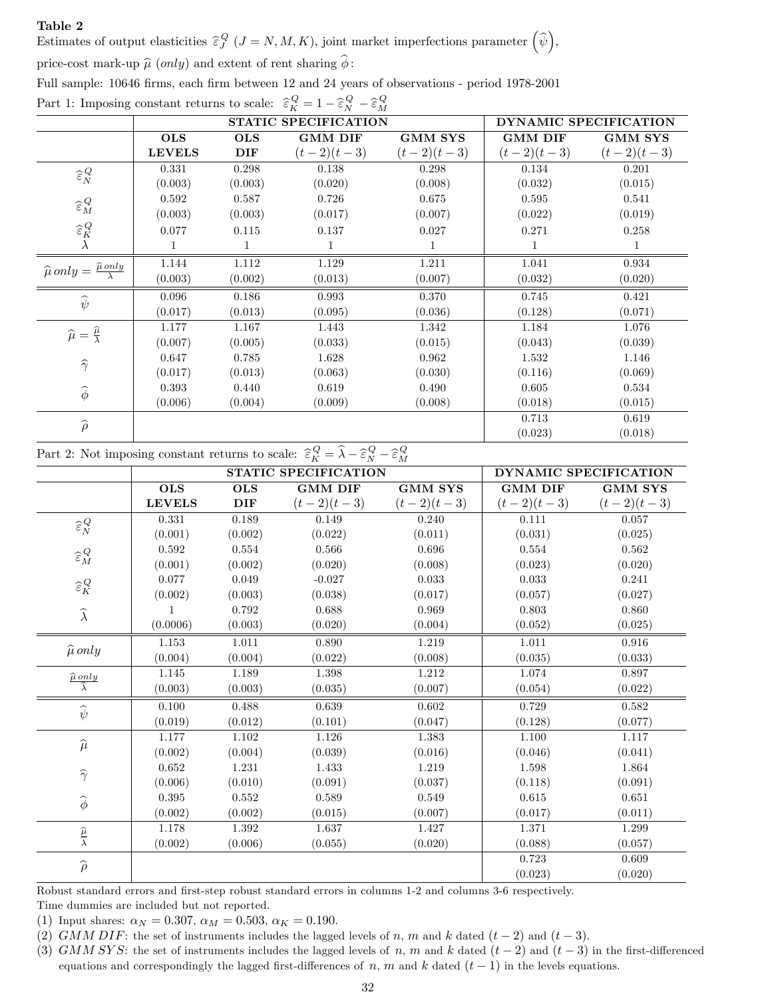Estimates of output elasticities  $\widehat{\epsilon}_{J}^{Q}$  ( $J = N, M, K$ ), joint market imperfections parameter  $(\widehat{\psi})$ ,

price-cost mark-up  $\hat{\mu}$  (only) and extent of rent sharing  $\hat{\phi}$ :

Full sample: 10646 firms, each firm between 12 and 24 years of observations - period 1978-2001

Part 1: Imposing constant returns to scale:  $\hat{\epsilon}_K^Q = 1 - \hat{\epsilon}_N^Q - \hat{\epsilon}_M^Q$ 

|                                                                |               | STATIC SPECIFICATION | DYNAMIC SPECIFICATION |                |                |                |
|----------------------------------------------------------------|---------------|----------------------|-----------------------|----------------|----------------|----------------|
|                                                                | <b>OLS</b>    | <b>OLS</b>           | <b>GMM DIF</b>        | <b>GMM SYS</b> | <b>GMM DIF</b> | <b>GMM SYS</b> |
|                                                                | <b>LEVELS</b> | DIF                  | $(t-2)(t-3)$          | $(t-2)(t-3)$   | $(t-2)(t-3)$   | $(t-2)(t-3)$   |
| $\widehat{\boldsymbol{\varepsilon}}_{N}^{Q}$                   | 0.331         | 0.298                | 0.138                 | 0.298          | 0.134          | 0.201          |
|                                                                | (0.003)       | (0.003)              | (0.020)               | (0.008)        | (0.032)        | (0.015)        |
| $\widehat{\boldsymbol{\varepsilon}}_M^Q$                       | 0.592         | 0.587                | 0.726                 | 0.675          | 0.595          | 0.541          |
|                                                                | (0.003)       | (0.003)              | (0.017)               | (0.007)        | (0.022)        | (0.019)        |
| $\widehat{\boldsymbol{\varepsilon}}^{\mathit{Q}}_{\mathit{K}}$ | 0.077         | 0.115                | 0.137                 | 0.027          | 0.271          | 0.258          |
|                                                                | 1             | 1                    | 1                     |                |                |                |
| $\widehat{\mu}$ only = $\frac{\widehat{\mu}$ only              | 1.144         | 1.112                | 1.129                 | 1.211          | 1.041          | 0.934          |
|                                                                | (0.003)       | (0.002)              | (0.013)               | (0.007)        | (0.032)        | (0.020)        |
| $\widehat{\psi}$                                               | 0.096         | 0.186                | 0.993                 | 0.370          | 0.745          | 0.421          |
|                                                                | (0.017)       | (0.013)              | (0.095)               | (0.036)        | (0.128)        | (0.071)        |
| $\widehat{\mu} = \frac{\widehat{\mu}}{\lambda}$                | 1.177         | 1.167                | 1.443                 | 1.342          | 1.184          | 1.076          |
|                                                                | (0.007)       | (0.005)              | (0.033)               | (0.015)        | (0.043)        | (0.039)        |
| $\widehat{\gamma}$                                             | 0.647         | 0.785                | 1.628                 | 0.962          | 1.532          | 1.146          |
|                                                                | (0.017)       | (0.013)              | (0.063)               | (0.030)        | (0.116)        | (0.069)        |
| $\widehat{\boldsymbol{\phi}}$                                  | 0.393         | 0.440                | 0.619                 | 0.490          | 0.605          | 0.534          |
|                                                                | (0.006)       | (0.004)              | (0.009)               | (0.008)        | (0.018)        | (0.015)        |
| $\widehat{\rho}$                                               |               |                      |                       |                | 0.713          | 0.619          |
|                                                                |               |                      |                       |                | (0.023)        | (0.018)        |

Part 2: Not imposing constant returns to scale:  $\widehat{\varepsilon}_K^Q = \widehat{\lambda} - \widehat{\varepsilon}_N^Q - \widehat{\varepsilon}_M^Q$ 

|                                                           |               |            | STATIC SPECIFICATION |                | DYNAMIC SPECIFICATION |                |
|-----------------------------------------------------------|---------------|------------|----------------------|----------------|-----------------------|----------------|
|                                                           | <b>OLS</b>    | <b>OLS</b> | <b>GMM DIF</b>       | <b>GMM SYS</b> | <b>GMM DIF</b>        | <b>GMM SYS</b> |
|                                                           | <b>LEVELS</b> | DIF        | $(t-2)(t-3)$         | $(t-2)(t-3)$   | $(t-2)(t-3)$          | $(t-2)(t-3)$   |
| $\widehat{\boldsymbol{\varepsilon}}_N^{\hspace{0.5pt} Q}$ | 0.331         | 0.189      | 0.149                | 0.240          | 0.111                 | 0.057          |
|                                                           | (0.001)       | (0.002)    | (0.022)              | (0.011)        | (0.031)               | (0.025)        |
| $\widehat{\boldsymbol{\varepsilon}}_M^Q$                  | 0.592         | 0.554      | 0.566                | 0.696          | 0.554                 | 0.562          |
|                                                           | (0.001)       | (0.002)    | (0.020)              | (0.008)        | (0.023)               | (0.020)        |
| $\widehat{\boldsymbol{\varepsilon}}^{\mathit{Q}}_{K}$     | 0.077         | 0.049      | $-0.027$             | 0.033          | 0.033                 | 0.241          |
|                                                           | (0.002)       | (0.003)    | (0.038)              | (0.017)        | (0.057)               | (0.027)        |
| $\widehat{\lambda}$                                       |               | 0.792      | 0.688                | 0.969          | 0.803                 | 0.860          |
|                                                           | (0.0006)      | (0.003)    | (0.020)              | (0.004)        | (0.052)               | (0.025)        |
|                                                           | $1.153\,$     | 1.011      | 0.890                | 1.219          | $1.011\,$             | 0.916          |
| $\widehat{\mu}$ only                                      | (0.004)       | (0.004)    | (0.022)              | (0.008)        | (0.035)               | (0.033)        |
| $\frac{\widehat{\mu} \text{ only}}{\widehat{\lambda}}$    | 1.145         | 1.189      | 1.398                | 1.212          | 1.074                 | 0.897          |
|                                                           | (0.003)       | (0.003)    | (0.035)              | (0.007)        | (0.054)               | (0.022)        |
| $\widehat{\psi}$                                          | 0.100         | 0.488      | 0.639                | 0.602          | 0.729                 | 0.582          |
|                                                           | (0.019)       | (0.012)    | (0.101)              | (0.047)        | (0.128)               | (0.077)        |
| $\widehat{\mu}$                                           | 1.177         | 1.102      | 1.126                | 1.383          | 1.100                 | 1.117          |
|                                                           | (0.002)       | (0.004)    | (0.039)              | (0.016)        | (0.046)               | (0.041)        |
| $\widehat{\gamma}$                                        | 0.652         | 1.231      | 1.433                | 1.219          | 1.598                 | 1.864          |
|                                                           | (0.006)       | (0.010)    | (0.091)              | (0.037)        | (0.118)               | (0.091)        |
| $\widehat{\phi}$                                          | 0.395         | 0.552      | 0.589                | 0.549          | 0.615                 | 0.651          |
|                                                           | (0.002)       | (0.002)    | (0.015)              | (0.007)        | (0.017)               | (0.011)        |
|                                                           | 1.178         | 1.392      | 1.637                | 1.427          | 1.371                 | 1.299          |
| $\frac{\widehat{\mu}}{\widehat{\lambda}}$                 | (0.002)       | (0.006)    | (0.055)              | (0.020)        | (0.088)               | (0.057)        |
| $\widehat{\rho}$                                          |               |            |                      |                | 0.723                 | 0.609          |
|                                                           |               |            |                      |                | (0.023)               | (0.020)        |

Robust standard errors and first-step robust standard errors in columns 1-2 and columns 3-6 respectively.

Time dummies are included but not reported.

(1) Input shares:  $\alpha_N = 0.307$ ,  $\alpha_M = 0.503$ ,  $\alpha_K = 0.190$ .

(2) GMM DIF: the set of instruments includes the lagged levels of n, m and k dated  $(t-2)$  and  $(t-3)$ .

(3) GMM SYS: the set of instruments includes the lagged levels of n, m and k dated  $(t-2)$  and  $(t-3)$  in the first-differenced equations and correspondingly the lagged first-differences of n, m and k dated  $(t - 1)$  in the levels equations.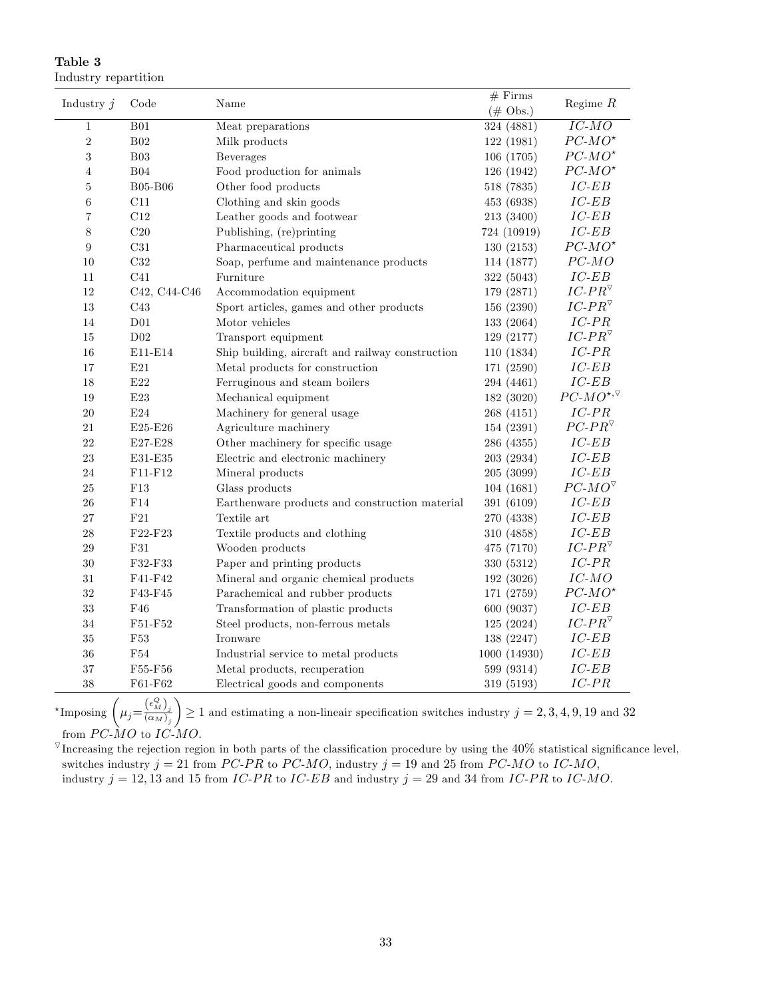| Table 3 |                      |
|---------|----------------------|
|         | Industry repartition |

| Industry $j$   | Code            | Name                                             | $#$ Firms          | Regime $R$                     |  |
|----------------|-----------------|--------------------------------------------------|--------------------|--------------------------------|--|
|                |                 |                                                  | $(\# \text{Obs.})$ |                                |  |
| $1\,$          | B01             | Meat preparations                                | 324 (4881)         | $\overline{IC\text{-}MO}$      |  |
| $\,2$          | $\rm B02$       | Milk products                                    | 122 (1981)         | $PC-MO^{\star}$                |  |
| $\sqrt{3}$     | B03             | Beverages                                        | 106 (1705)         | $PC-MO^{\star}$                |  |
| $\overline{4}$ | $\rm B04$       | Food production for animals                      | 126 (1942)         | $PC-MO^{\star}$                |  |
| $\bf 5$        | <b>B05-B06</b>  | Other food products                              | 518 (7835)         | $\cal{IC}\mbox{-}EB$           |  |
| $\,6$          | C11             | Clothing and skin goods                          | 453 (6938)         | $IC$ - $EB$                    |  |
| $\overline{7}$ | C12             | Leather goods and footwear                       | 213 (3400)         | $IC$ - $EB$                    |  |
| 8              | C20             | Publishing, (re)printing                         | 724 (10919)        | $IC$ - $EB$                    |  |
| 9              | $\rm C31$       | Pharmaceutical products                          | 130(2153)          | $PC-MO^{\star}$                |  |
| 10             | C32             | Soap, perfume and maintenance products           | 114 (1877)         | $PC-MO$                        |  |
| 11             | C41             | Furniture                                        | 322 (5043)         | $\cal{IC}\mbox{-}EB$           |  |
| 12             | C42, C44-C46    | Accommodation equipment                          | 179 (2871)         | $IC\text{-}PR^{\triangledown}$ |  |
| 13             | C43             | Sport articles, games and other products         | 156 (2390)         | $IC\text{-}PR^\triangledown$   |  |
| 14             | $\rm D01$       | Motor vehicles                                   | 133 (2064)         | $IC-PR$                        |  |
| 15             | D02             | Transport equipment                              | 129 (2177)         | $IC\text{-}PR^\triangledown$   |  |
| 16             | E11-E14         | Ship building, aircraft and railway construction | 110 (1834)         | $IC-PR$                        |  |
| 17             | E21             | Metal products for construction                  | 171 (2590)         | $\cal{IC}\mbox{-}EB$           |  |
| 18             | $\rm E22$       | Ferruginous and steam boilers                    | 294 (4461)         | $IC$ - $EB$                    |  |
| 19             | $\mbox{E}23$    | Mechanical equipment                             | 182 (3020)         | $PC-MO^{*,\nabla}$             |  |
| 20             | E24             | Machinery for general usage                      | 268 (4151)         | $IC-PR$                        |  |
| 21             | E25-E26         | Agriculture machinery                            | 154 (2391)         | $PC$ - $PR^{\triangledown}$    |  |
| 22             | E27-E28         | Other machinery for specific usage               | 286 (4355)         | $IC$ - $EB$                    |  |
| 23             | E31-E35         | Electric and electronic machinery                | 203 (2934)         | $IC$ - $EB$                    |  |
| 24             | $F11-F12$       | Mineral products                                 | 205 (3099)         | $IC$ - $EB$                    |  |
| $25\,$         | ${\rm F}13$     | Glass products                                   | 104 (1681)         | $PC-MO^{\nabla}$               |  |
| 26             | F14             | Earthenware products and construction material   | 391 (6109)         | $IC$ - $EB$                    |  |
| $27\,$         | $\rm F21$       | Textile art                                      | 270 (4338)         | $IC$ - $EB$                    |  |
| 28             | F22-F23         | Textile products and clothing                    | 310 (4858)         | $\cal{IC}\mbox{-}EB$           |  |
| 29             | F31             | Wooden products                                  | 475 (7170)         | $IC\text{-}PR^\triangledown$   |  |
| $30\,$         | F32-F33         | Paper and printing products                      | 330 (5312)         | $\cal IC\mbox{-}\cal PR$       |  |
| 31             | F41-F42         | Mineral and organic chemical products            | 192 (3026)         | $IC-MO$                        |  |
| $32\,$         | F43-F45         | Parachemical and rubber products                 | 171 (2759)         | $PC-MO^{\star}$                |  |
| $33\,$         | F46             | Transformation of plastic products               | 600 (9037)         | $\cal{IC}\mbox{-}EB$           |  |
| 34             | F51-F52         | Steel products, non-ferrous metals               | 125 (2024)         | $IC\text{-}PR^{\triangledown}$ |  |
| 35             | F <sub>53</sub> | Ironware                                         | 138 (2247)         | $IC$ - $EB$                    |  |
| 36             | F54             | Industrial service to metal products             | 1000 (14930)       | $IC$ - $EB$                    |  |
| 37             | F55-F56         | Metal products, recuperation                     | 599 (9314)         | $IC$ - $EB$                    |  |
| 38             | F61-F62         | Electrical goods and components                  | 319 (5193)         | $IC-PR$                        |  |

\*Imposing  $\left(\mu_j = \frac{(\epsilon_M^Q)_j}{(\alpha_M)_j}\right)$  $\overline{\phantom{0}}$  $\geq 1$  and estimating a non-lineair specification switches industry  $j = 2, 3, 4, 9, 19$  and 32 from  $PC-MO$  to  $IC-MO$ .

 $\nabla$ Increasing the rejection region in both parts of the classification procedure by using the 40% statistical significance level, switches industry  $j = 21$  from PC-PR to PC-MO, industry  $j = 19$  and 25 from PC-MO to IC-MO, industry  $j = 12, 13$  and 15 from IC-PR to IC-EB and industry  $j = 29$  and 34 from IC-PR to IC-MO.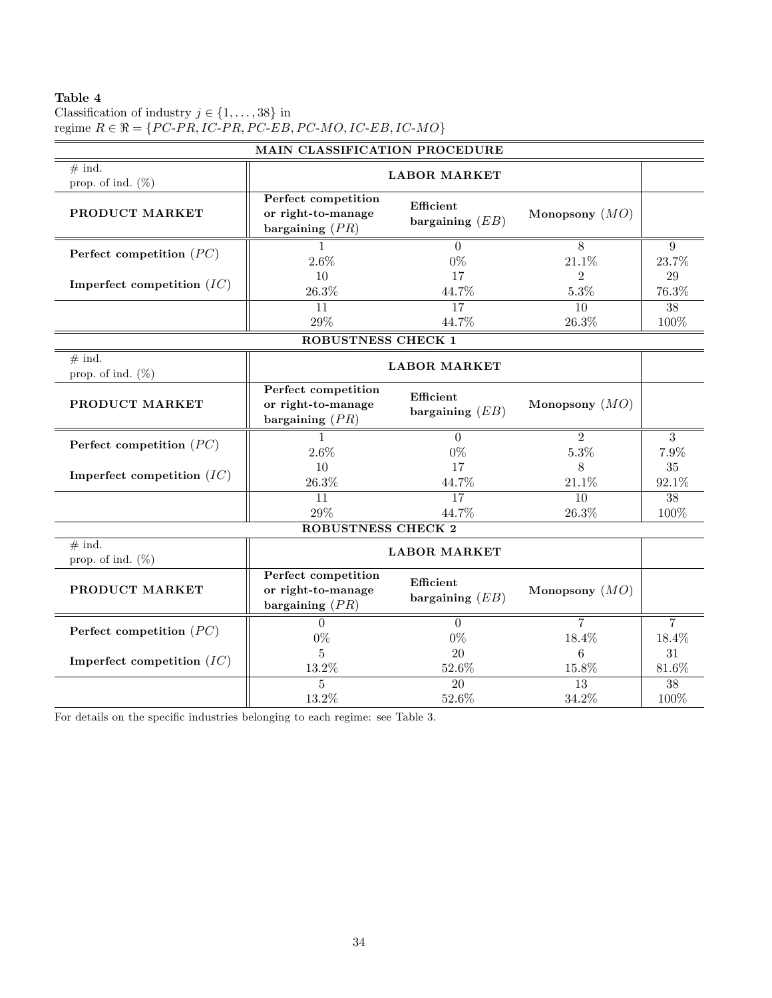| Classification of industry $j \in \{1, \ldots, 38\}$ in                                                            |
|--------------------------------------------------------------------------------------------------------------------|
| regime $R \in \mathbb{R} = \{PC\text{-}PR, IC\text{-}PR, PC\text{-}EB, PC\text{-}MO, IC\text{-}EB, IC\text{-}MO\}$ |

|                                  | <b>MAIN CLASSIFICATION PROCEDURE</b>                                                             |                                |                  |                 |  |  |  |  |  |  |
|----------------------------------|--------------------------------------------------------------------------------------------------|--------------------------------|------------------|-----------------|--|--|--|--|--|--|
| $#$ ind.<br>prop. of ind. $(\%)$ |                                                                                                  | <b>LABOR MARKET</b>            |                  |                 |  |  |  |  |  |  |
| PRODUCT MARKET                   | Perfect competition<br>or right-to-manage<br>bargaining $(PR)$                                   | Efficient<br>bargaining $(EB)$ | Monopsony $(MO)$ |                 |  |  |  |  |  |  |
|                                  |                                                                                                  | $\Omega$                       | 8                | 9               |  |  |  |  |  |  |
| Perfect competition $(PC)$       | 2.6%                                                                                             | $0\%$                          | 21.1%            | 23.7%           |  |  |  |  |  |  |
|                                  | 10                                                                                               | 17                             | $\overline{2}$   | 29              |  |  |  |  |  |  |
| Imperfect competition $(IC)$     | 26.3%                                                                                            | 44.7%                          | 5.3%             | 76.3%           |  |  |  |  |  |  |
|                                  | 11                                                                                               | 17                             | 10               | $\overline{38}$ |  |  |  |  |  |  |
|                                  | 29%                                                                                              | 44.7%                          | $26.3\%$         | 100%            |  |  |  |  |  |  |
|                                  | ROBUSTNESS CHECK 1                                                                               |                                |                  |                 |  |  |  |  |  |  |
| $#$ ind.<br>prop. of ind. $(\%)$ |                                                                                                  | <b>LABOR MARKET</b>            |                  |                 |  |  |  |  |  |  |
| PRODUCT MARKET                   | Perfect competition<br>or right-to-manage<br>bargaining $(PR)$                                   | Efficient<br>bargaining $(EB)$ | Monopsony $(MO)$ |                 |  |  |  |  |  |  |
|                                  |                                                                                                  | $\Omega$                       | $\overline{2}$   | $\overline{3}$  |  |  |  |  |  |  |
| Perfect competition $(PC)$       | 2.6%                                                                                             | $0\%$                          | 5.3%             | 7.9%            |  |  |  |  |  |  |
|                                  | 10                                                                                               | 17                             | 8                | 35              |  |  |  |  |  |  |
| Imperfect competition $(IC)$     | 26.3%                                                                                            | 44.7%                          | 21.1%            | 92.1%           |  |  |  |  |  |  |
|                                  | 11                                                                                               | 17                             | 10               | $\overline{38}$ |  |  |  |  |  |  |
|                                  | 29%                                                                                              | 44.7%                          | 26.3%            | 100%            |  |  |  |  |  |  |
|                                  | ROBUSTNESS CHECK 2                                                                               |                                |                  |                 |  |  |  |  |  |  |
| $#$ ind.<br>prop. of ind. $(\%)$ |                                                                                                  | <b>LABOR MARKET</b>            |                  |                 |  |  |  |  |  |  |
| PRODUCT MARKET                   | Perfect competition<br>Efficient<br>or right-to-manage<br>bargaining $(EB)$<br>bargaining $(PR)$ |                                | Monopsony $(MO)$ |                 |  |  |  |  |  |  |
|                                  | $\Omega$                                                                                         | $\Omega$                       | $\overline{7}$   | $\overline{7}$  |  |  |  |  |  |  |
| Perfect competition $(PC)$       | $0\%$                                                                                            | $0\%$                          | 18.4%            | 18.4%           |  |  |  |  |  |  |
|                                  | $\overline{5}$                                                                                   | 20                             | 6                | 31              |  |  |  |  |  |  |
| Imperfect competition $(IC)$     | 13.2%                                                                                            | 52.6%                          | 15.8%            | 81.6%           |  |  |  |  |  |  |
|                                  | 5                                                                                                | $\overline{20}$                | 13               | $\overline{38}$ |  |  |  |  |  |  |
|                                  | 13.2%                                                                                            | 52.6%                          | 34.2%            | 100%            |  |  |  |  |  |  |

For details on the specific industries belonging to each regime: see Table 3.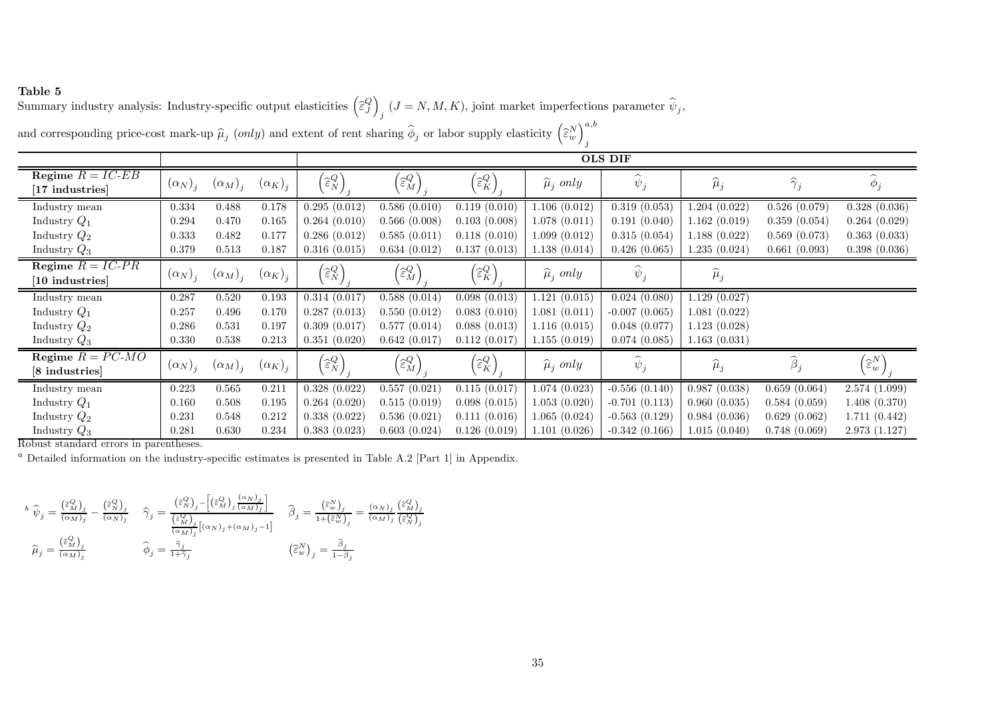Summary industry analysis: Industry-specific output elasticities  $(\hat{\epsilon}_j^Q)_{j}$   $(J = N, M, K)$ , joint market imperfections parameter  $\hat{\psi}_j$ , and corresponding price-cost mark-up  $\widehat{\mu}_j$  (only) and extent of rent sharing  $\widehat{\phi}$ *j* or labor supply elasticity  $\left(\widehat{\varepsilon}_{w}^{N}\right)_{j}^{a,b}$ 

|                     |                |                |                |                                              |                                              |                                                  |                        | <b>OLS DIF</b>                      |                   |                                  |                                            |
|---------------------|----------------|----------------|----------------|----------------------------------------------|----------------------------------------------|--------------------------------------------------|------------------------|-------------------------------------|-------------------|----------------------------------|--------------------------------------------|
| Regime $R = IC$ -EB | $(\alpha_N)_i$ | $(\alpha_M)_i$ | $(\alpha_K)_i$ | $\left(\widehat{\varepsilon}_{N}^{Q}\right)$ | $\left(\widehat{\varepsilon}^{Q}_{M}\right)$ | $\left(\widehat{\varepsilon}_{K}^{Q}\right)_{j}$ | $\widehat{\mu}_i$ only | $\widehat{\phantom{1}}$<br>$\psi_j$ | $\widehat{\mu}_j$ | $\widehat{\gamma}_i$             | $\phi_j$                                   |
| [17 industries]     |                |                |                |                                              |                                              |                                                  |                        |                                     |                   |                                  |                                            |
| Industry mean       | 0.334          | 0.488          | 0.178          | 0.295(0.012)                                 | 0.586(0.010)                                 | 0.119(0.010)                                     | 1.106(0.012)           | 0.319(0.053)                        | 1.204(0.022)      | 0.526(0.079)                     | 0.328(0.036)                               |
| Industry $Q_1$      | 0.294          | 0.470          | 0.165          | 0.264(0.010)                                 | 0.566(0.008)                                 | 0.103(0.008)                                     | 1.078(0.011)           | 0.191(0.040)                        | 1.162(0.019)      | 0.359(0.054)                     | 0.264(0.029)                               |
| Industry $Q_2$      | 0.333          | 0.482          | 0.177          | 0.286(0.012)                                 | 0.585(0.011)                                 | 0.118(0.010)                                     | 1.099(0.012)           | 0.315(0.054)                        | 1.188(0.022)      | 0.569(0.073)                     | 0.363(0.033)                               |
| Industry $Q_3$      | 0.379          | 0.513          | 0.187          | 0.316(0.015)                                 | 0.634(0.012)                                 | 0.137(0.013)                                     | 1.138(0.014)           | 0.426(0.065)                        | 1.235(0.024)      | 0.661(0.093)                     | 0.398(0.036)                               |
| Regime $R = IC-PR$  |                |                |                |                                              |                                              |                                                  |                        |                                     |                   |                                  |                                            |
| [10 industries]     | $(\alpha_N)_i$ | $(\alpha_M)_i$ | $(\alpha_K)_i$ | $\left(\widehat{\varepsilon}_{N}^{Q}\right)$ | $\left[\widehat{\varepsilon}_{M}^{Q}\right]$ | $\left(\widehat{\varepsilon}_{K}^{Q}\right)$     | $\hat{\mu}_i$ only     | $\psi_i$                            | $\widehat{\mu}_j$ |                                  |                                            |
| Industry mean       | 0.287          | 0.520          | 0.193          | 0.314(0.017)                                 | 0.588(0.014)                                 | 0.098(0.013)                                     | 1.121(0.015)           | 0.024(0.080)                        | 1.129(0.027)      |                                  |                                            |
| Industry $Q_1$      | 0.257          | 0.496          | 0.170          | 0.287(0.013)                                 | 0.550(0.012)                                 | 0.083(0.010)                                     | 1.081(0.011)           | $-0.007(0.065)$                     | 1.081(0.022)      |                                  |                                            |
| Industry $Q_2$      | 0.286          | 0.531          | 0.197          | 0.309(0.017)                                 | 0.577(0.014)                                 | 0.088(0.013)                                     | 1.116(0.015)           | 0.048(0.077)                        | 1.123(0.028)      |                                  |                                            |
| Industry $Q_3$      | 0.330          | 0.538          | 0.213          | 0.351(0.020)                                 | 0.642(0.017)                                 | 0.112(0.017)                                     | 1.155(0.019)           | 0.074(0.085)                        | 1.163(0.031)      |                                  |                                            |
| Regime $R = PC-MO$  |                |                |                |                                              |                                              |                                                  |                        |                                     |                   | $\widehat{\boldsymbol{\beta}}_i$ |                                            |
| [8 industries]      | $(\alpha_N)_i$ | $(\alpha_M)_i$ | $(\alpha_K)_i$ | $\left(\widehat{\varepsilon}_{N}^{Q}\right)$ | $\left(\widehat{\varepsilon}^{Q}_{M}\right)$ | $\left(\widehat{\varepsilon}_{K}^{Q}\right)$     | $\hat{\mu}_i$ only     | $\psi_i$                            | $\mu_j$           |                                  | $\left(\widehat{\varepsilon}^{N}_w\right)$ |
| Industry mean       | 0.223          | 0.565          | 0.211          | 0.328(0.022)                                 | 0.557(0.021)                                 | 0.115(0.017)                                     | 1.074(0.023)           | $-0.556(0.140)$                     | 0.987(0.038)      | 0.659(0.064)                     | 2.574 (1.099)                              |
| Industry $Q_1$      | 0.160          | 0.508          | 0.195          | 0.264(0.020)                                 | 0.515(0.019)                                 | 0.098(0.015)                                     | 1.053(0.020)           | $-0.701(0.113)$                     | 0.960(0.035)      | 0.584(0.059)                     | 1.408(0.370)                               |
| Industry $Q_2$      | 0.231          | 0.548          | 0.212          | 0.338(0.022)                                 | 0.536(0.021)                                 | 0.111(0.016)                                     | 1.065(0.024)           | $-0.563(0.129)$                     | 0.984(0.036)      | 0.629(0.062)                     | 1.711(0.442)                               |
| Industry $Q_3$      | 0.281          | 0.630          | 0.234          | 0.383(0.023)                                 | 0.603(0.024)                                 | 0.126(0.019)                                     | 1.101(0.026)           | $-0.342(0.166)$                     | 1.015(0.040)      | 0.748(0.069)                     | 2.973(1.127)                               |

Robust standard errors in parentheses.

Detailed information on the industry-specific estimates is presented in Table A.2 [Part 1] in Appendix.

$$
\begin{aligned} \ ^{b}\ \widehat{\psi}_j = \frac{\left(\widehat{\varepsilon}_{M}^{Q}\right)_j}{\left(\alpha_{M}\right)_j} - \frac{\left(\widehat{\varepsilon}_{N}^{Q}\right)_j}{\left(\alpha_{N}\right)_j} \quad \widehat{\gamma}_j = \frac{\left(\widehat{\varepsilon}_{N}^{Q}\right)_j - \left[\left(\widehat{\varepsilon}_{M}^{Q}\right)_j\frac{\left(\alpha_{N}\right)_j}{\left(\alpha_{M}\right)_j}\right]}{\left(\widehat{\varepsilon}_{M}^{Q}\right)_j\left[\left(\alpha_{N}\right)_j + \left(\alpha_{M}\right)_j - 1\right]} \quad \widehat{\beta}_j = \frac{\left(\widehat{\varepsilon}_{w}^{Q}\right)_j}{1 + \left(\widehat{\varepsilon}_{w}^{Q}\right)_j} = \frac{\left(\alpha_{N}\right)_j\left(\widehat{\varepsilon}_{M}^{Q}\right)_j}{\left(\alpha_{M}\right)_j\left[\left(\alpha_{N}\right)_j + \left(\alpha_{M}\right)_j - 1\right]} \quad \widehat{\beta}_j = \frac{\left(\widehat{\varepsilon}_{w}^{Q}\right)_j}{1 + \left(\widehat{\varepsilon}_{w}^{Q}\right)_j} = \frac{\left(\alpha_{N}\right)_j\left(\widehat{\varepsilon}_{M}^{Q}\right)_j}{\left(\widehat{\varepsilon}_{N}^{Q}\right)_j} \end{aligned}
$$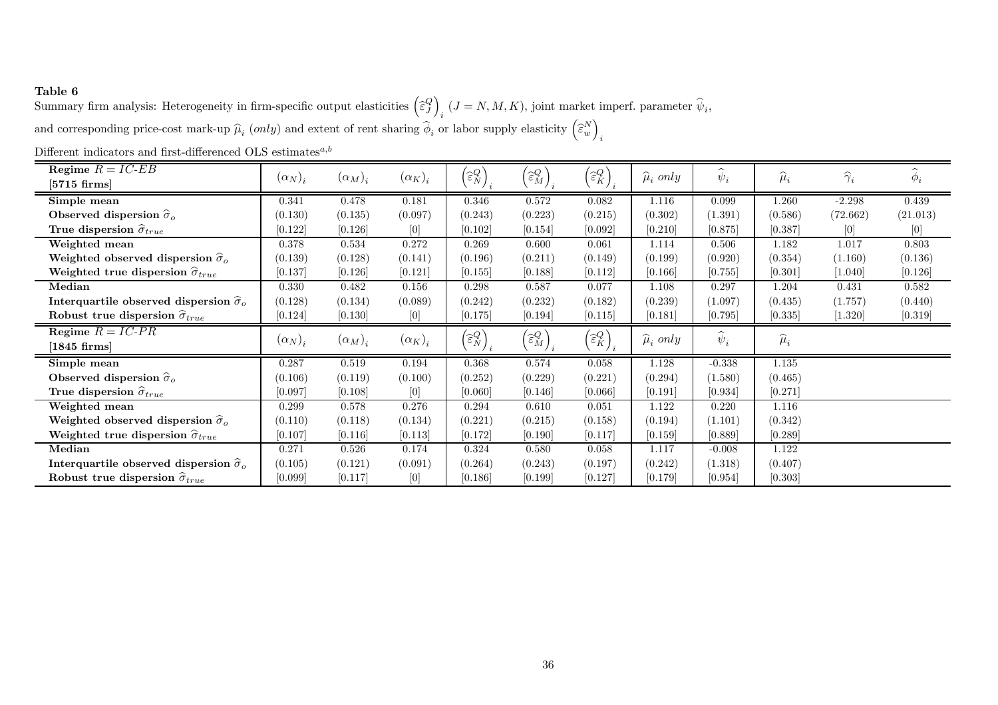Summary firm analysis: Heterogeneity in firm-specific output elasticities  $\left(\hat{\epsilon}_j^Q\right)_i$   $(J = N, M, K)$ , joint market imperf. parameter  $\hat{\psi}_i$ , and corresponding price-cost mark-up  $\hat{\mu}_i$  (only) and extent of rent sharing  $\hat{\phi}_i$  or labor supply elasticity  $\left(\hat{\epsilon}_w^N\right)_i$ 

| Regime $R = IC$ -EB                                      |                |                |                | $\left(\widehat{\varepsilon}_{N}^{Q}\right)$     | $\left(\widehat{\varepsilon}^{Q}_{M}\right)$ |                                                  | $\widehat{\mu}_i$ only | $\widehat{\phantom{1}}$<br>$\psi_i$ | $\widehat{\mu}_i$ | $\widehat{\gamma}_i$ | $\widehat{\phantom{1}}$<br>$\phi_i$ |
|----------------------------------------------------------|----------------|----------------|----------------|--------------------------------------------------|----------------------------------------------|--------------------------------------------------|------------------------|-------------------------------------|-------------------|----------------------|-------------------------------------|
| $[5715 \text{ firms}]$                                   | $(\alpha_N)_i$ | $(\alpha_M)_i$ | $(\alpha_K)_i$ |                                                  |                                              | $\left(\widehat{\varepsilon}_{K}^{Q}\right)_{i}$ |                        |                                     |                   |                      |                                     |
| Simple mean                                              | 0.341          | 0.478          | 0.181          | 0.346                                            | 0.572                                        | 0.082                                            | 1.116                  | 0.099                               | 1.260             | $-2.298$             | $0.439\,$                           |
| Observed dispersion $\hat{\sigma}_{o}$                   | (0.130)        | (0.135)        | (0.097)        | (0.243)                                          | (0.223)                                      | (0.215)                                          | (0.302)                | (1.391)                             | (0.586)           | (72.662)             | (21.013)                            |
| True dispersion $\hat{\sigma}_{true}$                    | [0.122]        | [0.126]        | [0]            | [0.102]                                          | [0.154]                                      | [0.092]                                          | [0.210]                | [0.875]                             | [0.387]           | [0]                  | [0]                                 |
| Weighted mean                                            | 0.378          | 0.534          | 0.272          | 0.269                                            | 0.600                                        | 0.061                                            | 1.114                  | 0.506                               | 1.182             | 1.017                | 0.803                               |
| Weighted observed dispersion $\hat{\sigma}_{o}$          | (0.139)        | (0.128)        | (0.141)        | (0.196)                                          | (0.211)                                      | (0.149)                                          | (0.199)                | (0.920)                             | (0.354)           | (1.160)              | (0.136)                             |
| Weighted true dispersion $\hat{\sigma}_{true}$           | [0.137]        | [0.126]        | [0.121]        | [0.155]                                          | [0.188]                                      | [0.112]                                          | [0.166]                | [0.755]                             | [0.301]           | [1.040]              | [0.126]                             |
| Median                                                   | 0.330          | 0.482          | 0.156          | 0.298                                            | 0.587                                        | 0.077                                            | 1.108                  | 0.297                               | 1.204             | 0.431                | 0.582                               |
| Interquartile observed dispersion $\widehat{\sigma}_{o}$ | (0.128)        | (0.134)        | (0.089)        | (0.242)                                          | (0.232)                                      | (0.182)                                          | (0.239)                | (1.097)                             | (0.435)           | (1.757)              | (0.440)                             |
| Robust true dispersion $\hat{\sigma}_{true}$             | [0.124]        | [0.130]        | [0]            | [0.175]                                          | [0.194]                                      | [0.115]                                          | [0.181]                | [0.795]                             | [0.335]           | [1.320]              | $[0.319]$                           |
| Regime $R = IC-PR$                                       |                | $(\alpha_M)_i$ |                |                                                  | $\left(\widehat{\varepsilon}^{Q}_{M}\right)$ |                                                  | $\widehat{\mu}_i$ only | $\psi_i$                            | $\widehat{\mu}_i$ |                      |                                     |
| $[1845 \text{ firms}]$                                   | $(\alpha_N)_i$ |                | $(\alpha_K)_i$ | $\left(\widehat{\varepsilon}_{N}^{Q}\right)_{i}$ |                                              | $\left(\widehat{\varepsilon}^{Q}_K\right)$       |                        |                                     |                   |                      |                                     |
| Simple mean                                              | 0.287          | 0.519          | 0.194          | 0.368                                            | 0.574                                        | 0.058                                            | $1.128\,$              | $-0.338$                            | 1.135             |                      |                                     |
| Observed dispersion $\hat{\sigma}_o$                     | (0.106)        | (0.119)        | (0.100)        | (0.252)                                          | (0.229)                                      | (0.221)                                          | (0.294)                | (1.580)                             | (0.465)           |                      |                                     |
| True dispersion $\hat{\sigma}_{true}$                    | [0.097]        | [0.108]        | [0]            | [0.060]                                          | [0.146]                                      | [0.066]                                          | [0.191]                | [0.934]                             | [0.271]           |                      |                                     |
| Weighted mean                                            | 0.299          | 0.578          | 0.276          | 0.294                                            | 0.610                                        | 0.051                                            | 1.122                  | 0.220                               | 1.116             |                      |                                     |
| Weighted observed dispersion $\widehat{\sigma}_{o}$      | (0.110)        | (0.118)        | (0.134)        | (0.221)                                          | (0.215)                                      | (0.158)                                          | (0.194)                | (1.101)                             | (0.342)           |                      |                                     |
| Weighted true dispersion $\hat{\sigma}_{true}$           | [0.107]        | [0.116]        | [0.113]        | [0.172]                                          | [0.190]                                      | [0.117]                                          | [0.159]                | [0.889]                             | [0.289]           |                      |                                     |
| Median                                                   | 0.271          | 0.526          | 0.174          | 0.324                                            | 0.580                                        | 0.058                                            | 1.117                  | $-0.008$                            | 1.122             |                      |                                     |
| Interquartile observed dispersion $\hat{\sigma}_{o}$     | (0.105)        | (0.121)        | (0.091)        | (0.264)                                          | (0.243)                                      | (0.197)                                          | (0.242)                | (1.318)                             | (0.407)           |                      |                                     |
| Robust true dispersion $\hat{\sigma}_{true}$             | [0.099]        | [0.117]        | $[0]$          | [0.186]                                          | [0.199]                                      | [0.127]                                          | [0.179]                | [0.954]                             | [0.303]           |                      |                                     |

Different indicators and first-differenced OLS estimates<sup> $a,b$ </sup>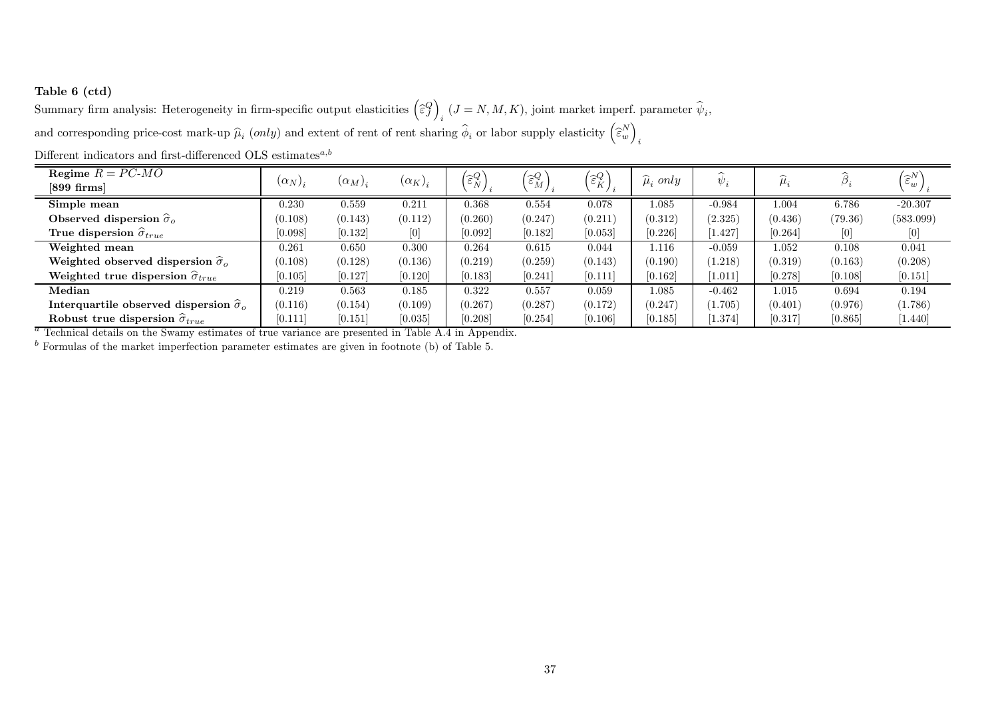### Table <sup>6</sup> (ctd)

Summary firm analysis: Heterogeneity in firm-specific output elasticities  $\left(\hat{\epsilon}_j^Q\right)_i$   $(J = N, M, K)$ , joint market imperf. parameter  $\hat{\psi}_i$ , and corresponding price-cost mark-up  $\hat{\mu}_i$  (only) and extent of rent of rent sharing  $\hat{\phi}_i$  or labor supply elasticity  $\left(\hat{\epsilon}_w^N\right)_i$ 

| Regime $R = PC-MO$                                   |                |                |                | $'\widehat{\varepsilon}_{N}^{Q}$ | $\left(\widehat{\varepsilon}^{Q}_{M}\right)$ | $'\widehat{\varepsilon}_{K}^{Q}$ |                    | $\sim$   |           |         | $\widehat{\varepsilon}^N_w$ |
|------------------------------------------------------|----------------|----------------|----------------|----------------------------------|----------------------------------------------|----------------------------------|--------------------|----------|-----------|---------|-----------------------------|
| $[899 \text{ firms}]$                                | $(\alpha_N)_i$ | $(\alpha_M)_i$ | $(\alpha_K)_i$ |                                  |                                              |                                  | $\hat{\mu}_i$ only | $\psi$ : |           |         |                             |
| Simple mean                                          | 0.230          | 0.559          | 0.211          | 0.368                            | 0.554                                        | 0.078                            | 1.085              | $-0.984$ | 0.004     | 6.786   | $-20.307$                   |
| Observed dispersion $\hat{\sigma}_{o}$               | (0.108)        | (0.143)        | (0.112)        | (0.260)                          | (0.247)                                      | (0.211)                          | (0.312)            | (2.325)  | (0.436)   | (79.36) | (583.099)                   |
| True dispersion $\widehat{\sigma}_{true}$            | [0.098]        | [0.132]        | ſОl            | [0.092]                          | [0.182]                                      | [0.053]                          | [0.226]            | 1.427    | [0.264]   | [0]     | [0]                         |
| Weighted mean                                        | 0.261          | 0.650          | 0.300          | 0.264                            | 0.615                                        | 0.044                            | 1.116              | $-0.059$ | $1.052\,$ | 0.108   | 0.041                       |
| Weighted observed dispersion $\widehat{\sigma}_{o}$  | (0.108)        | (0.128)        | (0.136)        | (0.219)                          | (0.259)                                      | (0.143)                          | (0.190)            | 1.218)   | (0.319)   | (0.163) | (0.208)                     |
| Weighted true dispersion $\hat{\sigma}_{true}$       | [0.105]        | [0.127]        | [0.120]        | [0.183]                          | [0.241]                                      | [0.111]                          | [0.162]            | [1.011]  | [0.278]   | [0.108] | [0.151]                     |
| Median                                               | 0.219          | 0.563          | 0.185          | 0.322                            | 0.557                                        | 0.059                            | 1.085              | $-0.462$ | 0.015     | 0.694   | 0.194                       |
| Interquartile observed dispersion $\hat{\sigma}_{o}$ | (0.116)        | (0.154)        | (0.109)        | (0.267)                          | (0.287)                                      | (0.172)                          | (0.247)            | (1.705)  | (0.401)   | (0.976) | (1.786)                     |
| Robust true dispersion $\hat{\sigma}_{true}$         | [0.111]        | [0.151]        | [0.035]        | [0.208]                          | [0.254]                                      | 0.106                            | [0.185]            | 1.374]   | [0.317]   | [0.865] | [1.440]                     |

Different indicators and first-differenced OLS estimates<sup> $a,b$ </sup>

 $\overline{a}$  Technical details on the Swamy estimates of true variance are presented in Table A.4 in Appendix.

 $<sup>b</sup>$  Formulas of the market imperfection parameter estimates are given in footnote (b) of Table 5.</sup>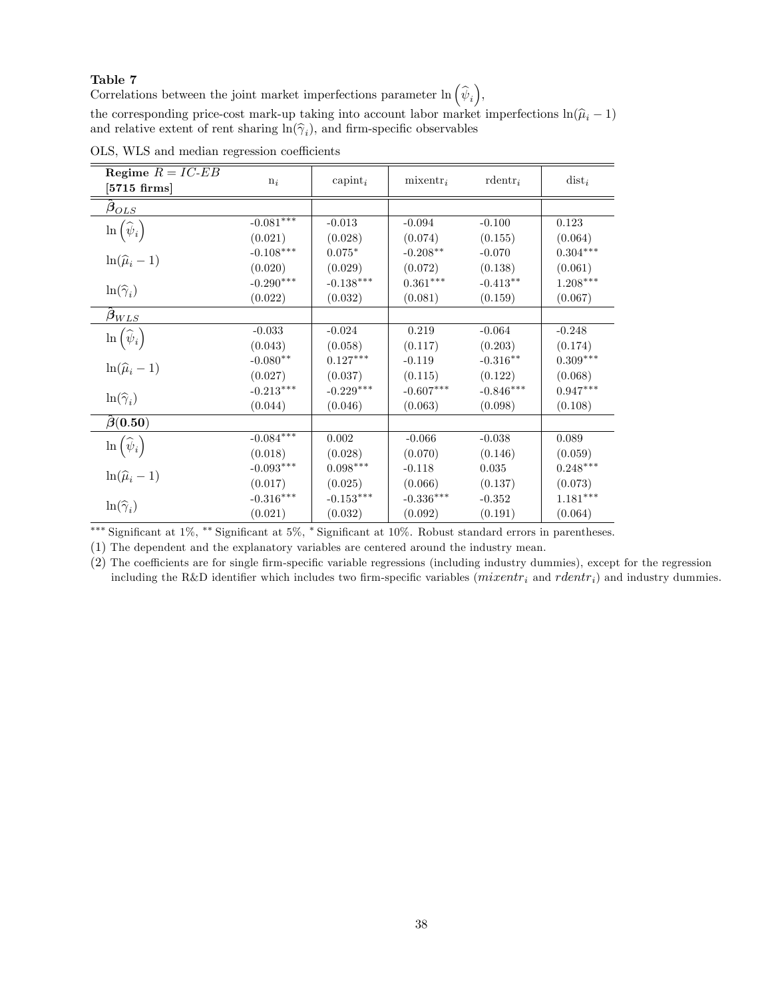Correlations between the joint market imperfections parameter  $\ln (\hat{\psi}_i)$ ,

the corresponding price-cost mark-up taking into account labor market imperfections  $\ln(\hat{\mu}_i - 1)$ and relative extent of rent sharing  $\ln(\hat{\gamma}_i)$ , and firm-specific observables

| Regime $R = IC$ -EB<br>$[5715 \; \mathrm{firms}]$ | $n_i$       | capint <sub>i</sub>                  | $mixentr_i$ | $\mathrm{rdentr}_i$ | $dist_i$               |
|---------------------------------------------------|-------------|--------------------------------------|-------------|---------------------|------------------------|
| $\beta_{OLS}$                                     |             |                                      |             |                     |                        |
|                                                   | $-0.081***$ | $-0.013$                             | $-0.094$    | $-0.100$            | 0.123                  |
| $\ln\left(\widehat{\psi}_i\right)$                | (0.021)     | (0.028)                              | (0.074)     | (0.155)             | (0.064)                |
|                                                   | $-0.108***$ | $0.075*$                             | $-0.208**$  | $-0.070$            | $0.304^{***}\;$        |
| $\ln(\widehat{\mu}_i-1)$                          | (0.020)     | (0.029)                              | (0.072)     | (0.138)             | (0.061)                |
|                                                   | $-0.290***$ | $\textnormal{-}0.138^{\ast\ast\ast}$ | $0.361***$  | $-0.413**$          | $1.208^{\ast\ast\ast}$ |
| $\ln(\widehat{\gamma}_i)$                         | (0.022)     | (0.032)                              | (0.081)     | (0.159)             | (0.067)                |
| $\beta_{WLS}$                                     |             |                                      |             |                     |                        |
| $\ln\left(\widehat{\psi}_i\right)$                | $-0.033$    | $-0.024$                             | 0.219       | $-0.064$            | $-0.248$               |
|                                                   | (0.043)     | (0.058)                              | (0.117)     | (0.203)             | (0.174)                |
| $\ln(\widehat{\mu}_i-1)$                          | $-0.080**$  | $0.127***$                           | $-0.119$    | $-0.316**$          | $0.309***$             |
|                                                   | (0.027)     | (0.037)                              | (0.115)     | (0.122)             | (0.068)                |
| $\ln(\widehat{\gamma}_i)$                         | $-0.213***$ | $-0.229^{***}\,$                     | $-0.607***$ | $-0.846***$         | $0.947***$             |
|                                                   | (0.044)     | (0.046)                              | (0.063)     | (0.098)             | (0.108)                |
| $\hat{\boldsymbol{\beta}}(0.50)$                  |             |                                      |             |                     |                        |
|                                                   | $-0.084***$ | $0.002\,$                            | $-0.066$    | $-0.038$            | 0.089                  |
| $\ln\left(\widehat{\psi}_i\right)$                | (0.018)     | (0.028)                              | (0.070)     | (0.146)             | (0.059)                |
| $\ln(\widehat{\mu}_i-1)$                          | $-0.093***$ | $0.098***$                           | $-0.118$    | $\,0.035\,$         | $0.248***$             |
|                                                   | (0.017)     | (0.025)                              | (0.066)     | (0.137)             | (0.073)                |
| $\ln(\widehat{\gamma}_i)$                         | $-0.316***$ | $-0.153***$                          | $-0.336***$ | $-0.352$            | $1.181***$             |
|                                                   | (0.021)     | (0.032)                              | (0.092)     | (0.191)             | (0.064)                |

OLS, WLS and median regression coefficients

\*\*\* Significant at 1%, \*\* Significant at 5%, \* Significant at 10%. Robust standard errors in parentheses.

(1) The dependent and the explanatory variables are centered around the industry mean.

(2) The coefficients are for single firm-specific variable regressions (including industry dummies), except for the regression including the R&D identifier which includes two firm-specific variables ( $mixentr_i$  and  $rdentr_i$ ) and industry dummies.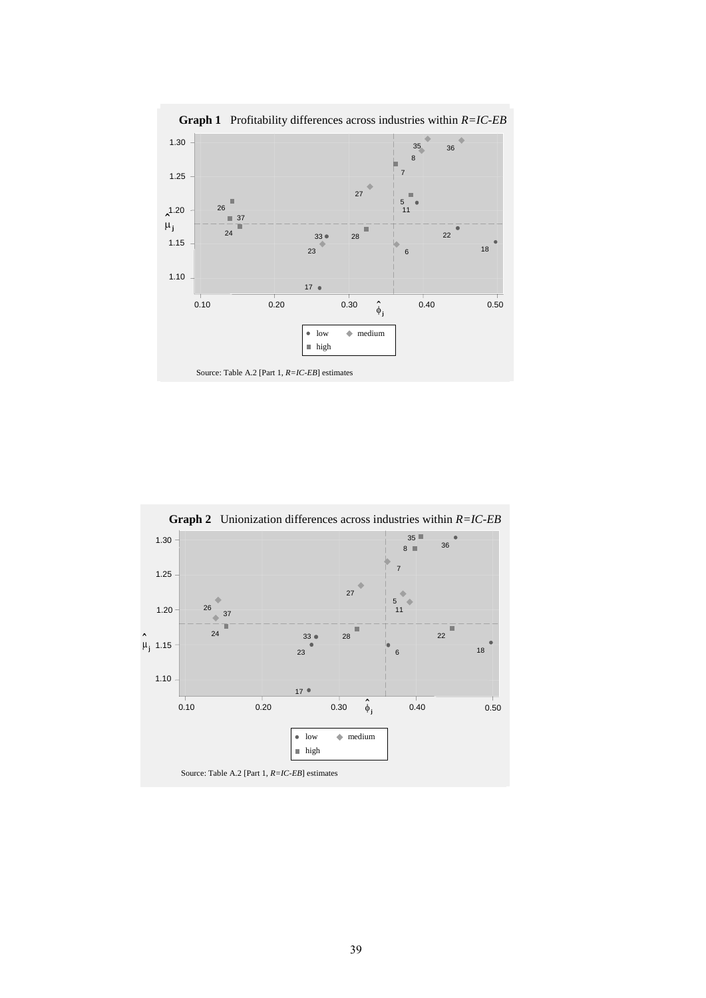

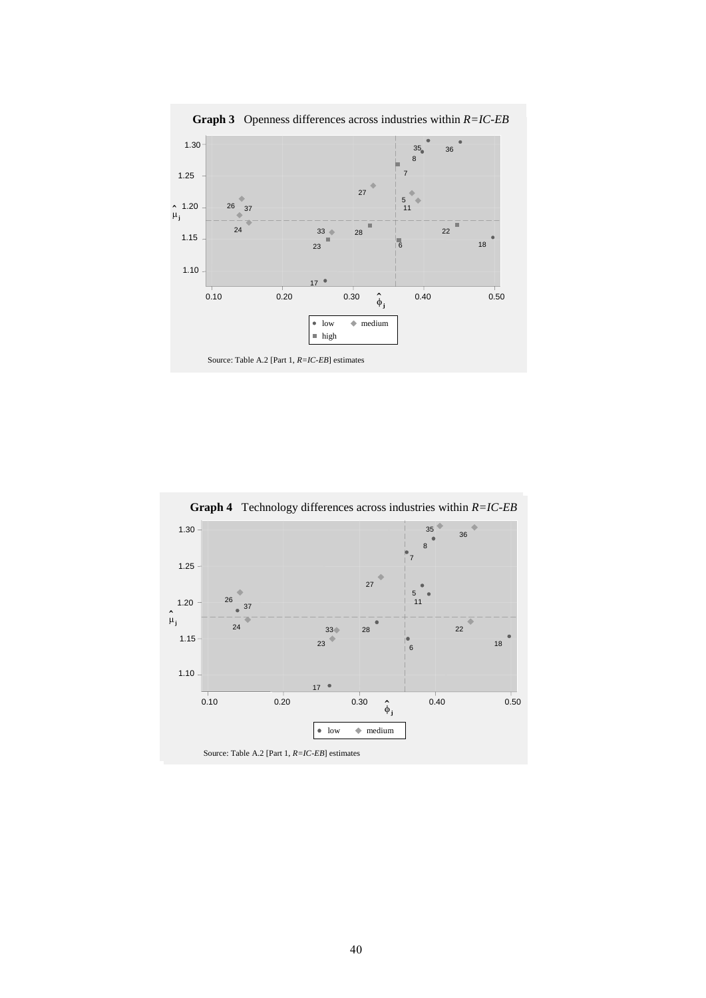

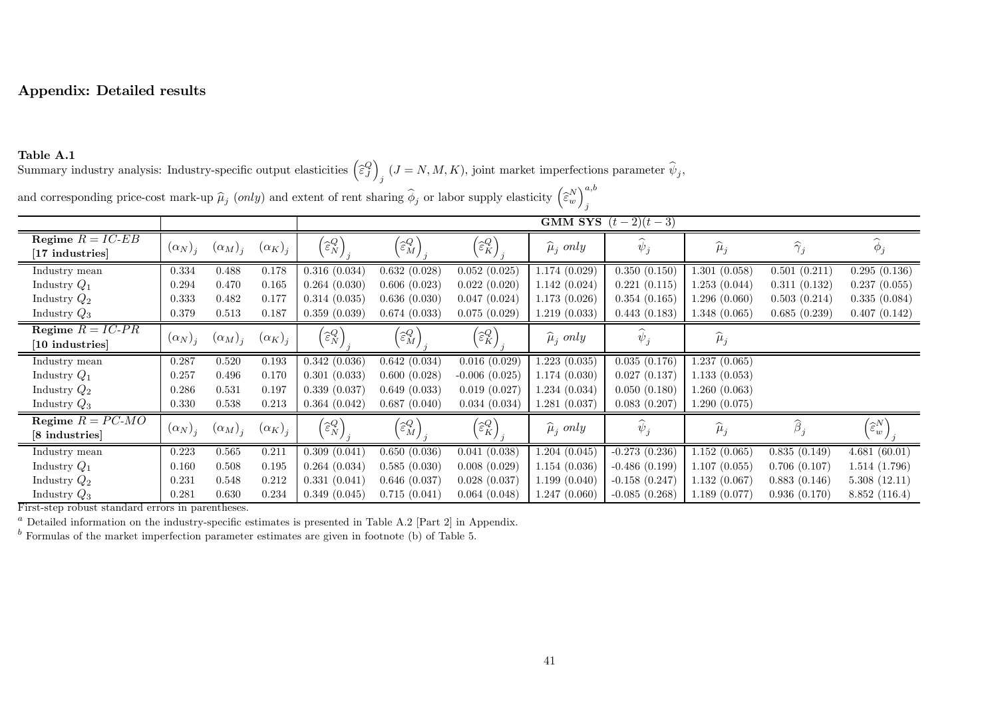# Appendix: Detailed results

### Table A.1

Summary industry analysis: Industry-specific output elasticities  $\left(\widehat{\varepsilon}_{J}^{Q}\right)_{j}$   $(J = N, M, K)$ , joint market imperfections parameter  $\widehat{\psi}_{j}$ ,

|                                        |                |                |                |                                              | <b>GMM SYS</b> $(t-2)(t-3)$                  |                                              |                        |                 |                   |                      |                               |  |  |  |  |
|----------------------------------------|----------------|----------------|----------------|----------------------------------------------|----------------------------------------------|----------------------------------------------|------------------------|-----------------|-------------------|----------------------|-------------------------------|--|--|--|--|
| Regime $R = IC$ -EB<br>[17 industries] | $(\alpha_N)_i$ | $(\alpha_M)_i$ | $(\alpha_K)_i$ | $\left(\widehat{\varepsilon}_{N}^{Q}\right)$ | $\left(\widehat{\varepsilon}^{Q}_{M}\right)$ | $\left(\widehat{\varepsilon}_{K}^{Q}\right)$ | $\widehat{\mu}_i$ only | $\psi_j$        | $\widehat{\mu}_j$ | $\widehat{\gamma}_j$ | $\phi_j$                      |  |  |  |  |
| Industry mean                          | 0.334          | 0.488          | 0.178          | 0.316(0.034)                                 | 0.632(0.028)                                 | 0.052(0.025)                                 | 1.174(0.029)           | 0.350(0.150)    | 1.301(0.058)      | 0.501(0.211)         | 0.295(0.136)                  |  |  |  |  |
| Industry $Q_1$                         | 0.294          | 0.470          | 0.165          | 0.264(0.030)                                 | 0.606(0.023)                                 | 0.022(0.020)                                 | 1.142(0.024)           | 0.221(0.115)    | 1.253(0.044)      | 0.311(0.132)         | 0.237(0.055)                  |  |  |  |  |
| Industry $Q_2$                         | 0.333          | 0.482          | 0.177          | 0.314(0.035)                                 | 0.636(0.030)                                 | 0.047(0.024)                                 | 1.173(0.026)           | 0.354(0.165)    | 1.296(0.060)      | 0.503(0.214)         | 0.335(0.084)                  |  |  |  |  |
| Industry $Q_3$                         | 0.379          | 0.513          | 0.187          | 0.359(0.039)                                 | 0.674(0.033)                                 | 0.075(0.029)                                 | 1.219(0.033)           | 0.443(0.183)    | 1.348(0.065)      | 0.685(0.239)         | 0.407(0.142)                  |  |  |  |  |
| Regime $R = IC-PR$<br>[10 industries]  | $(\alpha_N)_i$ | $(\alpha_M)_i$ | $(\alpha_K)_i$ | $\left(\widehat{\varepsilon}_{N}^{Q}\right)$ | $\left(\widehat{\varepsilon}^{Q}_{M}\right)$ | $\left(\widehat{\varepsilon}_{K}^{Q}\right)$ | $\hat{\mu}_i$ only     | $\psi_j$        | $\widehat{\mu}_j$ |                      |                               |  |  |  |  |
| Industry mean                          | 0.287          | 0.520          | 0.193          | 0.342(0.036)                                 | 0.642(0.034)                                 | 0.016(0.029)                                 | 1.223(0.035)           | 0.035(0.176)    | 1.237(0.065)      |                      |                               |  |  |  |  |
| Industry $Q_1$                         | 0.257          | 0.496          | 0.170          | 0.301(0.033)                                 | 0.600(0.028)                                 | $-0.006(0.025)$                              | 1.174(0.030)           | 0.027(0.137)    | 1.133(0.053)      |                      |                               |  |  |  |  |
| Industry $Q_2$                         | 0.286          | 0.531          | 0.197          | 0.339(0.037)                                 | 0.649(0.033)                                 | 0.019(0.027)                                 | 1.234(0.034)           | 0.050(0.180)    | 1.260(0.063)      |                      |                               |  |  |  |  |
| Industry $Q_3$                         | 0.330          | 0.538          | 0.213          | 0.364(0.042)                                 | 0.687(0.040)                                 | 0.034(0.034)                                 | 1.281(0.037)           | 0.083(0.207)    | 1.290(0.075)      |                      |                               |  |  |  |  |
| Regime $R = PC-MO$<br>[8 industries]   | $(\alpha_N)_i$ | $(\alpha_M)_i$ | $(\alpha_K)_i$ | $\left(\widehat{\varepsilon}_{N}^{Q}\right)$ | $\left(\widehat{\varepsilon}^{Q}_{M}\right)$ | $\left(\widehat{\varepsilon}_{K}^{Q}\right)$ | $\hat{\mu}_i$ only     | $\psi_j$        | $\widehat{\mu}_j$ | $\widehat{\beta}_i$  | $\widehat{\varepsilon}^{N}_w$ |  |  |  |  |
| Industry mean                          | 0.223          | 0.565          | 0.211          | 0.309(0.041)                                 | 0.650(0.036)                                 | 0.041(0.038)                                 | 1.204(0.045)           | $-0.273(0.236)$ | 1.152(0.065)      | 0.835(0.149)         | 4.681(60.01)                  |  |  |  |  |
| Industry $Q_1$                         | 0.160          | 0.508          | 0.195          | 0.264(0.034)                                 | 0.585(0.030)                                 | 0.008(0.029)                                 | 1.154(0.036)           | $-0.486(0.199)$ | 1.107(0.055)      | 0.706(0.107)         | 1.514(1.796)                  |  |  |  |  |
| Industry $Q_2$                         | 0.231          | 0.548          | 0.212          | 0.331(0.041)                                 | 0.646(0.037)                                 | 0.028(0.037)                                 | 1.199(0.040)           | $-0.158(0.247)$ | 1.132(0.067)      | 0.883(0.146)         | 5.308(12.11)                  |  |  |  |  |
| Industry $Q_3$                         | 0.281          | 0.630          | 0.234          | 0.349(0.045)                                 | 0.715(0.041)                                 | 0.064(0.048)                                 | 1.247(0.060)           | $-0.085(0.268)$ | 1.189(0.077)      | 0.936(0.170)         | 8.852(116.4)                  |  |  |  |  |

and corresponding price-cost mark-up  $\widehat{\mu}_j$  (only) and extent of rent sharing  $\widehat{\phi}$ *j* or labor supply elasticity  $\left(\widehat{\varepsilon}_{w}^{N}\right)_{j}^{a,b}$ 

First-step robust standard errors in parentheses.

Detailed information on the industry-specific estimates is presented in Table A.2 [Part 2] in Appendix.

 $<sup>b</sup>$  Formulas of the market imperfection parameter estimates are given in footnote (b) of Table 5.</sup>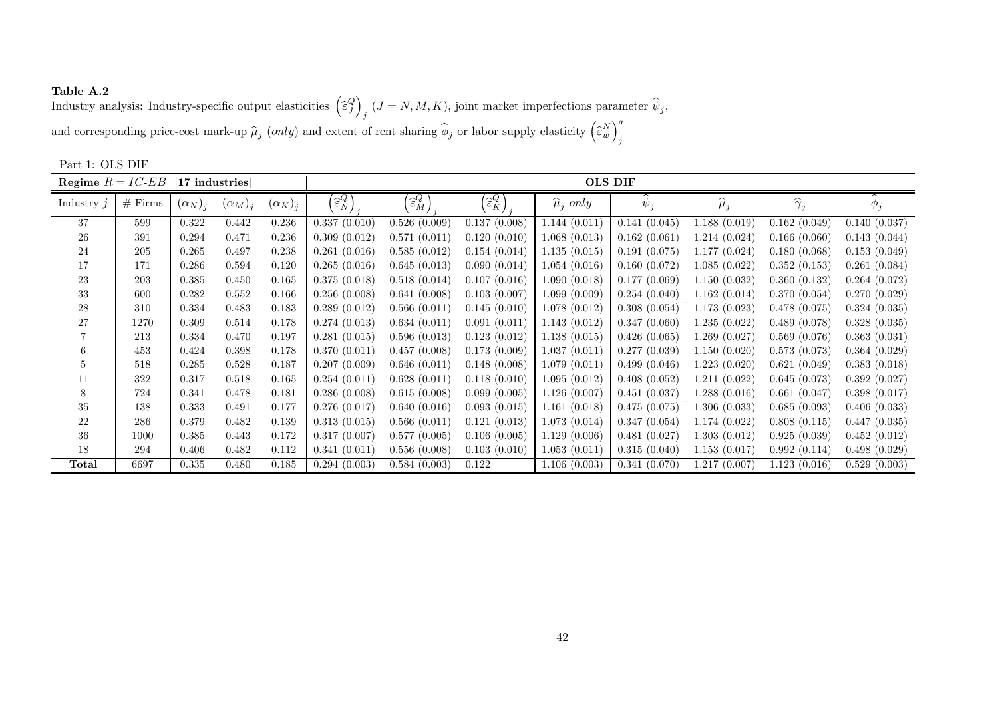**Table A.2**<br>Industry analysis: Industry-specific output elasticities  $\left(\widehat{\varepsilon}_{J}^{Q}\right)_{j}$   $(J=N,M,K),$  joint market imperfections parameter  $\widehat{\psi}_{j},$ and corresponding price-cost mark-up  $\widehat{\mu}_j$  (only) and extent of rent sharing  $\widehat{\phi}$ *j* or labor supply elasticity  $\left(\widehat{\epsilon}_{w}^{N}\right)_{j}^{a}$ 

| Regime $R = IC$ -EB |           | [17 industries] |                |                |                                    |                                              |                                              |                    | <b>OLS DIF</b>     |                   |                      |              |
|---------------------|-----------|-----------------|----------------|----------------|------------------------------------|----------------------------------------------|----------------------------------------------|--------------------|--------------------|-------------------|----------------------|--------------|
| Industry $j$        | $#$ Firms | $(\alpha_N)_i$  | $(\alpha_M)_i$ | $(\alpha_K)_i$ | $'\widehat{\varepsilon}_{N}^{Q}$ , | $\left(\widehat{\varepsilon}^{Q}_{M}\right)$ | $\left[\widehat{\varepsilon}_{K}^{Q}\right]$ | $\hat{\mu}_i$ only | $\widehat{\psi}_i$ | $\widehat{\mu}_j$ | $\widehat{\gamma}_j$ | $\phi_j$     |
| 37                  | 599       | 0.322           | 0.442          | 0.236          | 0.337(0.010)                       | 0.526(0.009)                                 | 0.137(0.008)                                 | 1.144(0.011)       | 0.141(0.045)       | 1.188(0.019)      | 0.162(0.049)         | 0.140(0.037) |
| 26                  | 391       | 0.294           | 0.471          | 0.236          | 0.309(0.012)                       | 0.571(0.011)                                 | 0.120(0.010)                                 | 1.068(0.013)       | 0.162(0.061)       | 1.214 (0.024)     | 0.166(0.060)         | 0.143(0.044) |
| 24                  | 205       | 0.265           | 0.497          | 0.238          | 0.261(0.016)                       | 0.585(0.012)                                 | 0.154(0.014)                                 | 1.135(0.015)       | 0.191(0.075)       | 1.177(0.024)      | 0.180(0.068)         | 0.153(0.049) |
| 17                  | 171       | 0.286           | 0.594          | 0.120          | 0.265(0.016)                       | 0.645(0.013)                                 | 0.090(0.014)                                 | 1.054(0.016)       | 0.160(0.072)       | 1.085(0.022)      | 0.352(0.153)         | 0.261(0.084) |
| 23                  | 203       | 0.385           | 0.450          | 0.165          | 0.375(0.018)                       | 0.518(0.014)                                 | 0.107(0.016)                                 | 1.090(0.018)       | 0.177(0.069)       | 1.150(0.032)      | 0.360(0.132)         | 0.264(0.072) |
| 33                  | 600       | 0.282           | 0.552          | 0.166          | 0.256(0.008)                       | 0.641(0.008)                                 | 0.103(0.007)                                 | 1.099(0.009)       | 0.254(0.040)       | 1.162(0.014)      | 0.370(0.054)         | 0.270(0.029) |
| 28                  | 310       | 0.334           | 0.483          | 0.183          | 0.289(0.012)                       | 0.566(0.011)                                 | 0.145(0.010)                                 | 1.078(0.012)       | 0.308(0.054)       | 1.173(0.023)      | 0.478(0.075)         | 0.324(0.035) |
| 27                  | 1270      | 0.309           | 0.514          | 0.178          | 0.274(0.013)                       | 0.634(0.011)                                 | 0.091(0.011)                                 | 1.143(0.012)       | 0.347(0.060)       | 1.235(0.022)      | 0.489(0.078)         | 0.328(0.035) |
|                     | 213       | 0.334           | 0.470          | 0.197          | 0.281(0.015)                       | 0.596(0.013)                                 | 0.123(0.012)                                 | 1.138(0.015)       | 0.426(0.065)       | 1.269(0.027)      | 0.569(0.076)         | 0.363(0.031) |
|                     | 453       | 0.424           | 0.398          | 0.178          | 0.370(0.011)                       | 0.457(0.008)                                 | 0.173(0.009)                                 | 1.037(0.011)       | 0.277(0.039)       | 1.150(0.020)      | 0.573(0.073)         | 0.364(0.029) |
| $5^{\circ}$         | 518       | 0.285           | 0.528          | 0.187          | 0.207(0.009)                       | 0.646(0.011)                                 | 0.148(0.008)                                 | 1.079(0.011)       | 0.499(0.046)       | 1.223(0.020)      | 0.621(0.049)         | 0.383(0.018) |
| 11                  | 322       | 0.317           | 0.518          | 0.165          | 0.254(0.011)                       | 0.628(0.011)                                 | 0.118(0.010)                                 | 1.095(0.012)       | 0.408(0.052)       | 1.211(0.022)      | 0.645(0.073)         | 0.392(0.027) |
|                     | 724       | 0.341           | 0.478          | 0.181          | 0.286(0.008)                       | 0.615(0.008)                                 | 0.099(0.005)                                 | 1.126(0.007)       | 0.451(0.037)       | 1.288(0.016)      | 0.661(0.047)         | 0.398(0.017) |
| 35                  | 138       | 0.333           | 0.491          | 0.177          | 0.276(0.017)                       | 0.640(0.016)                                 | 0.093(0.015)                                 | 1.161(0.018)       | 0.475(0.075)       | 1.306(0.033)      | 0.685(0.093)         | 0.406(0.033) |
| 22                  | 286       | 0.379           | 0.482          | 0.139          | 0.313(0.015)                       | 0.566(0.011)                                 | 0.121(0.013)                                 | 1.073(0.014)       | 0.347(0.054)       | 1.174 (0.022)     | 0.808(0.115)         | 0.447(0.035) |
| -36                 | 1000      | 0.385           | 0.443          | 0.172          | 0.317(0.007)                       | 0.577(0.005)                                 | 0.106(0.005)                                 | 1.129(0.006)       | 0.481(0.027)       | 1.303(0.012)      | 0.925(0.039)         | 0.452(0.012) |
| 18                  | 294       | 0.406           | 0.482          | 0.112          | 0.341(0.011)                       | 0.556(0.008)                                 | 0.103(0.010)                                 | 1.053(0.011)       | 0.315(0.040)       | 1.153(0.017)      | 0.992(0.114)         | 0.498(0.029) |
| Total               | 6697      | 0.335           | 0.480          | 0.185          | 0.294(0.003)                       | 0.584(0.003)                                 | 0.122                                        | 1.106(0.003)       | 0.341(0.070)       | 1.217(0.007)      | 1.123(0.016)         | 0.529(0.003) |

Part 1: OLS DIF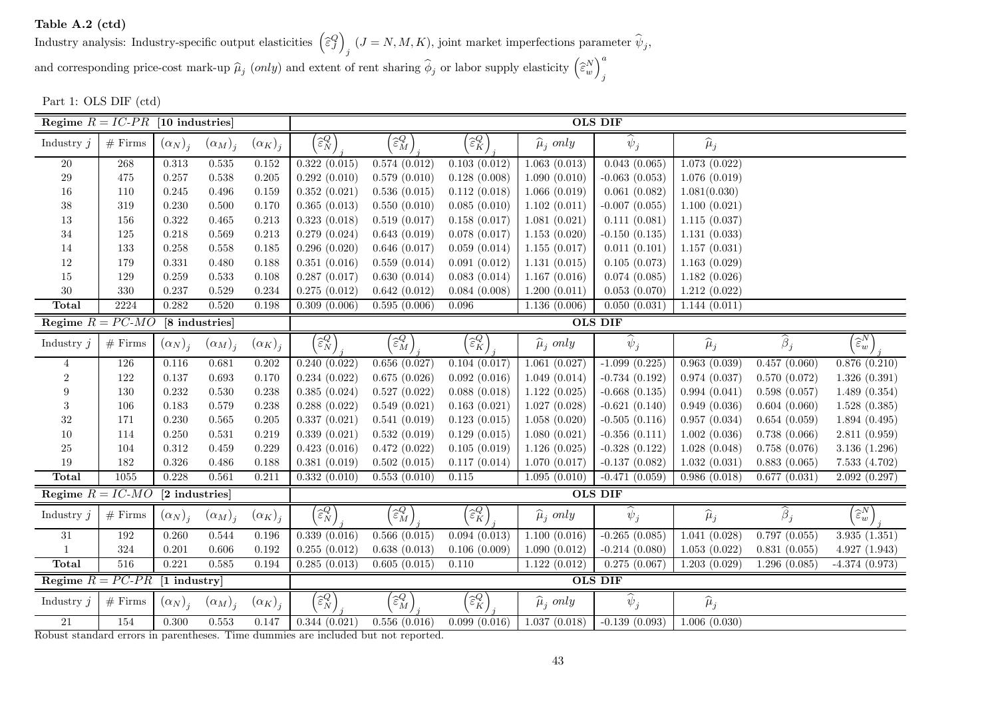Table A.2 (ctd)

Industry analysis: Industry-specific output elasticities  $\left(\widehat{\epsilon}_{J}^{Q}\right)_{j}$   $(J = N, M, K)$ , joint market imperfections parameter  $\widehat{\psi}_{j}$ , and corresponding price-cost mark-up  $\widehat{\mu}_j$  (only) and extent of rent sharing  $\widehat{\phi}$ *j* or labor supply elasticity  $\left(\widehat{\varepsilon}_{w}^{N}\right)_{j}^{a}$ 

Part 1: OLS DIF (ctd)

| Regime $R = IC$ - $PR$ [10 industries] |            |                |                |                |                                              | <b>OLS DIF</b>                               |                                              |                        |                    |                   |                                  |                                 |  |
|----------------------------------------|------------|----------------|----------------|----------------|----------------------------------------------|----------------------------------------------|----------------------------------------------|------------------------|--------------------|-------------------|----------------------------------|---------------------------------|--|
| Industry $j$                           | $#$ Firms  | $(\alpha_N)_i$ | $(\alpha_M)_i$ | $(\alpha_K)_j$ | $\widehat{\varepsilon}_{N}^{Q}$              | $\widehat{\varepsilon}^{Q}_M$ ,              | $\widehat{\varepsilon}_{K}^{Q}$              | $\widehat{\mu}_i$ only | $\widehat{\psi}_j$ | $\widehat{\mu}_j$ |                                  |                                 |  |
| $20\,$                                 | 268        | $0.313\,$      | $0.535\,$      | $0.152\,$      | 0.322(0.015)                                 | 0.574(0.012)                                 | 0.103(0.012)                                 | 1.063(0.013)           | 0.043(0.065)       | 1.073(0.022)      |                                  |                                 |  |
| 29                                     | 475        | 0.257          | 0.538          | $0.205\,$      | 0.292(0.010)                                 | 0.579(0.010)                                 | 0.128(0.008)                                 | 1.090(0.010)           | $-0.063(0.053)$    | 1.076(0.019)      |                                  |                                 |  |
| $16\,$                                 | 110        | $0.245\,$      | $0.496\,$      | 0.159          | 0.352(0.021)                                 | 0.536(0.015)                                 | 0.112(0.018)                                 | 1.066(0.019)           | 0.061(0.082)       | 1.081(0.030)      |                                  |                                 |  |
| 38                                     | 319        | 0.230          | $0.500\,$      | 0.170          | 0.365(0.013)                                 | 0.550(0.010)                                 | 0.085(0.010)                                 | 1.102(0.011)           | $-0.007$ $(0.055)$ | 1.100(0.021)      |                                  |                                 |  |
| $13\,$                                 | 156        | 0.322          | $0.465\,$      | 0.213          | 0.323(0.018)                                 | 0.519(0.017)                                 | 0.158(0.017)                                 | 1.081(0.021)           | 0.111(0.081)       | 1.115(0.037)      |                                  |                                 |  |
| 34                                     | 125        | 0.218          | 0.569          | 0.213          | 0.279(0.024)                                 | 0.643(0.019)                                 | 0.078(0.017)                                 | 1.153(0.020)           | $-0.150(0.135)$    | 1.131(0.033)      |                                  |                                 |  |
| 14                                     | 133        | 0.258          | $0.558\,$      | 0.185          | 0.296(0.020)                                 | 0.646(0.017)                                 | 0.059(0.014)                                 | 1.155(0.017)           | 0.011(0.101)       | 1.157(0.031)      |                                  |                                 |  |
| 12                                     | 179        | 0.331          | 0.480          | 0.188          | 0.351(0.016)                                 | 0.559(0.014)                                 | 0.091(0.012)                                 | 1.131(0.015)           | 0.105(0.073)       | 1.163(0.029)      |                                  |                                 |  |
| $15\,$                                 | 129        | 0.259          | 0.533          | 0.108          | 0.287(0.017)                                 | 0.630(0.014)                                 | 0.083(0.014)                                 | 1.167(0.016)           | 0.074(0.085)       | 1.182(0.026)      |                                  |                                 |  |
| $30\,$                                 | 330        | 0.237          | 0.529          | 0.234          | 0.275(0.012)                                 | 0.642(0.012)                                 | 0.084(0.008)                                 | 1.200(0.011)           | 0.053(0.070)       | 1.212(0.022)      |                                  |                                 |  |
| Total                                  | 2224       | 0.282          | 0.520          | 0.198          | 0.309(0.006)                                 | 0.595(0.006)                                 | $0.096\,$                                    | 1.136(0.006)           | 0.050(0.031)       | 1.144(0.011)      |                                  |                                 |  |
| Regime $R = PC-MO$                     |            |                | [8 industries] |                |                                              |                                              |                                              |                        | <b>OLS DIF</b>     |                   |                                  |                                 |  |
| Industry $j$                           | $#$ Firms  | $(\alpha_N)_i$ | $(\alpha_M)_i$ | $(\alpha_K)_j$ | $\widehat{\varepsilon_{N}^{Q}}$              | $\widehat{\varepsilon}^Q_M$                  | $\widehat{\varepsilon}_{K}^{Q}$              | $\widehat{\mu}_j$ only | $\widehat{\psi}_j$ | $\widehat{\mu}_j$ | $\widehat{\boldsymbol{\beta}}_j$ | $\widehat{\varepsilon_{w}^{N}}$ |  |
| $\overline{4}$                         | 126        | 0.116          | 0.681          | $0.202\,$      | 0.240(0.022)                                 | 0.656(0.027)                                 | 0.104(0.017)                                 | 1.061(0.027)           | $-1.099(0.225)$    | 0.963(0.039)      | 0.457(0.060)                     | 0.876(0.210)                    |  |
| $\sqrt{2}$                             | 122        | 0.137          | 0.693          | 0.170          | 0.234(0.022)                                 | 0.675(0.026)                                 | 0.092(0.016)                                 | 1.049(0.014)           | $-0.734(0.192)$    | 0.974(0.037)      | 0.570(0.072)                     | 1.326(0.391)                    |  |
| 9                                      | 130        | 0.232          | 0.530          | 0.238          | 0.385(0.024)                                 | 0.527(0.022)                                 | 0.088(0.018)                                 | 1.122(0.025)           | $-0.668$ $(0.135)$ | 0.994(0.041)      | 0.598(0.057)                     | 1.489(0.354)                    |  |
| 3                                      | 106        | 0.183          | 0.579          | 0.238          | 0.288(0.022)                                 | 0.549(0.021)                                 | 0.163(0.021)                                 | 1.027(0.028)           | $-0.621(0.140)$    | 0.949(0.036)      | 0.604(0.060)                     | 1.528(0.385)                    |  |
| $32\,$                                 | 171        | 0.230          | $\,0.565\,$    | 0.205          | 0.337(0.021)                                 | 0.541(0.019)                                 | 0.123(0.015)                                 | 1.058(0.020)           | $-0.505(0.116)$    | 0.957(0.034)      | 0.654(0.059)                     | 1.894(0.495)                    |  |
| 10                                     | 114        | 0.250          | 0.531          | 0.219          | 0.339(0.021)                                 | 0.532(0.019)                                 | 0.129(0.015)                                 | 1.080(0.021)           | $-0.356(0.111)$    | 1.002(0.036)      | 0.738(0.066)                     | 2.811(0.959)                    |  |
| $25\,$                                 | 104        | $\rm 0.312$    | $0.459\,$      | 0.229          | 0.423(0.016)                                 | 0.472(0.022)                                 | 0.105(0.019)                                 | 1.126(0.025)           | $-0.328(0.122)$    | 1.028(0.048)      | 0.758(0.076)                     | 3.136(1.296)                    |  |
| 19                                     | 182        | 0.326          | $0.486\,$      | 0.188          | 0.381(0.019)                                 | 0.502(0.015)                                 | 0.117(0.014)                                 | 1.070(0.017)           | $-0.137(0.082)$    | 1.032(0.031)      | 0.883(0.065)                     | 7.533(4.702)                    |  |
| <b>Total</b>                           | 1055       | 0.228          | 0.561          | 0.211          | 0.332(0.010)                                 | 0.553(0.010)                                 | 0.115                                        | 1.095(0.010)           | $-0.471(0.059)$    | 0.986(0.018)      | 0.677(0.031)                     | 2.092(0.297)                    |  |
| Regime $R = IC-MO$                     |            | [2 industries] |                |                |                                              |                                              |                                              |                        | <b>OLS DIF</b>     |                   |                                  |                                 |  |
| Industry $j$                           | $#$ Firms  | $(\alpha_N)_i$ | $(\alpha_M)_i$ | $(\alpha_K)_i$ | $\left[\widehat{\varepsilon}_{N}^{Q}\right]$ | $\left(\widehat{\varepsilon}_{M}^{Q}\right)$ | $\left[\widehat{\varepsilon}_{K}^{Q}\right]$ | $\widehat{\mu}_j$ only | $\widehat{\psi}_j$ | $\widehat{\mu}_j$ | $\overline{\hat{\beta}_j}$       | $\widehat{\varepsilon_{w}^{N}}$ |  |
| $31\,$                                 | 192        | 0.260          | 0.544          | 0.196          | 0.339(0.016)                                 | 0.566(0.015)                                 | 0.094(0.013)                                 | 1.100(0.016)           | $-0.265(0.085)$    | 1.041(0.028)      | 0.797(0.055)                     | 3.935(1.351)                    |  |
|                                        | 324        | 0.201          | $0.606\,$      | 0.192          | 0.255(0.012)                                 | 0.638(0.013)                                 | 0.106(0.009)                                 | 1.090(0.012)           | $-0.214(0.080)$    | 1.053(0.022)      | 0.831(0.055)                     | 4.927(1.943)                    |  |
| <b>Total</b>                           | $516\,$    | 0.221          | 0.585          | 0.194          | 0.285(0.013)                                 | 0.605(0.015)                                 | $0.110\,$                                    | 1.122(0.012)           | 0.275(0.067)       | 1.203(0.029)      | 1.296(0.085)                     | $-4.374(0.973)$                 |  |
| Regime $R = PC$ - $PR$                 |            | [1 industry]   |                |                |                                              |                                              |                                              |                        | <b>OLS DIF</b>     |                   |                                  |                                 |  |
| Industry $j$                           | $\#$ Firms | $(\alpha_N)_i$ | $(\alpha_M)_j$ | $(\alpha_K)_i$ | $\widehat{\varepsilon}_N^Q$                  | $\widehat{\varepsilon}^Q_M$                  | $\widehat{\varepsilon}_{K}^{Q}$              | $\widehat{\mu}_j$ only | $\widehat{\psi}_j$ | $\widehat{\mu}_j$ |                                  |                                 |  |
| $21\,$                                 | 154        | 0.300          | 0.553          | 0.147          | 0.344(0.021)                                 | 0.556(0.016)                                 | 0.099(0.016)                                 | 1.037(0.018)           | $-0.139(0.093)$    | 1.006(0.030)      |                                  |                                 |  |

Robust standard errors in parentheses. Time dummies are included but not reported.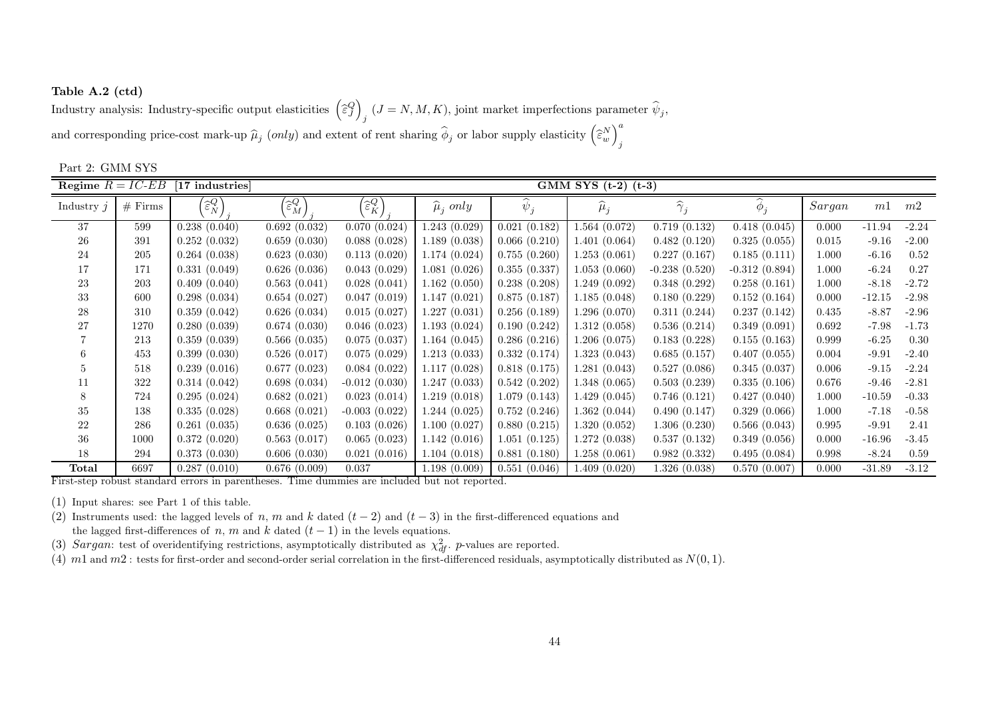Table A.2 (ctd) Industry analysis: Industry-specific output elasticities  $\left(\hat{\epsilon}_j^Q\right)_i$   $(J = N, M, K)$ , joint market imperfections parameter  $\hat{\psi}_j$ , and corresponding price-cost mark-up  $\widehat{\mu}_j$  (only) and extent of rent sharing  $\widehat{\phi}$ *j* or labor supply elasticity  $\left(\widehat{\epsilon}_{w}^{N}\right)_{j}^{a}$ 

| Part 2: GMM SYS     |           |                                              |                                              |                                 |                    |              |                         |                      |                 |        |          |         |
|---------------------|-----------|----------------------------------------------|----------------------------------------------|---------------------------------|--------------------|--------------|-------------------------|----------------------|-----------------|--------|----------|---------|
| Regime $R = IC$ -EB |           | [17 industries]                              |                                              |                                 |                    |              | GMM SYS $(t-2)$ $(t-3)$ |                      |                 |        |          |         |
| Industry $i$        | $#$ Firms | $\left(\widehat{\varepsilon}_{N}^{Q}\right)$ | $\left[\widehat{\varepsilon}_{M}^{Q}\right]$ | $\widehat{\varepsilon}_{K}^{Q}$ | $\hat{\mu}_i$ only | $\psi_j$     | $\widehat{\mu}_j$       | $\widehat{\gamma}_j$ | $\phi_j$        | Sargan | m1       | m2      |
| 37                  | 599       | 0.238(0.040)                                 | 0.692(0.032)                                 | 0.070(0.024)                    | 1.243(0.029)       | 0.021(0.182) | 1.564(0.072)            | 0.719(0.132)         | 0.418(0.045)    | 0.000  | $-11.94$ | $-2.24$ |
| 26                  | 391       | 0.252(0.032)                                 | 0.659(0.030)                                 | 0.088(0.028)                    | 1.189(0.038)       | 0.066(0.210) | 1.401(0.064)            | 0.482(0.120)         | 0.325(0.055)    | 0.015  | $-9.16$  | $-2.00$ |
| 24                  | 205       | 0.264(0.038)                                 | 0.623(0.030)                                 | 0.113(0.020)                    | 1.174(0.024)       | 0.755(0.260) | 1.253(0.061)            | 0.227(0.167)         | 0.185(0.111)    | 1.000  | $-6.16$  | 0.52    |
| 17                  | 171       | 0.331(0.049)                                 | 0.626(0.036)                                 | 0.043(0.029)                    | 1.081(0.026)       | 0.355(0.337) | 1.053(0.060)            | $-0.238(0.520)$      | $-0.312(0.894)$ | 1.000  | $-6.24$  | 0.27    |
| 23                  | 203       | 0.409(0.040)                                 | 0.563(0.041)                                 | 0.028(0.041)                    | 1.162(0.050)       | 0.238(0.208) | 1.249(0.092)            | 0.348(0.292)         | 0.258(0.161)    | 1.000  | $-8.18$  | $-2.72$ |
| 33                  | 600       | 0.298(0.034)                                 | 0.654(0.027)                                 | 0.047(0.019)                    | 1.147(0.021)       | 0.875(0.187) | 1.185(0.048)            | 0.180(0.229)         | 0.152(0.164)    | 0.000  | $-12.15$ | $-2.98$ |
| 28                  | 310       | 0.359(0.042)                                 | 0.626(0.034)                                 | 0.015(0.027)                    | 1.227(0.031)       | 0.256(0.189) | 1.296(0.070)            | 0.311(0.244)         | 0.237(0.142)    | 0.435  | $-8.87$  | $-2.96$ |
| 27                  | 1270      | 0.280(0.039)                                 | 0.674(0.030)                                 | 0.046(0.023)                    | 1.193(0.024)       | 0.190(0.242) | 1.312(0.058)            | 0.536(0.214)         | 0.349(0.091)    | 0.692  | $-7.98$  | $-1.73$ |
|                     | 213       | 0.359(0.039)                                 | 0.566(0.035)                                 | 0.075(0.037)                    | 1.164(0.045)       | 0.286(0.216) | 1.206(0.075)            | 0.183(0.228)         | 0.155(0.163)    | 0.999  | $-6.25$  | 0.30    |
| 6                   | 453       | 0.399(0.030)                                 | 0.526(0.017)                                 | 0.075(0.029)                    | 1.213(0.033)       | 0.332(0.174) | 1.323(0.043)            | 0.685(0.157)         | 0.407(0.055)    | 0.004  | $-9.91$  | $-2.40$ |
| 5                   | 518       | 0.239(0.016)                                 | 0.677(0.023)                                 | 0.084(0.022)                    | 1.117(0.028)       | 0.818(0.175) | 1.281(0.043)            | 0.527(0.086)         | 0.345(0.037)    | 0.006  | $-9.15$  | $-2.24$ |
| 11                  | 322       | 0.314(0.042)                                 | 0.698(0.034)                                 | $-0.012(0.030)$                 | 1.247(0.033)       | 0.542(0.202) | 1.348(0.065)            | 0.503(0.239)         | 0.335(0.106)    | 0.676  | $-9.46$  | $-2.81$ |
| 8                   | 724       | 0.295(0.024)                                 | 0.682(0.021)                                 | 0.023(0.014)                    | 1.219(0.018)       | 1.079(0.143) | 1.429(0.045)            | 0.746(0.121)         | 0.427(0.040)    | 1.000  | $-10.59$ | $-0.33$ |
| 35                  | 138       | 0.335(0.028)                                 | 0.668(0.021)                                 | $-0.003(0.022)$                 | 1.244(0.025)       | 0.752(0.246) | 1.362(0.044)            | 0.490(0.147)         | 0.329(0.066)    | 1.000  | $-7.18$  | $-0.58$ |
| 22                  | 286       | 0.261(0.035)                                 | 0.636(0.025)                                 | 0.103(0.026)                    | 1.100(0.027)       | 0.880(0.215) | 1.320(0.052)            | 1.306(0.230)         | 0.566(0.043)    | 0.995  | $-9.91$  | 2.41    |
| 36                  | 1000      | 0.372(0.020)                                 | 0.563(0.017)                                 | 0.065(0.023)                    | 1.142(0.016)       | 1.051(0.125) | 1.272(0.038)            | 0.537(0.132)         | 0.349(0.056)    | 0.000  | $-16.96$ | $-3.45$ |
| 18                  | 294       | 0.373(0.030)                                 | 0.606(0.030)                                 | 0.021(0.016)                    | 1.104(0.018)       | 0.881(0.180) | 1.258(0.061)            | 0.982(0.332)         | 0.495(0.084)    | 0.998  | $-8.24$  | 0.59    |
| Total               | 6697      | 0.287(0.010)                                 | 0.676(0.009)                                 | 0.037                           | 1.198(0.009)       | 0.551(0.046) | 1.409(0.020)            | 1.326(0.038)         | 0.570(0.007)    | 0.000  | $-31.89$ | $-3.12$ |

First-step robust standard errors in parentheses. Time dummies are included but not reported.

(1) Input shares: see Part <sup>1</sup> of this table.

(2) Instruments used: the lagged levels of n, m and k dated  $(t-2)$  and  $(t-3)$  in the first-differenced equations and the lagged first-differences of  $n$ ,  $m$  and  $k$  dated  $(t - 1)$  in the levels equations.

(3) Sargan: test of overidentifying restrictions, asymptotically distributed as  $\chi^2_{df}$ . p-values are reported.

(4)  $m1$  and  $m2$ : tests for first-order and second-order serial correlation in the first-differenced residuals, asymptotically distributed as  $N(0, 1)$ .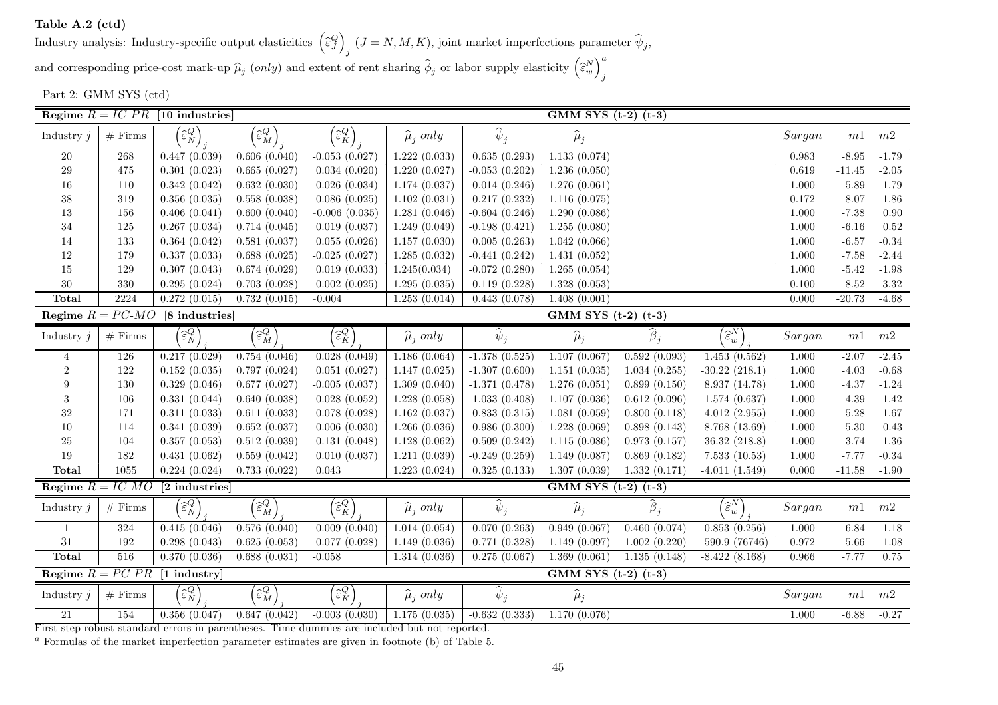Table A.2 (ctd)

Industry analysis: Industry-specific output elasticities  $\left(\widehat{\varepsilon}_{J}^{Q}\right)_{j}$   $(J = N, M, K)$ , joint market imperfections parameter  $\widehat{\psi}_{j}$ , and corresponding price-cost mark-up  $\widehat{\mu}_j$  (only) and extent of rent sharing  $\widehat{\phi}$ *j* or labor supply elasticity  $\left(\widehat{\varepsilon}_{w}^{N}\right)_{j}^{a}$ 

Part 2: GMM SYS (ctd)

|                    |            | Regime $R = IC-PR$ [10 industries]           |                                              |                                                                                      |                        |                    | GMM SYS $(t-2)$ $(t-3)$ |              |                               |             |               |                  |
|--------------------|------------|----------------------------------------------|----------------------------------------------|--------------------------------------------------------------------------------------|------------------------|--------------------|-------------------------|--------------|-------------------------------|-------------|---------------|------------------|
| Industry $j$       | $#$ Firms  | $\left[\widehat{\varepsilon}_{N}^{Q}\right]$ | $\left(\widehat{\varepsilon}^{Q}_{M}\right)$ | $\left[\widehat{\varepsilon}_{K}^{Q}\right]$                                         | $\hat{\mu}_i$ only     | $\widehat{\psi}_j$ | $\widehat{\mu}_j$       |              |                               | Sargan      | m1            | $m2\,$           |
| $20\,$             | $268\,$    | 0.447(0.039)                                 | 0.606(0.040)                                 | $-0.053(0.027)$                                                                      | 1.222(0.033)           | 0.635(0.293)       | 1.133(0.074)            |              |                               | 0.983       | $-8.95$       | $-1.79$          |
| $\,29$             | $475\,$    | 0.301(0.023)                                 | 0.665(0.027)                                 | 0.034(0.020)                                                                         | 1.220(0.027)           | $-0.053(0.202)$    | 1.236(0.050)            |              |                               | 0.619       | $-11.45$      | $-2.05$          |
| 16                 | 110        | 0.342(0.042)                                 | 0.632(0.030)                                 | 0.026(0.034)                                                                         | 1.174(0.037)           | 0.014(0.246)       | 1.276(0.061)            |              |                               | 1.000       | $-5.89$       | $-1.79$          |
| 38                 | 319        | 0.356(0.035)                                 | 0.558(0.038)                                 | 0.086(0.025)                                                                         | 1.102(0.031)           | $-0.217(0.232)$    | 1.116(0.075)            |              |                               | 0.172       | $-8.07$       | $-1.86$          |
| 13                 | 156        | 0.406(0.041)                                 | 0.600(0.040)                                 | $-0.006(0.035)$                                                                      | 1.281(0.046)           | $-0.604(0.246)$    | 1.290(0.086)            |              |                               | $1.000\,$   | $-7.38$       | $0.90\,$         |
| $34\,$             | 125        | 0.267(0.034)                                 | 0.714(0.045)                                 | 0.019(0.037)                                                                         | 1.249(0.049)           | $-0.198(0.421)$    | 1.255(0.080)            |              |                               | $1.000\,$   | $-6.16$       | 0.52             |
| $14\,$             | 133        | 0.364(0.042)                                 | 0.581(0.037)                                 | 0.055(0.026)                                                                         | 1.157(0.030)           | 0.005(0.263)       | 1.042(0.066)            |              |                               | $1.000\,$   | $-6.57$       | $-0.34$          |
| 12                 | 179        | 0.337(0.033)                                 | 0.688(0.025)                                 | $-0.025(0.027)$                                                                      | 1.285(0.032)           | $-0.441(0.242)$    | 1.431(0.052)            |              |                               | 1.000       | $-7.58$       | $-2.44$          |
| 15                 | 129        | 0.307(0.043)                                 | 0.674(0.029)                                 | 0.019(0.033)                                                                         | 1.245(0.034)           | $-0.072(0.280)$    | 1.265(0.054)            |              |                               | 1.000       | $-5.42$       | $-1.98$          |
| $30\,$             | 330        | 0.295(0.024)                                 | 0.703(0.028)                                 | 0.002(0.025)                                                                         | 1.295(0.035)           | 0.119(0.228)       | 1.328(0.053)            |              |                               | $0.100\,$   | $-8.52$       | $-3.32$          |
| Total              | 2224       | 0.272(0.015)                                 | 0.732(0.015)                                 | $-0.004$                                                                             | 1.253(0.014)           | 0.443(0.078)       | 1.408(0.001)            |              |                               | 0.000       | $-20.73$      | $-4.68$          |
| Regime $R = PC-MO$ |            | [8 industries]                               |                                              |                                                                                      |                        |                    | GMM SYS $(t-2)$ $(t-3)$ |              |                               |             |               |                  |
| Industry $j$       | $#$ Firms  | $\left[\widehat{\varepsilon}_{N}^{Q}\right]$ | $\left(\widehat{\varepsilon}_{M}^{Q}\right)$ | $\widehat{\varepsilon}_{K}^{Q}$                                                      | $\widehat{\mu}_j$ only | $\widehat{\psi}_j$ | $\widehat{\mu}_j$       | $\beta_j$    | $\widehat{\varepsilon}^{N}_w$ | Sargan      | $m\mathbb{1}$ | $m\sqrt{2}$      |
| $\overline{4}$     | 126        | 0.217(0.029)                                 | 0.754(0.046)                                 | 0.028(0.049)                                                                         | 1.186(0.064)           | $-1.378(0.525)$    | 1.107(0.067)            | 0.592(0.093) | 1.453(0.562)                  | 1.000       | $-2.07$       | $-2.45$          |
| $\overline{2}$     | 122        | 0.152(0.035)                                 | 0.797(0.024)                                 | 0.051(0.027)                                                                         | 1.147(0.025)           | $-1.307(0.600)$    | 1.151(0.035)            | 1.034(0.255) | $-30.22$ (218.1)              | 1.000       | $-4.03$       | $-0.68$          |
| 9                  | 130        | 0.329(0.046)                                 | 0.677(0.027)                                 | $-0.005(0.037)$                                                                      | 1.309(0.040)           | $-1.371(0.478)$    | 1.276(0.051)            | 0.899(0.150) | 8.937 (14.78)                 | $1.000\,$   | $-4.37$       | $-1.24$          |
| 3                  | 106        | 0.331(0.044)                                 | 0.640(0.038)                                 | 0.028(0.052)                                                                         | 1.228(0.058)           | $-1.033(0.408)$    | 1.107(0.036)            | 0.612(0.096) | 1.574(0.637)                  | $1.000\,$   | $-4.39$       | $-1.42$          |
| $32\,$             | 171        | 0.311(0.033)                                 | 0.611(0.033)                                 | 0.078(0.028)                                                                         | 1.162(0.037)           | $-0.833(0.315)$    | 1.081(0.059)            | 0.800(0.118) | 4.012(2.955)                  | $1.000\,$   | $-5.28$       | $\textbf{-1.67}$ |
| 10                 | 114        | 0.341(0.039)                                 | 0.652(0.037)                                 | 0.006(0.030)                                                                         | 1.266(0.036)           | $-0.986(0.300)$    | 1.228(0.069)            | 0.898(0.143) | 8.768 (13.69)                 | $1.000\,$   | $-5.30$       | 0.43             |
| 25                 | 104        | 0.357(0.053)                                 | 0.512(0.039)                                 | 0.131(0.048)                                                                         | 1.128(0.062)           | $-0.509(0.242)$    | 1.115(0.086)            | 0.973(0.157) | 36.32(218.8)                  | 1.000       | $-3.74$       | $-1.36$          |
| 19                 | 182        | 0.431(0.062)                                 | 0.559(0.042)                                 | 0.010(0.037)                                                                         | 1.211(0.039)           | $-0.249(0.259)$    | 1.149(0.087)            | 0.869(0.182) | 7.533(10.53)                  | 1.000       | $-7.77$       | $-0.34$          |
| Total              | 1055       | 0.224(0.024)                                 | 0.733(0.022)                                 | $0.043\,$                                                                            | 1.223(0.024)           | 0.325(0.133)       | 1.307(0.039)            | 1.332(0.171) | $-4.011(1.549)$               | 0.000       | $-11.58$      | $-1.90$          |
| Regime $R = IC-MO$ |            | [2 industries]                               |                                              |                                                                                      |                        |                    | GMM SYS $(t-2)$ $(t-3)$ |              |                               |             |               |                  |
| Industry $j$       | $#$ Firms  | $\left[\widehat{\varepsilon}_{N}^{Q}\right]$ | $\left(\widehat{\varepsilon}_{M}^{Q}\right)$ | $\left[\begin{smallmatrix} Q^C \ \widehat{\varepsilon}_K^Q \end{smallmatrix}\right]$ | $\widehat{\mu}_i$ only | $\widehat{\psi}_j$ | $\widehat{\mu}_j$       | $\beta_i$    | $\widehat{\varepsilon}^{N}_w$ | $Sargan$    |               | $m1 \quad m2$    |
|                    | $324\,$    | 0.415(0.046)                                 | 0.576(0.040)                                 | 0.009(0.040)                                                                         | 1.014(0.054)           | $-0.070(0.263)$    | 0.949(0.067)            | 0.460(0.074) | 0.853(0.256)                  | $1.000\,$   | $-6.84$       | $-1.18$          |
| $31\,$             | 192        | 0.298(0.043)                                 | 0.625(0.053)                                 | 0.077(0.028)                                                                         | 1.149(0.036)           | $-0.771(0.328)$    | 1.149(0.097)            | 1.002(0.220) | $-590.9(76746)$               | $\rm 0.972$ | $-5.66$       | $-1.08$          |
| <b>Total</b>       | 516        | 0.370(0.036)                                 | 0.688(0.031)                                 | $-0.058$                                                                             | 1.314(0.036)           | 0.275(0.067)       | 1.369(0.061)            | 1.135(0.148) | $-8.422(8.168)$               | 0.966       | $-7.77$       | 0.75             |
| Regime $R = PC-PR$ |            | $[1$ industry                                |                                              |                                                                                      |                        |                    | GMM SYS $(t-2)$ $(t-3)$ |              |                               |             |               |                  |
| Industry $j$       | $\#$ Firms | $\widehat{\varepsilon}_{N}^{Q}$              | $\left(\widehat{\varepsilon}^{Q}_{M}\right)$ | $\widehat{\varepsilon}_{K}^{Q}$                                                      | $\hat{\mu}_i$ only     | $\widehat{\psi}_j$ | $\widehat{\mu}_j$       |              |                               | Sargan      | m1            | m2               |
| $21\,$             | 154        | 0.356(0.047)                                 | 0.647(0.042)                                 | $-0.003(0.030)$                                                                      | 1.175(0.035)           | $-0.632(0.333)$    | 1.170(0.076)            |              |                               | 1.000       | $-6.88$       | $-0.27$          |

First-step robust standard errors in parentheses. Time dummies are included but not reported.

 $^a$  Formulas of the market imperfection parameter estimates are given in footnote (b) of Table 5.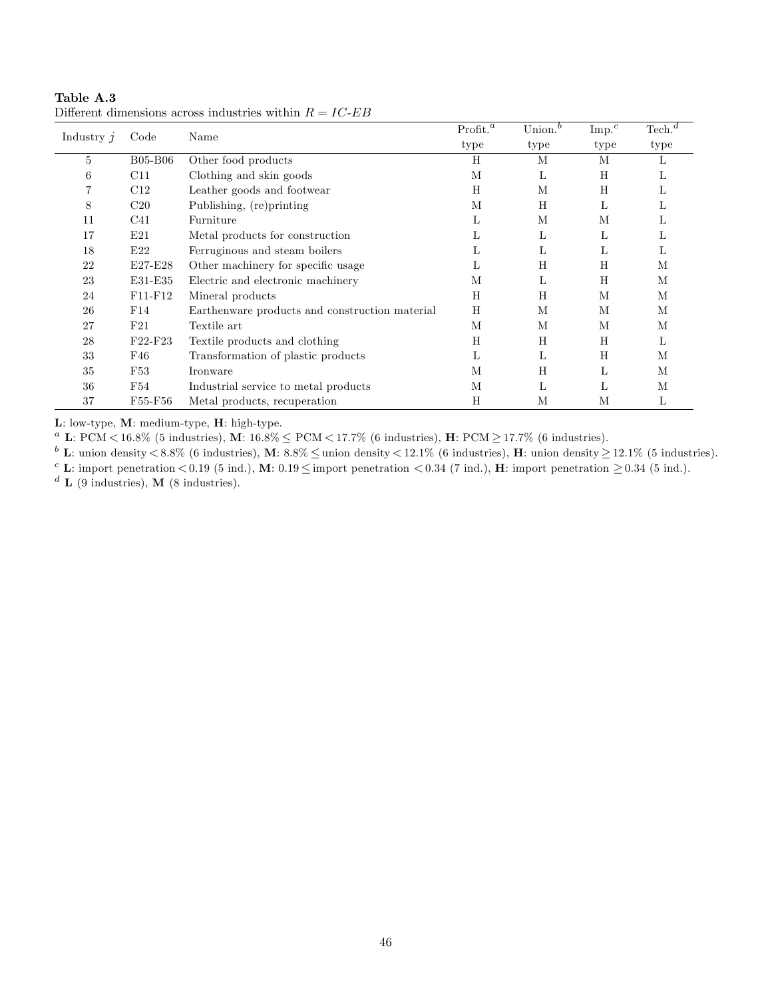| Industry $j$ | Code           | Name                                           | Profit. <sup>a</sup> | Union. $^b$ | $\mathrm{Imp.}^c$ | $\text{Techn.}^d$ |
|--------------|----------------|------------------------------------------------|----------------------|-------------|-------------------|-------------------|
|              |                |                                                | type                 | type        | type              | type              |
| 5            | <b>B05-B06</b> | Other food products                            | H                    | М           | М                 | L                 |
| 6            | C11            | Clothing and skin goods                        | М                    | L           | Η                 | L                 |
| 7            | C12            | Leather goods and footwear                     | H                    | М           | Η                 | L                 |
| 8            | C20            | Publishing, (re) printing                      | M                    | H           | L                 | L                 |
| 11           | C41            | Furniture                                      | L                    | М           | М                 | ⊥                 |
| 17           | E21            | Metal products for construction                | L                    | L           | L                 | L                 |
| 18           | E22            | Ferruginous and steam boilers                  | L                    | L           | L                 | L                 |
| 22           | $E27-E28$      | Other machinery for specific usage             | L                    | Η           | Η                 | M                 |
| 23           | E31-E35        | Electric and electronic machinery              | M                    | L           | Η                 | M                 |
| 24           | F11-F12        | Mineral products                               | H                    | H           | М                 | M                 |
| 26           | F14            | Earthenware products and construction material | H                    | М           | М                 | М                 |
| 27           | F21            | Textile art                                    | M                    | M           | М                 | М                 |
| 28           | $F22-F23$      | Textile products and clothing                  | H                    | H           | Η                 | L                 |
| 33           | F46            | Transformation of plastic products             | L                    | L           | Η                 | М                 |
| 35           | F53            | Ironware                                       | M                    | Η           | L                 | М                 |
| 36           | F54            | Industrial service to metal products           | M                    | L           | L                 | М                 |
| 37           | F55-F56        | Metal products, recuperation                   | H                    | М           | М                 | L                 |

Table A.3 Different dimensions across industries within  $R = IC\mbox{-}EB$ 

L: low-type, M: medium-type, H: high-type.

<sup>*a*</sup> L: PCM < 16.8% (5 industries), M:  $16.8\% \leq PCM < 17.7\%$  (6 industries), H: PCM  $\geq$  17.7% (6 industries).

 $b$  L: union density  $\lt 8.8\%$  (6 industries), M:  $8.8\% \le$  union density  $\lt 12.1\%$  (6 industries), H: union density  $\geq 12.1\%$  (5 industries).

<sup>c</sup> L: import penetration < 0.19 (5 ind.), M:  $0.19 \leq$  import penetration < 0.34 (7 ind.), H: import penetration  $\geq 0.34$  (5 ind.).

 $d$  **L** (9 industries), **M** (8 industries).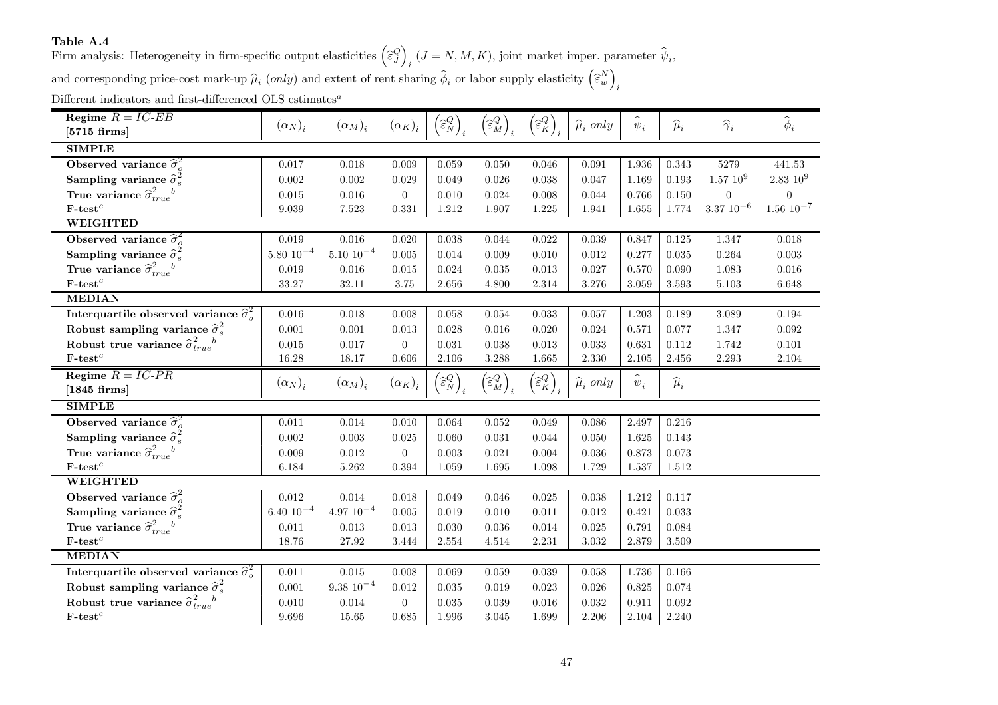### Table A.4

Firm analysis: Heterogeneity in firm-specific output elasticities  $\left(\widehat{\epsilon}_{J}^{Q}\right)_{i}$   $(J = N, M, K)$ , joint market imper. parameter  $\widehat{\psi}_{i}$ , and corresponding price-cost mark-up  $\hat{\mu}_i$  (only) and extent of rent sharing  $\hat{\phi}_i$  or labor supply elasticity  $\left(\hat{\epsilon}_w^N\right)_i$ 

Different indicators and first-differenced OLS estimates<sup>*a*</sup>

| Regime $R = IC$ -EB<br>$[5715 \text{ firms}]$          | $(\alpha_N)_i$  | $(\alpha_M)_i$   | $(\alpha_K)_i$ | $\left(\widehat{\varepsilon}_{N}^{Q}\right)$ | $\left(\widehat{\varepsilon}^{Q}_{M}\right)_{i}$ | $\left(\widehat{\varepsilon}_{K}^{Q}\right)$ | $\widehat{\mu}_i$ only | $\widehat{\boldsymbol{\psi}}_i$ | $\widehat{\mu}_i$ | $\widehat{\boldsymbol{\gamma}}_i$ | $\widehat{\boldsymbol{\phi}}_i$ |
|--------------------------------------------------------|-----------------|------------------|----------------|----------------------------------------------|--------------------------------------------------|----------------------------------------------|------------------------|---------------------------------|-------------------|-----------------------------------|---------------------------------|
| <b>SIMPLE</b>                                          |                 |                  |                |                                              |                                                  |                                              |                        |                                 |                   |                                   |                                 |
|                                                        |                 |                  |                |                                              |                                                  |                                              |                        |                                 |                   |                                   |                                 |
| Observed variance $\hat{\sigma}^2_{o}$                 | 0.017           | $0.018\,$        | 0.009          | 0.059                                        | 0.050                                            | $0.046\,$                                    | 0.091                  | 1.936                           | 0.343             | 5279                              | 441.53                          |
| Sampling variance $\hat{\sigma}_s^2$                   | 0.002           | 0.002            | 0.029          | 0.049                                        | 0.026                                            | 0.038                                        | 0.047                  | 1.169                           | 0.193             | $1.57\ 10^9$                      | $2.83~10^9$                     |
| True variance $\hat{\sigma}_{true}^2{}^b$              | 0.015           | $0.016\,$        | $\overline{0}$ | 0.010                                        | 0.024                                            | 0.008                                        | 0.044                  | 0.766                           | $0.150\,$         | $\theta$                          | $\theta$                        |
| $\mathbf{F}\text{-test}^c$                             | 9.039           | 7.523            | 0.331          | 1.212                                        | 1.907                                            | 1.225                                        | 1.941                  | 1.655                           | $1.774\,$         | $3.37~10^{-6}$                    | $1.56 \; 10^{-7}$               |
| <b>WEIGHTED</b>                                        |                 |                  |                |                                              |                                                  |                                              |                        |                                 |                   |                                   |                                 |
| Observed variance $\hat{\sigma}_{o}^{2}$               | $0.019\,$       | $0.016\,$        | 0.020          | $0.038\,$                                    | 0.044                                            | $0.022\,$                                    | 0.039                  | 0.847                           | $0.125\,$         | 1.347                             | 0.018                           |
| Sampling variance $\hat{\sigma}_s^2$                   | $5.80\ 10^{-4}$ | $5.10 \ 10^{-4}$ | 0.005          | 0.014                                        | 0.009                                            | 0.010                                        | 0.012                  | 0.277                           | $\,0.035\,$       | 0.264                             | 0.003                           |
| True variance $\hat{\sigma}_{true}^2{}^b$              | 0.019           | $0.016\,$        | 0.015          | 0.024                                        | 0.035                                            | 0.013                                        | 0.027                  | 0.570                           | 0.090             | 1.083                             | 0.016                           |
| $\mathbf{F}\text{-}\mathbf{test}^c$                    | 33.27           | 32.11            | 3.75           | 2.656                                        | 4.800                                            | $2.314\,$                                    | 3.276                  | 3.059                           | 3.593             | 5.103                             | 6.648                           |
| <b>MEDIAN</b>                                          |                 |                  |                |                                              |                                                  |                                              |                        |                                 |                   |                                   |                                 |
| Interquartile observed variance $\hat{\sigma}_{o}^{2}$ | $0.016\,$       | $0.018\,$        | 0.008          | 0.058                                        | 0.054                                            | $\,0.033\,$                                  | 0.057                  | 1.203                           | 0.189             | 3.089                             | 0.194                           |
| Robust sampling variance $\hat{\sigma}_s^2$            | 0.001           | $0.001\,$        | $\,0.013\,$    | 0.028                                        | $0.016\,$                                        | $0.020\,$                                    | 0.024                  | 0.571                           | $0.077\,$         | 1.347                             | 0.092                           |
| Robust true variance $\hat{\sigma}_{true}^2{}^b$       | $0.015\,$       | $0.017\,$        | $\overline{0}$ | 0.031                                        | 0.038                                            | 0.013                                        | 0.033                  | 0.631                           | 0.112             | 1.742                             | 0.101                           |
| $\mathbf{F}\text{-test}^c$                             | 16.28           | 18.17            | 0.606          | 2.106                                        | 3.288                                            | 1.665                                        | 2.330                  | 2.105                           | $2.456\,$         | 2.293                             | 2.104                           |
| Regime $R = IC-PR$                                     | $(\alpha_N)_i$  | $(\alpha_M)_i$   | $(\alpha_K)_i$ | $\left(\widehat{\varepsilon}_{N}^{Q}\right)$ | $\left(\widehat{\varepsilon}^{Q}_{M}\right)$     | $\left(\widehat{\varepsilon}_{K}^{Q}\right)$ | $\widehat{\mu}_i$ only | $\widehat{\psi}_i$              | $\widehat{\mu}_i$ |                                   |                                 |
| $[1845 \text{ firms}]$                                 |                 |                  |                |                                              |                                                  |                                              |                        |                                 |                   |                                   |                                 |
| <b>SIMPLE</b>                                          |                 |                  |                |                                              |                                                  |                                              |                        |                                 |                   |                                   |                                 |
| Observed variance $\widehat{\sigma}_{o}^{2}$           | 0.011           | $0.014\,$        | 0.010          | 0.064                                        | 0.052                                            | 0.049                                        | 0.086                  | 2.497                           | 0.216             |                                   |                                 |
| Sampling variance $\hat{\sigma}_s^2$                   | $0.002\,$       | $0.003\,$        | 0.025          | 0.060                                        | $\,0.031\,$                                      | 0.044                                        | 0.050                  | $1.625\,$                       | $0.143\,$         |                                   |                                 |
| True variance $\hat{\sigma}_{true}^2{}^b$              | $0.009\,$       | $0.012\,$        | $\overline{0}$ | 0.003                                        | 0.021                                            | 0.004                                        | 0.036                  | $0.873\,$                       | $\,0.073\,$       |                                   |                                 |
| $\mathbf{F}\text{-}\mathbf{test}^c$                    | 6.184           | $5.262\,$        | 0.394          | 1.059                                        | 1.695                                            | 1.098                                        | 1.729                  | $1.537\,$                       | $1.512\,$         |                                   |                                 |
| <b>WEIGHTED</b>                                        |                 |                  |                |                                              |                                                  |                                              |                        |                                 |                   |                                   |                                 |
| Observed variance $\hat{\sigma}^2_{o}$                 | 0.012           | 0.014            | 0.018          | 0.049                                        | 0.046                                            | $0.025\,$                                    | $\,0.038\,$            | $1.212\,$                       | $0.117\,$         |                                   |                                 |
| Sampling variance $\hat{\sigma}_s^2$                   | $6.40 10^{-4}$  | $4.97~10^{-4}$   | 0.005          | 0.019                                        | 0.010                                            | 0.011                                        | 0.012                  | 0.421                           | 0.033             |                                   |                                 |
| True variance $\hat{\sigma}_{true}^2{}^b$              | $0.011\,$       | $\rm 0.013$      | 0.013          | $0.030\,$                                    | $0.036\,$                                        | $0.014\,$                                    | 0.025                  | 0.791                           | 0.084             |                                   |                                 |
| $\mathbf{F}\text{-}\mathbf{test}^c$                    | 18.76           | 27.92            | 3.444          | $\phantom{-}2.554$                           | 4.514                                            | 2.231                                        | 3.032                  | 2.879                           | 3.509             |                                   |                                 |
| <b>MEDIAN</b>                                          |                 |                  |                |                                              |                                                  |                                              |                        |                                 |                   |                                   |                                 |
| Interquartile observed variance $\hat{\sigma}_{o}^{2}$ | $0.011\,$       | $0.015\,$        | 0.008          | 0.069                                        | 0.059                                            | $\,0.039\,$                                  | 0.058                  | 1.736                           | $0.166\,$         |                                   |                                 |
| Robust sampling variance $\hat{\sigma}_s^2$            | $0.001\,$       | $9.38\ 10^{-4}$  | 0.012          | $\,0.035\,$                                  | $\,0.019\,$                                      | $\,0.023\,$                                  | 0.026                  | $0.825\,$                       | $\,0.074\,$       |                                   |                                 |
| Robust true variance $\hat{\sigma}_{true}^2{}^b$       | $0.010\,$       | $0.014\,$        | $\theta$       | $\,0.035\,$                                  | 0.039                                            | $0.016\,$                                    | 0.032                  | 0.911                           | 0.092             |                                   |                                 |
| $\mathbf{F}\text{-}\mathbf{test}^c$                    | 9.696           | $15.65\,$        | 0.685          | 1.996                                        | $3.045\,$                                        | 1.699                                        | 2.206                  | 2.104                           | 2.240             |                                   |                                 |